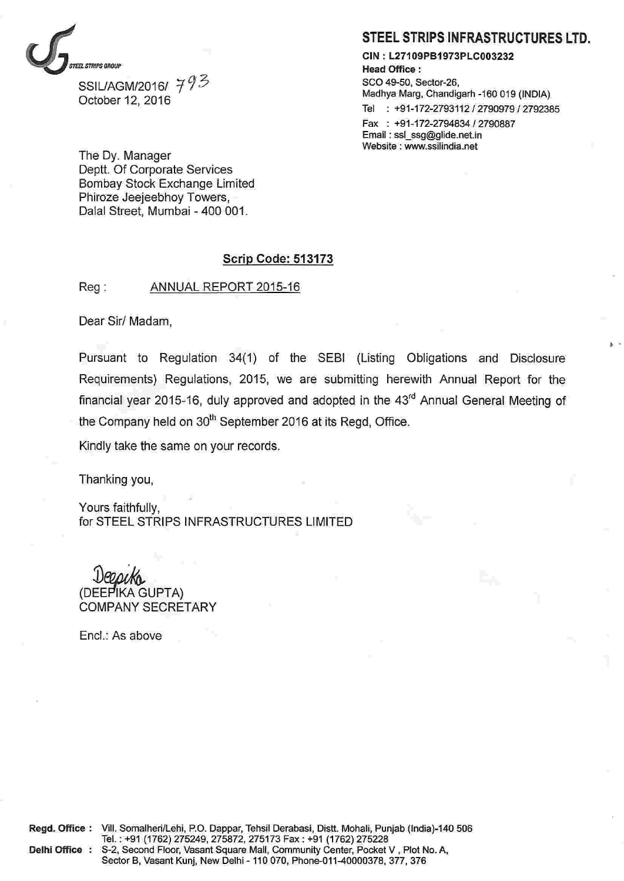

SSIL/AGM/2016/ 793 October 12, 2016

STEEL STRIPS INFRASTRUCTURES LTD.

CIN: L27109PB1973PLC003232 **Head Office:** SCO 49-50, Sector-26, Madhya Marg, Chandigarh -160 019 (INDIA) Tel : +91-172-2793112 / 2790979 / 2792385 Fax: +91-172-2794834 / 2790887 Email: ssl ssg@glide.net.in Website: www.ssilindia.net

The Dy. Manager Deptt. Of Corporate Services **Bombay Stock Exchange Limited** Phiroze Jeejeebhoy Towers, Dalal Street, Mumbai - 400 001.

### **Scrip Code: 513173**

 $Reg:$ ANNUAL REPORT 2015-16

Dear Sir/ Madam,

Pursuant to Regulation 34(1) of the SEBI (Listing Obligations and Disclosure Requirements) Regulations, 2015, we are submitting herewith Annual Report for the financial year 2015-16, duly approved and adopted in the 43<sup>rd</sup> Annual General Meeting of the Company held on 30<sup>th</sup> September 2016 at its Regd, Office.

Kindly take the same on your records.

Thanking you,

Yours faithfully, for STEEL STRIPS INFRASTRUCTURES LIMITED

(DEEPIKA GUPTA) **COMPANY SECRETARY** 

Encl.: As above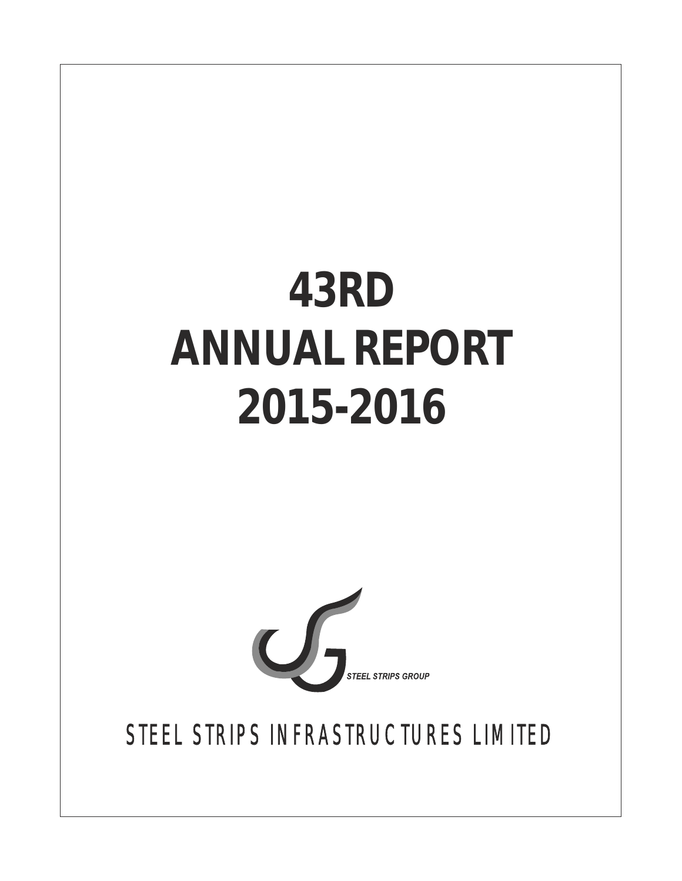# **43RD ANNUAL REPORT 2015-2016**



STEEL STRIPS INFRASTRUCTURES LIMITED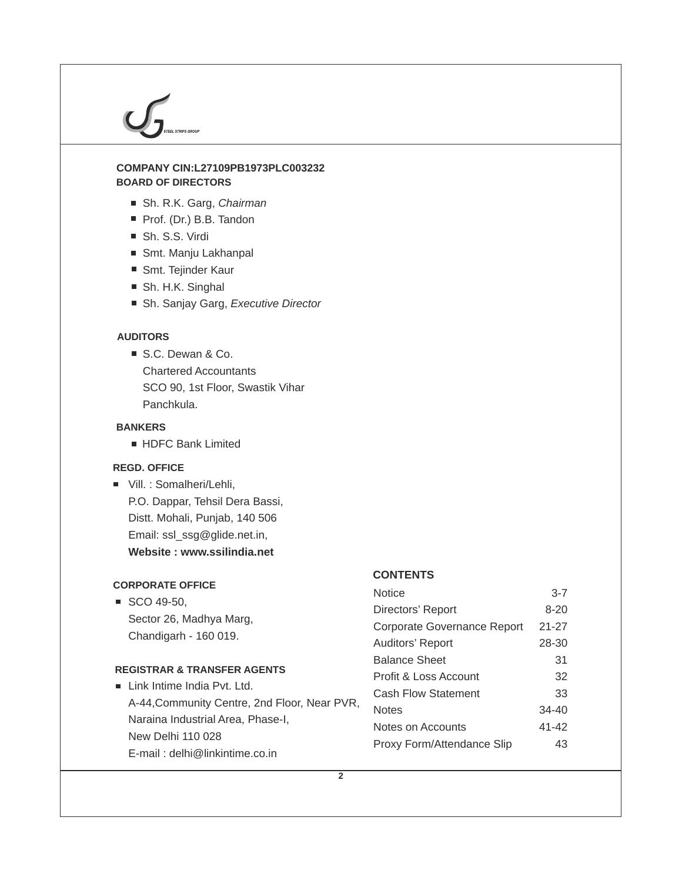### **BOARD OF DIRECTORS COMPANY CIN:L27109PB1973PLC003232**

- Sh. R.K. Garg, *Chairman*
- Prof. (Dr.) B.B. Tandon
- Sh. S.S. Virdi
- Smt. Manju Lakhanpal
- Smt. Tejinder Kaur
- Sh. H.K. Singhal
- Sh. Sanjay Garg, *Executive Director*

### **AUDITORS**

S.C. Dewan & Co. Chartered Accountants SCO 90, 1st Floor, Swastik Vihar Panchkula.

### **BANKERS**

**HDFC Bank Limited** 

### **REGD. OFFICE**

■ Vill. : Somalheri/Lehli, P.O. Dappar, Tehsil Dera Bassi, Distt. Mohali, Punjab, 140 506 Email: ssl\_ssg@glide.net.in, **Website : www.ssilindia.net**

### **CORPORATE OFFICE**

 $\blacksquare$  SCO 49-50, Sector 26, Madhya Marg, Chandigarh - 160 019.

### **REGISTRAR & TRANSFER AGENTS**

| $\blacksquare$ Link Intime India Pvt. Ltd.   |
|----------------------------------------------|
| A-44, Community Centre, 2nd Floor, Near PVR, |
| Naraina Industrial Area, Phase-I,            |
| New Delhi 110 028                            |
| E-mail: delhi@linkintime.co.in               |

### **CONTENTS**

| Notice                           | $3 - 7$   |
|----------------------------------|-----------|
| Directors' Report                | 8-20      |
| Corporate Governance Report      | $21 - 27$ |
| Auditors' Report                 | 28-30     |
| <b>Balance Sheet</b>             | 31        |
| <b>Profit &amp; Loss Account</b> | 32        |
| <b>Cash Flow Statement</b>       | 33        |
| Notes                            | $34 - 40$ |
| Notes on Accounts                | 41-42     |
| Proxy Form/Attendance Slip       | 43        |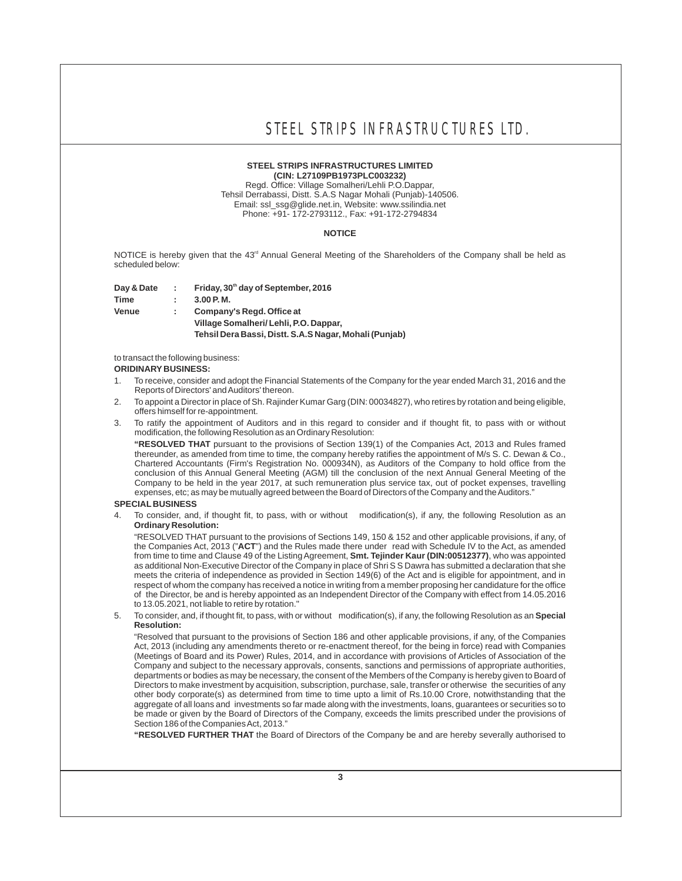#### **STEEL STRIPS INFRASTRUCTURES LIMITED (CIN: L27109PB1973PLC003232)**

Regd. Office: Village Somalheri/Lehli P.O.Dappar, Tehsil Derrabassi, Distt. S.A.S Nagar Mohali (Punjab)-140506. Email: ssl\_ssg@glide.net.in, Website: www.ssilindia.net Phone: +91- 172-2793112., Fax: +91-172-2794834

#### **NOTICE**

NOTICE is hereby given that the  $43<sup>rd</sup>$  Annual General Meeting of the Shareholders of the Company shall be held as scheduled below:

**th Day & Date : Friday, 30 day of September, 2016 Time : 3.00 P. M.**

**Venue : Company's Regd. Office at Village Somalheri/ Lehli, P.O. Dappar, Tehsil Dera Bassi, Distt. S.A.S Nagar, Mohali (Punjab)**

to transact the following business:

#### **ORIDINARY BUSINESS:**

- 1. To receive, consider and adopt the Financial Statements of the Company for the year ended March 31, 2016 and the Reports of Directors' and Auditors' thereon.
- 2. To appoint a Director in place of Sh. Rajinder Kumar Garg (DIN: 00034827), who retires by rotation and being eligible, offers himself for re-appointment.
- 3. To ratify the appointment of Auditors and in this regard to consider and if thought fit, to pass with or without modification, the following Resolution as an Ordinary Resolution:

**"RESOLVED THAT** pursuant to the provisions of Section 139(1) of the Companies Act, 2013 and Rules framed thereunder, as amended from time to time, the company hereby ratifies the appointment of M/s S. C. Dewan & Co., Chartered Accountants (Firm's Registration No. 000934N), as Auditors of the Company to hold office from the conclusion of this Annual General Meeting (AGM) till the conclusion of the next Annual General Meeting of the Company to be held in the year 2017, at such remuneration plus service tax, out of pocket expenses, travelling expenses, etc; as may be mutually agreed between the Board of Directors of the Company and the Auditors."

#### **SPECIAL BUSINESS**

4. To consider, and, if thought fit, to pass, with or without modification(s), if any, the following Resolution as an **Ordinary Resolution:**

"RESOLVED THAT pursuant to the provisions of Sections 149, 150 & 152 and other applicable provisions, if any, of the Companies Act, 2013 ("**ACT**") and the Rules made there under read with Schedule IV to the Act, as amended from time to time and Clause 49 of the Listing Agreement, **Smt. Tejinder Kaur (DIN:00512377)**, who was appointed as additional Non-Executive Director of the Company in place of Shri S S Dawra has submitted a declaration that she meets the criteria of independence as provided in Section 149(6) of the Act and is eligible for appointment, and in respect of whom the company has received a notice in writing from a member proposing her candidature for the office of the Director, be and is hereby appointed as an Independent Director of the Company with effect from 14.05.2016 to 13.05.2021, not liable to retire by rotation."

5. To consider, and, if thought fit, to pass, with or without modification(s), if any, the following Resolution as an **Special Resolution:**

"Resolved that pursuant to the provisions of Section 186 and other applicable provisions, if any, of the Companies Act, 2013 (including any amendments thereto or re-enactment thereof, for the being in force) read with Companies (Meetings of Board and its Power) Rules, 2014, and in accordance with provisions of Articles of Association of the Company and subject to the necessary approvals, consents, sanctions and permissions of appropriate authorities, departments or bodies as may be necessary, the consent of the Members of the Company is hereby given to Board of Directors to make investment by acquisition, subscription, purchase, sale, transfer or otherwise the securities of any other body corporate(s) as determined from time to time upto a limit of Rs.10.00 Crore, notwithstanding that the aggregate of all loans and investments so far made along with the investments, loans, guarantees or securities so to be made or given by the Board of Directors of the Company, exceeds the limits prescribed under the provisions of Section 186 of the Companies Act, 2013."

**"RESOLVED FURTHER THAT** the Board of Directors of the Company be and are hereby severally authorised to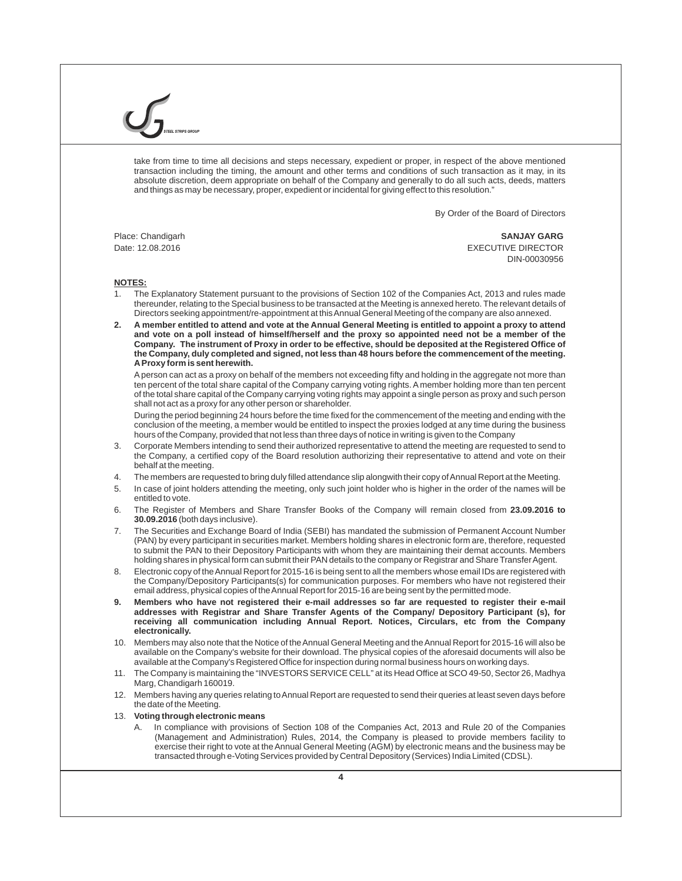take from time to time all decisions and steps necessary, expedient or proper, in respect of the above mentioned transaction including the timing, the amount and other terms and conditions of such transaction as it may, in its absolute discretion, deem appropriate on behalf of the Company and generally to do all such acts, deeds, matters and things as may be necessary, proper, expedient or incidental for giving effect to this resolution."

By Order of the Board of Directors

Place: Chandigarh **SANJAY GARG** Date: 12.08.2016 EXECUTIVE DIRECTOR DIN-00030956

#### **NOTES:**

- 1. The Explanatory Statement pursuant to the provisions of Section 102 of the Companies Act, 2013 and rules made thereunder, relating to the Special business to be transacted at the Meeting is annexed hereto. The relevant details of Directors seeking appointment/re-appointment at this Annual General Meeting of the company are also annexed.
- **2. A member entitled to attend and vote at the Annual General Meeting is entitled to appoint a proxy to attend and vote on a poll instead of himself/herself and the proxy so appointed need not be a member of the Company. The instrument of Proxy in order to be effective, should be deposited at the Registered Office of the Company, duly completed and signed, not less than 48 hours before the commencement of the meeting. AProxy form is sent herewith.**

Aperson can act as a proxy on behalf of the members not exceeding fifty and holding in the aggregate not more than ten percent of the total share capital of the Company carrying voting rights. A member holding more than ten percent of the total share capital of the Company carrying voting rights may appoint a single person as proxy and such person shall not act as a proxy for any other person or shareholder.

During the period beginning 24 hours before the time fixed for the commencement of the meeting and ending with the conclusion of the meeting, a member would be entitled to inspect the proxies lodged at any time during the business hours of the Company, provided that not less than three days of notice in writing is given to the Company

- 3. Corporate Members intending to send their authorized representative to attend the meeting are requested to send to the Company, a certified copy of the Board resolution authorizing their representative to attend and vote on their behalf at the meeting.
- 4. The members are requested to bring duly filled attendance slip alongwith their copy of Annual Report at the Meeting.
- 5. In case of joint holders attending the meeting, only such joint holder who is higher in the order of the names will be entitled to vote.
- 6. The Register of Members and Share Transfer Books of the Company will remain closed from **23.09.2016 to 30.09.2016** (both days inclusive).
- 7. The Securities and Exchange Board of India (SEBI) has mandated the submission of Permanent Account Number (PAN) by every participant in securities market. Members holding shares in electronic form are, therefore, requested to submit the PAN to their Depository Participants with whom they are maintaining their demat accounts. Members holding shares in physical form can submit their PAN details to the company or Registrar and Share Transfer Agent.
- 8. Electronic copy of the Annual Report for 2015-16 is being sent to all the members whose email IDs are registered with the Company/Depository Participants(s) for communication purposes. For members who have not registered their email address, physical copies of the Annual Report for 2015-16 are being sent by the permitted mode.
- **9. Members who have not registered their e-mail addresses so far are requested to register their e-mail addresses with Registrar and Share Transfer Agents of the Company/ Depository Participant (s), for receiving all communication including Annual Report. Notices, Circulars, etc from the Company electronically.**
- 10. Members may also note that the Notice of the Annual General Meeting and the Annual Report for 2015-16 will also be available on the Company's website for their download. The physical copies of the aforesaid documents will also be available at the Company's Registered Office for inspection during normal business hours on working days.
- 11. The Company is maintaining the "INVESTORS SERVICE CELL" at its Head Office at SCO 49-50, Sector 26, Madhya Marg, Chandigarh 160019.
- 12. Members having any queries relating to Annual Report are requested to send their queries at least seven days before the date of the Meeting.

#### 13. **Voting through electronic means**

In compliance with provisions of Section 108 of the Companies Act, 2013 and Rule 20 of the Companies (Management and Administration) Rules, 2014, the Company is pleased to provide members facility to exercise their right to vote at the Annual General Meeting (AGM) by electronic means and the business may be transacted through e-Voting Services provided by Central Depository (Services) India Limited (CDSL).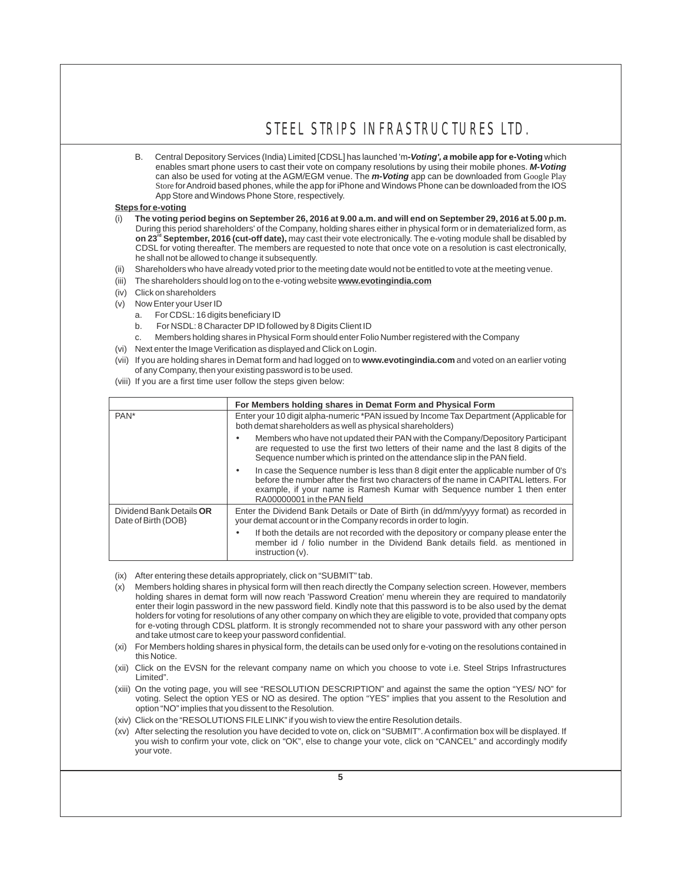B. Central Depository Services (India) Limited [CDSL] has launched 'm*-Voting', a* **mobile app for e-Voting** which enables smart phone users to cast their vote on company resolutions by using their mobile phones. *M-Voting* can also be used for voting at the AGM/EGM venue. The *m-Voting* app can be downloaded from Google Play Store for Android based phones, while the app for iPhone and Windows Phone can be downloaded from the IOS App Store and Windows Phone Store, respectively.

#### **Steps for e-voting**

- (i) **The voting period begins on September 26, 2016 at 9.00 a.m. and will end on September 29, 2016 at 5.00 p.m.**  During this period shareholders' of the Company, holding shares either in physical form or in dematerialized form, as **rd on 23 September, 2016 (cut-off date),** may cast their vote electronically. The e-voting module shall be disabled by CDSL for voting thereafter. The members are requested to note that once vote on a resolution is cast electronically, he shall not be allowed to change it subsequently.
- Shareholders who have already voted prior to the meeting date would not be entitled to vote at the meeting venue.
- (iii) The shareholders should log on to the e-voting website **www.evotingindia.com**
- (iv) Click on shareholders
- (v) Now Enter your User ID
	- a. For CDSL: 16 digits beneficiary ID
	- b. For NSDL: 8 Character DPID followed by 8 Digits Client ID
	- c. Members holding shares in Physical Form should enter Folio Number registered with the Company
- (vi) Next enter the Image Verification as displayed and Click on Login.
- (vii) If you are holding shares in Demat form and had logged on to **www.evotingindia.com** and voted on an earlier voting of any Company, then your existing password is to be used.
- (viii) If you are a first time user follow the steps given below:

|                                                 | For Members holding shares in Demat Form and Physical Form                                                                                                                                                                                                                            |
|-------------------------------------------------|---------------------------------------------------------------------------------------------------------------------------------------------------------------------------------------------------------------------------------------------------------------------------------------|
| PAN <sup>*</sup>                                | Enter your 10 digit alpha-numeric *PAN issued by Income Tax Department (Applicable for<br>both demat shareholders as well as physical shareholders)                                                                                                                                   |
|                                                 | Members who have not updated their PAN with the Company/Depository Participant<br>are requested to use the first two letters of their name and the last 8 digits of the<br>Sequence number which is printed on the attendance slip in the PAN field.                                  |
|                                                 | In case the Sequence number is less than 8 digit enter the applicable number of 0's<br>before the number after the first two characters of the name in CAPITAL letters. For<br>example, if your name is Ramesh Kumar with Sequence number 1 then enter<br>RA00000001 in the PAN field |
| Dividend Bank Details OR<br>Date of Birth (DOB) | Enter the Dividend Bank Details or Date of Birth (in dd/mm/yyyy format) as recorded in<br>your demat account or in the Company records in order to login.                                                                                                                             |
|                                                 | If both the details are not recorded with the depository or company please enter the<br>member id / folio number in the Dividend Bank details field. as mentioned in<br>$instruction (v)$ .                                                                                           |

- (ix) After entering these details appropriately, click on "SUBMIT" tab.
- (x) Members holding shares in physical form will then reach directly the Company selection screen. However, members holding shares in demat form will now reach 'Password Creation' menu wherein they are required to mandatorily enter their login password in the new password field. Kindly note that this password is to be also used by the demat holders for voting for resolutions of any other company on which they are eligible to vote, provided that company opts for e-voting through CDSL platform. It is strongly recommended not to share your password with any other person and take utmost care to keep your password confidential.
- (xi) For Members holding shares in physical form, the details can be used only for e-voting on the resolutions contained in this Notice.
- (xii) Click on the EVSN for the relevant company name on which you choose to vote i.e. Steel Strips Infrastructures Limited".
- (xiii) On the voting page, you will see "RESOLUTION DESCRIPTION" and against the same the option "YES/ NO" for voting. Select the option YES or NO as desired. The option "YES" implies that you assent to the Resolution and option "NO" implies that you dissent to the Resolution.
- (xiv) Click on the "RESOLUTIONS FILE LINK" if you wish to view the entire Resolution details.
- (xv) After selecting the resolution you have decided to vote on, click on "SUBMIT". Aconfirmation box will be displayed. If you wish to confirm your vote, click on "OK", else to change your vote, click on "CANCEL" and accordingly modify your vote.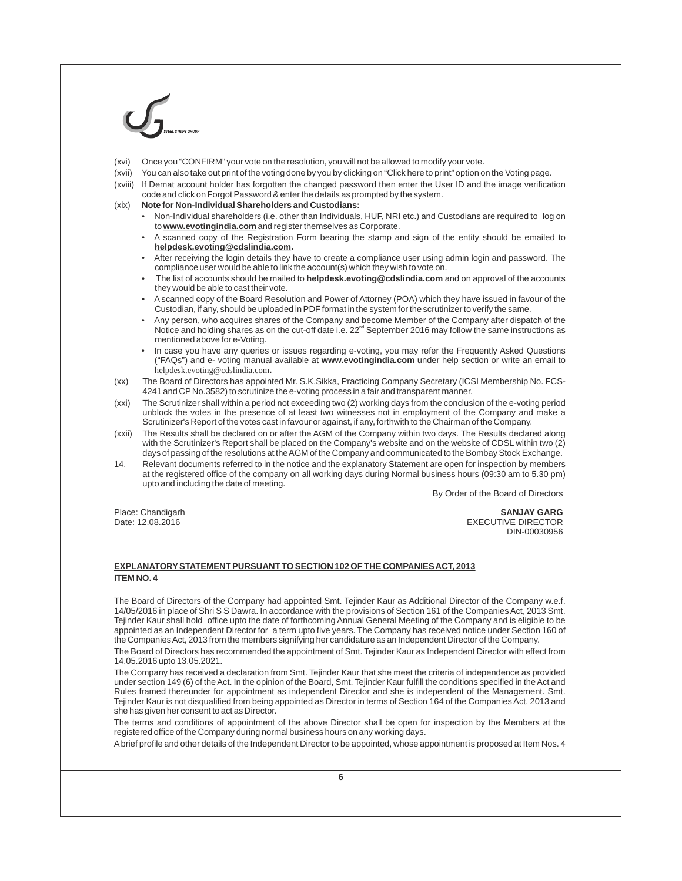- (xvi) Once you "CONFIRM" your vote on the resolution, you will not be allowed to modify your vote.
- (xvii) You can also take out print of the voting done by you by clicking on "Click here to print" option on the Voting page.
- (xviii) If Demat account holder has forgotten the changed password then enter the User ID and the image verification code and click on Forgot Password & enter the details as prompted by the system.
- (xix) **Note for Non-Individual Shareholders and Custodians:**
	- Non-Individual shareholders (i.e. other than Individuals, HUF, NRI etc.) and Custodians are required to log on to **www.evotingindia.com** and register themselves as Corporate.
	- A scanned copy of the Registration Form bearing the stamp and sign of the entity should be emailed to **helpdesk.evoting@cdslindia.com.**
	- After receiving the login details they have to create a compliance user using admin login and password. The compliance user would be able to link the account(s) which they wish to vote on.
	- The list of accounts should be mailed to **helpdesk.evoting@cdslindia.com** and on approval of the accounts they would be able to cast their vote.
	- A scanned copy of the Board Resolution and Power of Attorney (POA) which they have issued in favour of the Custodian, if any, should be uploaded in PDF format in the system for the scrutinizer to verify the same.
	- Any person, who acquires shares of the Company and become Member of the Company after dispatch of the Notice and holding shares as on the cut-off date i.e.  $22<sup>nd</sup>$  September 2016 may follow the same instructions as mentioned above for e-Voting.
	- In case you have any queries or issues regarding e-voting, you may refer the Frequently Asked Questions ("FAQs") and e- voting manual available at **www.evotingindia.com** under help section or write an email to helpdesk.evoting@cdslindia.com**.**
- (xx) The Board of Directors has appointed Mr. S.K.Sikka, Practicing Company Secretary (ICSI Membership No. FCS-4241 and CP No.3582) to scrutinize the e-voting process in a fair and transparent manner.
- (xxi) The Scrutinizer shall within a period not exceeding two (2) working days from the conclusion of the e-voting period unblock the votes in the presence of at least two witnesses not in employment of the Company and make a Scrutinizer's Report of the votes cast in favour or against, if any, forthwith to the Chairman of the Company.
- (xxii) The Results shall be declared on or after the AGM of the Company within two days. The Results declared along with the Scrutinizer's Report shall be placed on the Company's website and on the website of CDSL within two (2) days of passing of the resolutions at the AGM of the Company and communicated to the Bombay Stock Exchange.
- 14. Relevant documents referred to in the notice and the explanatory Statement are open for inspection by members at the registered office of the company on all working days during Normal business hours (09:30 am to 5.30 pm) upto and including the date of meeting.

By Order of the Board of Directors

Place: Chandigarh **SANJAY GARG EXECUTIVE DIRECTOR** DIN-00030956

#### **EXPLANATORYSTATEMENT PURSUANT TO SECTION 102 OF THE COMPANIES ACT, 2013 ITEM NO. 4**

The Board of Directors of the Company had appointed Smt. Tejinder Kaur as Additional Director of the Company w.e.f. 14/05/2016 in place of Shri S S Dawra. In accordance with the provisions of Section 161 of the Companies Act, 2013 Smt. Tejinder Kaur shall hold office upto the date of forthcoming Annual General Meeting of the Company and is eligible to be appointed as an Independent Director for a term upto five years. The Company has received notice under Section 160 of the Companies Act, 2013 from the members signifying her candidature as an Independent Director of the Company.

The Board of Directors has recommended the appointment of Smt. Tejinder Kaur as Independent Director with effect from 14.05.2016 upto 13.05.2021.

The Company has received a declaration from Smt. Tejinder Kaur that she meet the criteria of independence as provided under section 149 (6) of the Act. In the opinion of the Board, Smt. Tejinder Kaur fulfill the conditions specified in the Act and Rules framed thereunder for appointment as independent Director and she is independent of the Management. Smt. Tejinder Kaur is not disqualified from being appointed as Director in terms of Section 164 of the Companies Act, 2013 and she has given her consent to act as Director.

The terms and conditions of appointment of the above Director shall be open for inspection by the Members at the registered office of the Company during normal business hours on any working days.

Abrief profile and other details of the Independent Director to be appointed, whose appointment is proposed at Item Nos. 4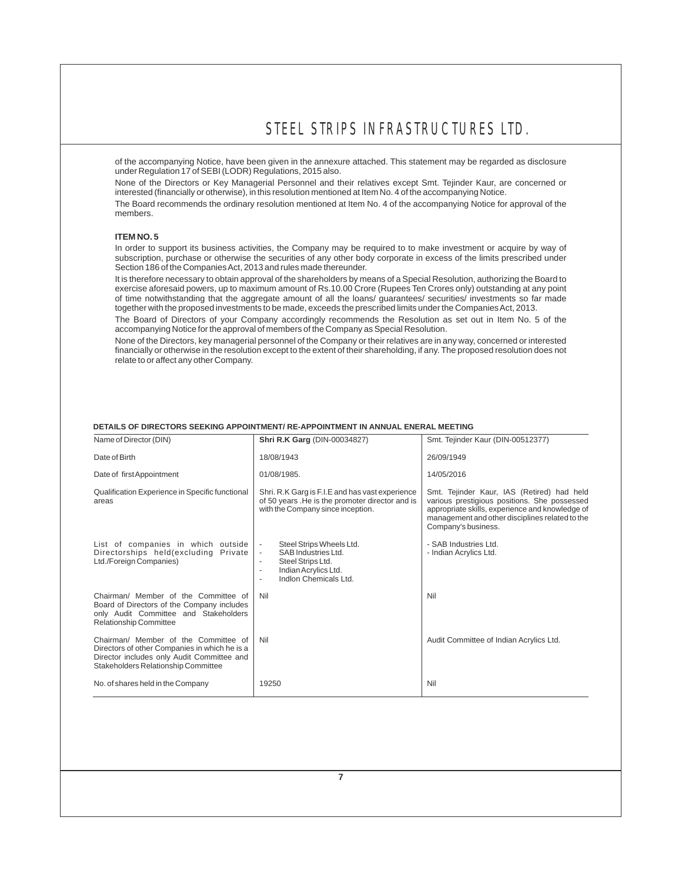of the accompanying Notice, have been given in the annexure attached. This statement may be regarded as disclosure under Regulation 17 of SEBI (LODR) Regulations, 2015 also.

None of the Directors or Key Managerial Personnel and their relatives except Smt. Tejinder Kaur, are concerned or interested (financially or otherwise), in this resolution mentioned at Item No. 4 of the accompanying Notice.

The Board recommends the ordinary resolution mentioned at Item No. 4 of the accompanying Notice for approval of the members.

#### **ITEM NO. 5**

In order to support its business activities, the Company may be required to to make investment or acquire by way of subscription, purchase or otherwise the securities of any other body corporate in excess of the limits prescribed under Section 186 of the Companies Act, 2013 and rules made thereunder.

It is therefore necessary to obtain approval of the shareholders by means of a Special Resolution, authorizing the Board to exercise aforesaid powers, up to maximum amount of Rs.10.00 Crore (Rupees Ten Crores only) outstanding at any point of time notwithstanding that the aggregate amount of all the loans/ guarantees/ securities/ investments so far made together with the proposed investments to be made, exceeds the prescribed limits under the Companies Act, 2013.

The Board of Directors of your Company accordingly recommends the Resolution as set out in Item No. 5 of the accompanying Notice for the approval of members of the Company as Special Resolution.

None of the Directors, key managerial personnel of the Company or their relatives are in any way, concerned or interested financially or otherwise in the resolution except to the extent of their shareholding, if any. The proposed resolution does not relate to or affect any other Company.

| Name of Director (DIN)                                                                                                                                                     | Shri R.K Garg (DIN-00034827)                                                                                                                           | Smt. Tejinder Kaur (DIN-00512377)                                                                                                                                                                                       |
|----------------------------------------------------------------------------------------------------------------------------------------------------------------------------|--------------------------------------------------------------------------------------------------------------------------------------------------------|-------------------------------------------------------------------------------------------------------------------------------------------------------------------------------------------------------------------------|
| Date of Birth                                                                                                                                                              | 18/08/1943                                                                                                                                             | 26/09/1949                                                                                                                                                                                                              |
| Date of first Appointment                                                                                                                                                  | 01/08/1985.                                                                                                                                            | 14/05/2016                                                                                                                                                                                                              |
| Qualification Experience in Specific functional<br>areas                                                                                                                   | Shri. R.K Garg is F.I.E and has vast experience<br>of 50 years. He is the promoter director and is<br>with the Company since inception.                | Smt. Tejinder Kaur, IAS (Retired) had held<br>various prestigious positions. She possessed<br>appropriate skills, experience and knowledge of<br>management and other disciplines related to the<br>Company's business. |
| List of companies in which outside<br>Directorships held(excluding Private<br>Ltd./Foreign Companies)                                                                      | Steel Strips Wheels Ltd.<br>SAB Industries Ltd.<br>$\overline{\phantom{a}}$<br>Steel Strips Ltd.<br>Indian Acrylics Ltd.<br>٠<br>Indion Chemicals Ltd. | - SAB Industries Ltd.<br>- Indian Acrylics Ltd.                                                                                                                                                                         |
| Chairman/ Member of the Committee of<br>Board of Directors of the Company includes<br>only Audit Committee and Stakeholders<br><b>Relationship Committee</b>               | Nil                                                                                                                                                    | Nil                                                                                                                                                                                                                     |
| Chairman/ Member of the Committee of<br>Directors of other Companies in which he is a<br>Director includes only Audit Committee and<br>Stakeholders Relationship Committee | Nil                                                                                                                                                    | Audit Committee of Indian Acrylics Ltd.                                                                                                                                                                                 |
| No. of shares held in the Company                                                                                                                                          | 19250                                                                                                                                                  | Nil                                                                                                                                                                                                                     |

#### **DETAILS OF DIRECTORS SEEKING APPOINTMENT/ RE-APPOINTMENT IN ANNUAL ENERAL MEETING**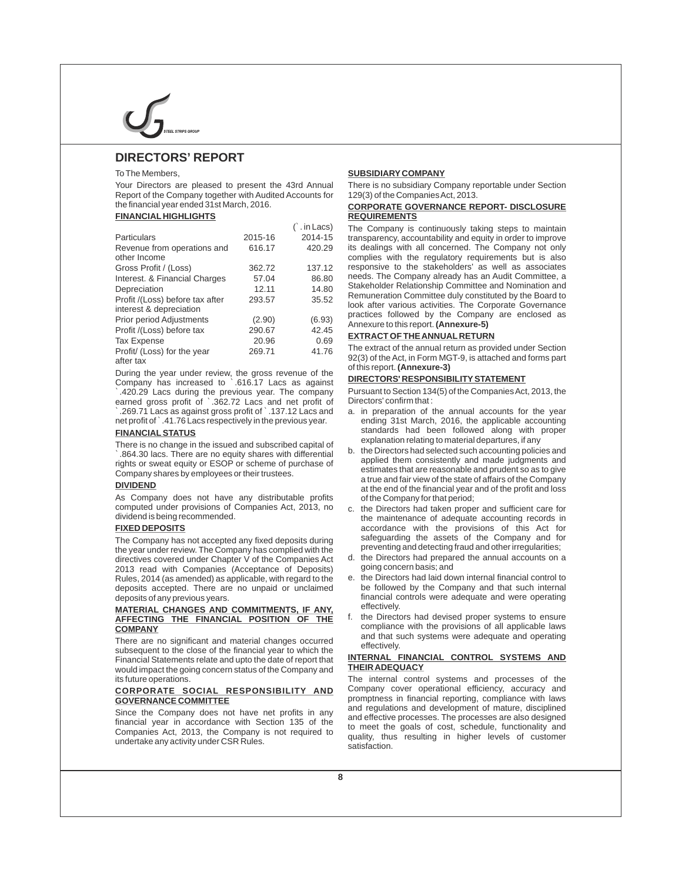### **DIRECTORS' REPORT**

Your Directors are pleased to present the 43rd Annual There is no subsidiary Company reportable under Section<br>Report of the Company together with Audited Accounts for 129(3) of the Companies Act, 2013. Report of the Company together with Audited Accounts for

#### **FINANCIAL HIGHLIGHTS REQUIREMENTS**

|                                                            |         | `. in Lacs) | The Company is continuously taking steps to maintain                                                                      |
|------------------------------------------------------------|---------|-------------|---------------------------------------------------------------------------------------------------------------------------|
| <b>Particulars</b>                                         | 2015-16 | 2014-15     | transparency, accountability and equity in order to improve                                                               |
| Revenue from operations and<br>other Income                | 616.17  | 420.29      | its dealings with all concerned. The Company not only<br>complies with the regulatory requirements but is also            |
| Gross Profit / (Loss)                                      | 362.72  | 137.12      | responsive to the stakeholders' as well as associates                                                                     |
| Interest. & Financial Charges                              | 57.04   | 86.80       | needs. The Company already has an Audit Committee, a                                                                      |
| Depreciation                                               | 12.11   | 14.80       | Stakeholder Relationship Committee and Nomination and                                                                     |
| Profit /(Loss) before tax after<br>interest & depreciation | 293.57  | 35.52       | Remuneration Committee duly constituted by the Board to<br>look after various activities. The Corporate Governance        |
| Prior period Adjustments                                   | (2.90)  | (6.93)      | practices followed by the Company are enclosed as<br>Annexure to this report. (Annexure-5)                                |
| Profit /(Loss) before tax                                  | 290.67  | 42.45       |                                                                                                                           |
| Tax Expense                                                | 20.96   | 0.69        | <b>EXTRACT OF THE ANNUAL RETURN</b>                                                                                       |
| Profit/ (Loss) for the year<br>after tav                   | 269.71  | 41.76       | The extract of the annual return as provided under Section<br>92(3) of the Act, in Form MGT-9, is attached and forms part |

`.420.29 Lacs during the previous year. The company Pursuant to Section 134(5) of the Companies Act, 2013, the earned gross profit of `.362.72 Lacs and net profit of <br>`.269.71 Lacs as against gross profit of `.137.12 Lacs and net profit of `.41.76 Lacs respectively in the previous year.

There is no change in the issued and subscribed capital of the Directors had subscribed and subscribed capital of the Directors had selected such accounting policies and<br>The Directors had selected such a counting policies control of the consistently and made judgments and<br>company shares by employees or their trustees.<br>Company shares by employees or their trustees.

As Company does not have any distributable profits of the Company for that period;<br>computed under provisions of Companies Act, 2013, no c. the Directors had taken prope computed under provisions of Companies Act, 2013, no c. the Directors had taken proper and sufficient care for

the year under review. The Company has complied with the preventing and detecting fraud and other irregularities;<br>directives covered under Chapter V of the Companies Act d. the Directors had prepared the annual accounts on directives covered under Chapter V of the Companies Act d. the Directors had prepare<br>2013 read with Companies (Acceptance of Deposits) going concern basis; and 2013 read with Companies (Acceptance of Deposits) going concern basis; and<br>Rules, 2014 (as amended) as applicable, with regard to the e. the Directors had laid down internal financial control to Rules, 2014 (as amended) as applicable, with regard to the e. the Directors had laid down internal financial control to deposits accepted. There are no unpaid or unclaimed be followed by the Company and that such internal deposits accepted. There are no unpaid or unclaimed deposits of any previous years.

## **MATERIAL CHANGES AND COMMITMENTS, IF ANY,** effectively.<br>**AFFECTING THE FINANCIAL POSITION OF THE** f. the Directors had devised proper systems to ensure **AFFECTING THE FINANCIAL POSITION OF THE**

There are no significant and material changes occurred<br>subsequent to the close of the financial year to which the<br>Financial Statements relate and unto the date of report that<br>**INTERNAL FINANCIAL CONTROL SYSTEMS AND Financial Statements relate and upto the date of report that <b>INTERNAL FINAN**<br>Would impact the going concern status of the Company and **THEIR ADEQUACY** would impact the going concern status of the Company and

## **CORPORATE SOCIAL RESPONSIBILITY AND**

#### To The Members, **SUBSIDIARY COMPANY**

## the financial year ended 31st March, 2016. **CORPORATE GOVERNANCE REPORT- DISCLOSURE**

Profit/ (Loss) for the year 269.71 20.30<br>
Profit/ (Loss) for the year 269.71 41.76 The extract of the annual return as provided under Section<br>
after tax<br>
During the year under review, the gross revenue of the of this repor

- a. in preparation of the annual accounts for the year ending 31st March, 2016, the applicable accounting **FINANCIAL STATUS** standards had been followed along with proper<br>There is no change in the insued and subscribed copital of explanation relating to material departures, if any
- a true and fair view of the state of affairs of the Company **DIVIDEND** and and and and and and of the state of analysis the Company<br>at the end of the financial year and of the profit and loss
- dividend is being recommended. the maintenance of adequate accounting records in<br>
FIXED DEPOSITS TIMES AND THE RECORD TO A LOCORD AND THE RECORDS OF THIS ACT for accordance with the provisions of this Act for safeguarding the assets of the Company and for The Company has not accepted any fixed deposits during safeguarding the assets of the Company and for The Company has complied with the preventing and detecting fraud and other irregularities;
	-
	- financial controls were adequate and were operating<br>effectively.
- **COMPANY** compliance with the provisions of all applicable laws<br>There are no circuit and material abonness applicant and that such systems were adequate and operating

its future operations.<br> **CORPORATE SOCIAL RESPONSIBILITY AND** Company cover operational efficiency, accuracy and **GOVERNANCE COMMITTEE**<br>City of the Company dense and professional results and regulations and development of mature, disciplined<br>City of the Company dense and have not partial in some and regulations and development of mat Since the Company does not have net profits in any<br>financial year in accordance with Section 135 of the<br>financial year in accordance with Section 135 of the<br>defective processes. The processes are also designed<br>companies Ac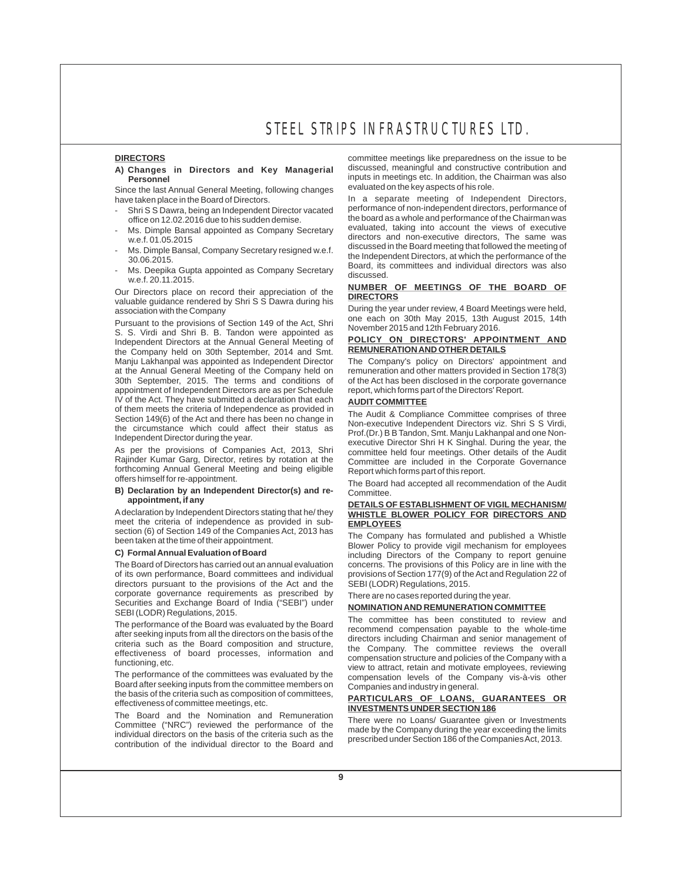## **A) Ch** discussed, meaningful and constructive contribution and **anges in Directors and Key Managerial**

Since the last Annual General Meeting, following changes<br>have taken place in the Board of Directors.

- office on 12.02.2016 due to his sudden demise.
- Ms. Dimple Bansal appointed as Company Secretary
- 
- Ms. Deepika Gupta appointed as Company Secretary discussed. w.e.f. 20.11.2015.

**NUMBER OF MEETINGS OF THE BOARD OF**<br>valuable guidance rendered by Shri S S Dawra during his<br>association with the Company **DIRECTORS** During the year under review, 4 Board Meetings were held,

Pursuant to the provisions of Section 149 of the Act, Shri<br>S. S. Virdi and Shri B. B. Tandon were appointed as<br>Independent Directors at the Annual General Meeting of **POLICY ON DIRECTORS' APPOINTMENT AND** Independent Directors at the Annual General Meeting of **POLICY ON DIRECTORS' APPOIN**<br>the Company held on 30th September 2014 and Smt **REMUNERATION AND OTHER DETAILS** the Company held on 30th September, 2014 and Smt. **REMUNERATION AND OTHER DETAILS**<br>Manju Lakhanpal was appointed as Independent Director The Company's policy on Directors' appointment and Manju Lakhanpal was appointed as Independent Director The Company's policy on Directors' appointment and at the Annual General Meeting of the Company held on 30th September, 2015. The terms and conditions of appointment of Independent Directors are as per Schedule IV of the Act. They have submitted a declaration that each **AUDIT COMMITTEE**  of the time the circumstance which contribute the best and the provided in<br>the circumstance which could affect their status as<br>the circumstance which could affect their status as<br> $\frac{Pof (Dr.) B B T and on, Smt. Manju Lakhangla and one Non-  
Independent Director during the year.$ 

As per the provisions of Companies Act, 2013, Shri committee held four meetings. Other details of the Audit Rajinder Kumar Garg, Director, retires by rotation at the Committee held four meetings. Other details of the Audit forthcoming Annual General Meeting and being eligible Report which forms part of this report.

## **B) Declaration by an Independent Director(s) and re-** appointment, if any

meet the criteria of independence as provided in sub-<br>section (6) of Section 149 of the Companies Act, 2013 has

of its own performance, Board committees and individual provisions of Section 177(9) of the Act and Regulation 22 of directors pursuant to the provisions of the Act and the SEBI (LODR) Regulations, 2015. directors pursuant to the provisions of the Act and the corporate governance requirements as prescribed by There are no cases reported during the year.<br>Securities and Exchange Board of India ("SEBI") under Securities and Exchange Board of India ("SEBI") under **NOMINATION AND REMUNERATION COMMITTEE**<br>SEBI (LODR) Regulations, 2015.<br>The committee has been constituted to review and

effectiveness of board processes, information and

Board after seeking inputs from the committee members on Companies and industry in general.<br>the basis of the criteria such as composition of committees. the basis of the criteria such as composition of committees, **PARTICULARS OF LOANS, GUARANTEES OR**

effectiveness of committee meetings, etc.<br>The Board and the Nomination and Remuneration These wase as Lagge Overantes about Committee ("NRC") reviewed the performance of the There were no Loans/ Guarantee given or Investments<br>
individual directors on the basis of the criteria such as the made by the Company during the year exceeding the limits<br>

**DIRECTORS** committee meetings like preparedness on the issue to be<br>A) Changes in Directors and Key Managerial discussed, meaningful and constructive contribution and **Personnel industry and the personnel inputs in meetings etc. In addition, the Chairman was also**<br>Lee the last Annual General Meeting following changes evaluated on the key aspects of his role.

In a separate meeting of Independent Directors, Shri S S Dawra, being an Independent Director vacated performance of non-independent directors, performance of<br>office on 12.02.2016 due to bis sudden demise<br>the board as a whole and performance of the Chairman was evaluated, taking into account the views of executive w.e.f. 01.05.2015<br>w.e.f. 01.05.2015 discussed in the Board meeting that followed the meeting of<br>the Independent Directors, at which the performance of the Ms. Dimple Bansal, Company Secretary resigned w.e.f. discussed in the Board meeting that followed the meeting or<br>30.06.2015.<br>Board, its committees and individual directors was also

During the year under review, 4 Board Meetings were held, one each on 30th May 2015, 13th August 2015, 14th

of the Act has been disclosed in the corporate governance report, which forms part of the Directors' Report.

executive Director Shri H K Singhal. During the year, the Committee are included in the Corporate Governance

The Board had accepted all recommendation of the Audit<br>Committee.

### **appointment, if any DETAILS OF ESTABLISHMENT OF VIGIL MECHANISM/ WHISTLE BLOWER POLICY FOR DIRECTORS AND**

Section (6) of Section 149 of the Companies Act, 2013 has The Company has formulated and published a Whistle been taken at the time of their appointment.<br> **C)** Formal Annual Evaluation of Board single including Directors o **C) Formal Annual Evaluation of Board** including Directors of the Company to report genuine concerns. The provisions of this Policy are in line with the

The performance of the Board was evaluated by the Board<br>after seeking inputs from all the directors on the basis of the<br>after seeking inputs from all the directors on the basis of the<br>criteria such as the Board composition functioning, etc.<br>Compensation structure and policies of the Company with a functioning, retain and motivate employees, reviewing<br>Compensation levels, of the Company vis-à-vis, other compensation levels of the Company vis-à-vis other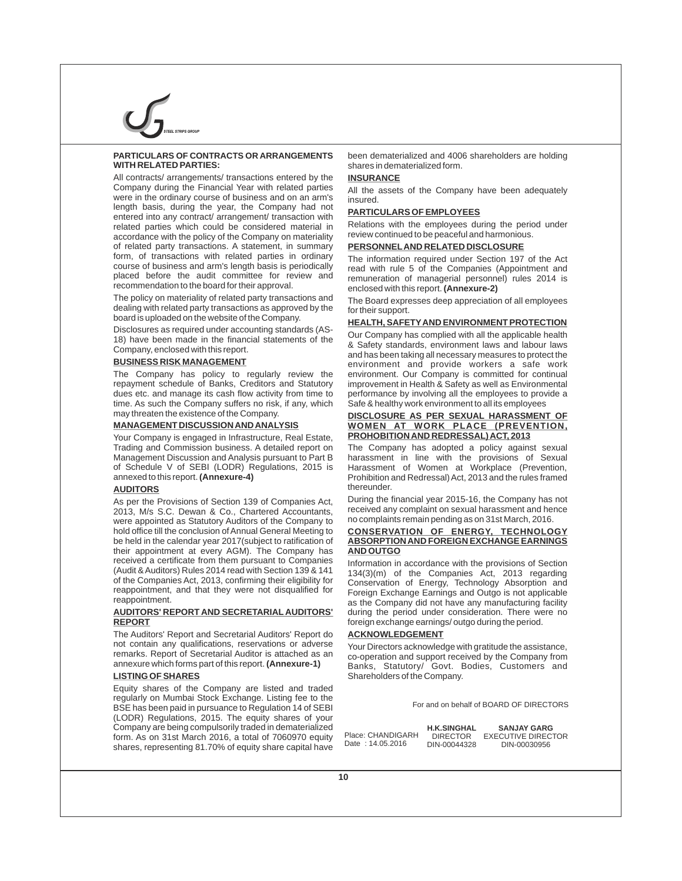## **PARTICULARS OF CONTRACTS OR ARRANGEMENTS** been dematerialized and 4006 shareholders are holding

All contracts/ arrangements/ transactions entered by the **INSURANCE**<br>Company during the Financial Year with related parties All the asset were in the ordinary course of business and on an arm's length basis, during the year, the Company had not length basis, during the year, the Company had not **PARTICULARS OF EMPLOYEES** entered into any contract/ arrangement/ transaction with with the employees during related parties which could be considered material in accordance with the policy of the Company on materiality review continued to be peaceful and harmonious<br>of related party transactions. A statement, in summary **PERSONNEL AND RELATED DISCLOSURE** of related party transactions. A statement, in summary form. of transactions with related parties in ordinary form, of transactions with related parties in ordinary The information required under Section 197 of the Act<br>course of business and arm's length basis is periodically read with rule 5 of the Companies (Appointment and course of business and arm's length basis is periodically read with rule 5 of the Companies (Appointment and placed before the audit committee for review and remuneration of managerial personnel) rules 2014 is placed before the audit committee for review and remuneration of managerial personnel) rules 2014 is<br>recommendation to the board for their approval.

recommendation to the board for their approval.<br>The policy on materiality of related party transactions and The Board expresses deen appreciation dealing with related party transactions as approved by the board is uploaded on the website of the Company.

time. As such the Company suffers no risk, if any, which Safe & healthy work environment to all its employees<br>THECL OSLIBE AS PER SEXUAL HARASSMENT

Your Company is engaged in Infrastructure, Real Estate, Trading and Commission business. A detailed report on The Company has adopted a policy against sexual<br>Management Discussion and Analysis pursuant to Part B harassment in line with the provisions of Sexual of Schedule V of SEBI (LODR) Regulations, 2015 is annexed to this report. (Annexure-4)

2013, M/s S.C. Dewan & Co., Chartered Accountants, received any complaint on sexual harassment and he<br>were appointed as Statutory Auditors of the Company to no complaints remain pending as on 31st March, 2016. were appointed as Statutory Auditors of the Company to complaints remain pending as on 31st March, 2016.<br>hold office till the conclusion of Annual General Meeting to CONSERVATION OF ENERGY, TECHNOLOGY hold office till the conclusion of Annual General Meeting to **CONSERVATION OF ENERGY, TECHNOLOGY** be held in the calendar year 2017(subject to ratification of their appointment at every AGM). The Company has **AND OUTGO** received a certificate from them pursuant to Companies Information in accordance with the provisions of Section<br>(Audit & Auditors) Rules 2014 read with Section 139 & 141 (134(3)(m) of the Companies Act (2013, regarding (Audit & Auditors) Rules 2014 read with Section 139 & 141 134(3)(m) of the Companies Act, 2013 regarding<br>of the Companies Act, 2013, confirming their eligibility for Conservation of Energy Technology Absorption and of the Companies Act, 2013, confirming their eligibility for Conservation of Energy, Technology Absorption and<br>reappointment, and that they were not disqualified for Foreign Exchange Farnings and Qutgo is not applicable reappointment, and that they were not disqualified for Foreign Exchange Earnings and Outgo is not applicable<br>The Company did not have any manufacturing facility

The Auditors' Report and Secretarial Auditors' Report do **ACKNOWLEDGEMENT**<br>not contain any qualifications, reservations or adverse Your Directors acknowled not contain any qualifications, reservations or adverse Your Directors acknowledge with gratitude the assistance,<br>remarks, Report of Secretarial Auditor is attached as an co-operation and support received by the Company fr remarks. Report of Secretarial Auditor is attached as an co-operation and support received by the Company from<br>Annexure which forms part of this report. (Annexure-1) Banks Statutory/ Goyt Bodies Customers, and

Equity shares of the Company are listed and traded regularly on Mumbai Stock Exchange. Listing fee to the BSE has been paid in pursuance to Regulation 14 of SEBI (LODR) Regulations, 2015. The equity shares of your Company are being compulsorily traded in dematerialized form. As on 31st March 2016, a total of 7060970 equity shares, representing 81.70% of equity share capital have

shares in dematerialized form.

All the assets of the Company have been adequately insured.

Relations with the employees during the period under review continued to be peaceful and harmonious.

The Board expresses deep appreciation of all employees<br>for their support.

### **HEALTH, SAFETYAND ENVIRONMENT PROTECTION**

Disclosures as required under accounting standards (AS-<br>
18) have been made in the financial statements of the<br>
Company, enclosed with this report.<br> **BUSINESS RISK MANAGEMENT**<br> **BUSINESS RISK MANAGEMENT**<br>
A Safety standard **BUSINESS RISK MANAGEMENT** environment and provide workers a safe work The Company has policy to regularly review the environment. Our Company is committed for continual repayment schedule of Banks, Creditors and Statutory improvement in Health & Safety as well as Environmental dues etc.<br>Gues etc. and manage its cash flow activity from time to performance by involving all the employees to dues etc. and manage its cash flow activity from time to performance by involving all the employees to provide a<br>time. As such the Company suffers no risk, if any, which Safe & healthy work environment to all its employees

## may threaten the existence of the Company. **DISCLOSURE AS PER SEXUAL HARASSMENT OF MANAGEMENT DISCUSSION AND ANALYSIS WOMEN AT WORK PLACE (PREVENTION,**

harassment in line with the provisions of Sexual Harassment of Women at Workplace (Prevention, Prohibition and Redressal) Act, 2013 and the rules framed<br>thereunder.

**AUDITORS** thereunder.<br>As per the Provisions of Section 139 of Companies Act During the financial year 2015-16, the Company has not As per the Provisions of Section 139 of Companies Act, During the financial year 2015-16, the Company has not<br>2013, M/s S.C. Dewan, & Co. Chartered Accountants received any complaint on sexual harassment and hence

reappointment.<br>**AUDITORS' REPORT AND SECRETARIAL AUDITORS'** during the period under consideration. There were no **AUDITORS' REPORT AND SECRETARIAL AUDITORS'** during the period under consideration. There were no foreign exchange earnings/ outgo during the period.

annexure which forms part of this report. **(Annexure-1)** Banks, Statutory/ Govt. Bodies, Customers and **Shareholders of the Company.** 

For and on behalf of BOARD OF DIRECTORS

Place: CHANDIGARH Date : 14.05.2016 DIN-00044328

**SANJAY GARG** EXECUTIVE DIRECTOR DIN-00030956 **H.K.SINGHAL**  DIRECTOR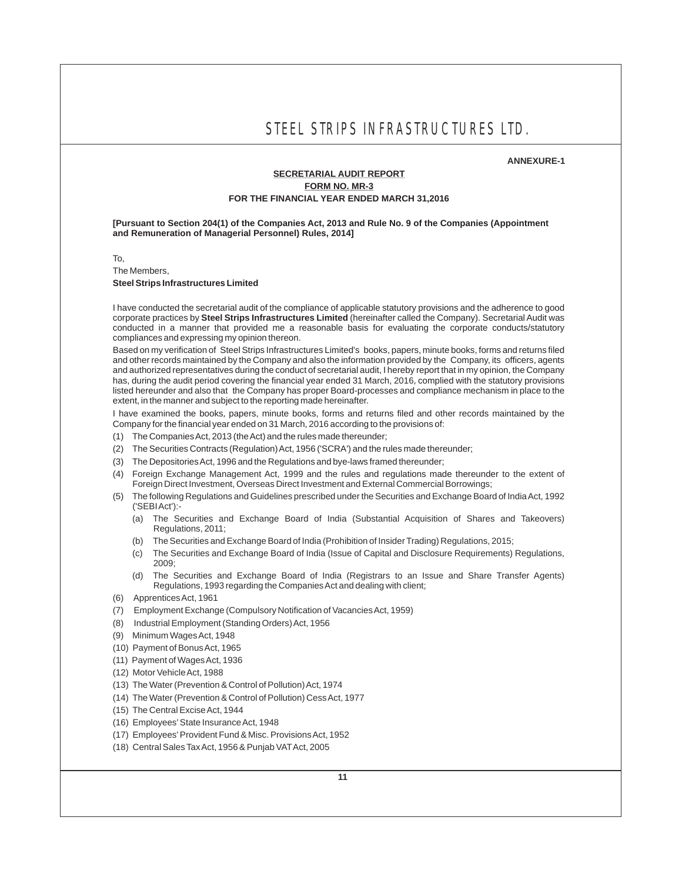#### **ANNEXURE-1**

### **SECRETARIAL AUDIT REPORT FORM NO. MR-3 FOR THE FINANCIAL YEAR ENDED MARCH 31,2016**

**[Pursuant to Section 204(1) of the Companies Act, 2013 and Rule No. 9 of the Companies (Appointment and Remuneration of Managerial Personnel) Rules, 2014]**

To,

The Members,

**Steel Strips Infrastructures Limited** 

I have conducted the secretarial audit of the compliance of applicable statutory provisions and the adherence to good corporate practices by **Steel Strips Infrastructures Limited** (hereinafter called the Company). Secretarial Audit was conducted in a manner that provided me a reasonable basis for evaluating the corporate conducts/statutory compliances and expressing my opinion thereon.

Based on my verification of Steel Strips Infrastructures Limited's books, papers, minute books, forms and returns filed and other records maintained by the Company and also the information provided by the Company, its officers, agents and authorized representatives during the conduct of secretarial audit, I hereby report that in my opinion, the Company has, during the audit period covering the financial year ended 31 March, 2016, complied with the statutory provisions listed hereunder and also that the Company has proper Board-processes and compliance mechanism in place to the extent, in the manner and subject to the reporting made hereinafter.

I have examined the books, papers, minute books, forms and returns filed and other records maintained by the Company for the financial year ended on 31 March, 2016 according to the provisions of:

- (1) The Companies Act, 2013 (the Act) and the rules made thereunder;
- (2) The Securities Contracts (Regulation) Act, 1956 ('SCRA') and the rules made thereunder;
- (3) The Depositories Act, 1996 and the Regulations and bye-laws framed thereunder;
- (4) Foreign Exchange Management Act, 1999 and the rules and regulations made thereunder to the extent of Foreign Direct Investment, Overseas Direct Investment and External Commercial Borrowings;
- (5) The following Regulations and Guidelines prescribed under the Securities and Exchange Board of India Act, 1992 ('SEBI Act'):-
	- (a) The Securities and Exchange Board of India (Substantial Acquisition of Shares and Takeovers) Regulations, 2011;
	- (b) The Securities and Exchange Board of India (Prohibition of Insider Trading) Regulations, 2015;
	- (c) The Securities and Exchange Board of India (Issue of Capital and Disclosure Requirements) Regulations, 2009;
	- (d) The Securities and Exchange Board of India (Registrars to an Issue and Share Transfer Agents) Regulations, 1993 regarding the Companies Act and dealing with client;
- (6) Apprentices Act, 1961
- (7) Employment Exchange (Compulsory Notification of Vacancies Act, 1959)
- (8) Industrial Employment (Standing Orders) Act, 1956
- (9) Minimum Wages Act, 1948
- (10) Payment of Bonus Act, 1965
- (11) Payment of Wages Act, 1936
- (12) Motor Vehicle Act, 1988
- (13) The Water (Prevention & Control of Pollution) Act, 1974
- (14) The Water (Prevention & Control of Pollution) Cess Act, 1977
- (15) The Central Excise Act, 1944
- (16) Employees' State Insurance Act, 1948
- (17) Employees' Provident Fund & Misc. Provisions Act, 1952
- (18) Central Sales Tax Act, 1956 & Punjab VATAct, 2005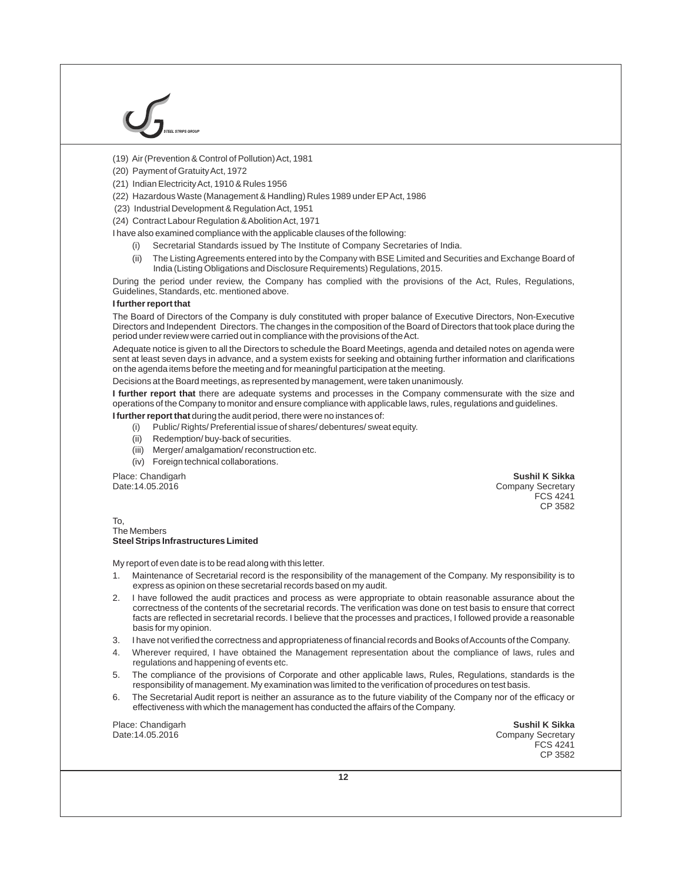### (19) Air (Prevention & Control of Pollution) Act, 1981

- (20) Payment of Gratuity Act, 1972
- (21) Indian Electricity Act, 1910 & Rules 1956
- (22) Hazardous Waste (Management & Handling) Rules 1989 under EPAct, 1986
- (23) Industrial Development & Regulation Act, 1951
- (24) Contract Labour Regulation & Abolition Act, 1971
- I have also examined compliance with the applicable clauses of the following:
	- (i) Secretarial Standards issued by The Institute of Company Secretaries of India.
	- The Listing Agreements entered into by the Company with BSE Limited and Securities and Exchange Board of India (Listing Obligations and Disclosure Requirements) Regulations, 2015. (ii)

During the period under review, the Company has complied with the provisions of the Act, Rules, Regulations, Guidelines, Standards, etc. mentioned above.

#### **I further report that**

The Board of Directors of the Company is duly constituted with proper balance of Executive Directors, Non-Executive Directors and Independent Directors. The changes in the composition of the Board of Directors that took place during the period under review were carried out in compliance with the provisions of the Act.

Adequate notice is given to all the Directors to schedule the Board Meetings, agenda and detailed notes on agenda were sent at least seven days in advance, and a system exists for seeking and obtaining further information and clarifications on the agenda items before the meeting and for meaningful participation at the meeting.

Decisions at the Board meetings, as represented by management, were taken unanimously.

**I further report that** there are adequate systems and processes in the Company commensurate with the size and operations of the Company to monitor and ensure compliance with applicable laws, rules, regulations and guidelines.

**I further report that** during the audit period, there were no instances of:

- (i) Public/ Rights/ Preferential issue of shares/ debentures/ sweat equity.
- (ii) Redemption/ buy-back of securities.
- (iii) Merger/ amalgamation/ reconstruction etc.
- (iv) Foreign technical collaborations.

Place: Chandigarh Date:14.05.2016

**Sushil K Sikka**  Company Secretary FCS 4241 CP 3582

#### To, The Members **Steel Strips Infrastructures Limited**

My report of even date is to be read along with this letter.

- 1. Maintenance of Secretarial record is the responsibility of the management of the Company. My responsibility is to express as opinion on these secretarial records based on my audit.
- 2. I have followed the audit practices and process as were appropriate to obtain reasonable assurance about the correctness of the contents of the secretarial records. The verification was done on test basis to ensure that correct facts are reflected in secretarial records. I believe that the processes and practices, I followed provide a reasonable basis for my opinion.
- 3. I have not verified the correctness and appropriateness of financial records and Books of Accounts of the Company.
- 4. Wherever required, I have obtained the Management representation about the compliance of laws, rules and regulations and happening of events etc.
- 5. The compliance of the provisions of Corporate and other applicable laws, Rules, Regulations, standards is the responsibility of management. My examination was limited to the verification of procedures on test basis.
- 6. The Secretarial Audit report is neither an assurance as to the future viability of the Company nor of the efficacy or effectiveness with which the management has conducted the affairs of the Company.

Place: Chandigarh Date:14.05.2016

**Sushil K Sikka**  Company Secretary FCS 4241 CP 3582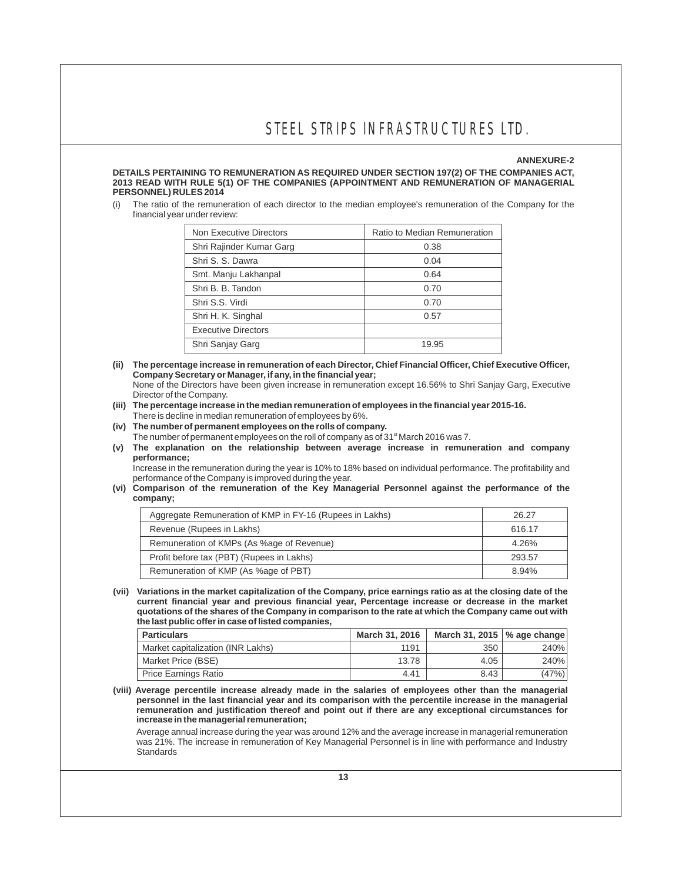#### **ANNEXURE-2**

**DETAILS PERTAINING TO REMUNERATION AS REQUIRED UNDER SECTION 197(2) OF THE COMPANIES ACT, 2013 READ WITH RULE 5(1) OF THE COMPANIES (APPOINTMENT AND REMUNERATION OF MANAGERIAL PERSONNEL) RULES 2014**

(i) The ratio of the remuneration of each director to the median employee's remuneration of the Company for the financial year under review:

| Non Executive Directors    | Ratio to Median Remuneration |
|----------------------------|------------------------------|
| Shri Rajinder Kumar Garg   | 0.38                         |
| Shri S. S. Dawra           | 0.04                         |
| Smt. Manju Lakhanpal       | 0.64                         |
| Shri B. B. Tandon          | 0.70                         |
| Shri S.S. Virdi            | 0.70                         |
| Shri H. K. Singhal         | 0.57                         |
| <b>Executive Directors</b> |                              |
| Shri Sanjay Garg           | 19.95                        |

- **(ii) The percentage increase in remuneration of each Director, Chief Financial Officer, Chief Executive Officer, Company Secretary or Manager, if any, in the financial year;** None of the Directors have been given increase in remuneration except 16.56% to Shri Sanjay Garg, Executive
- Director of the Company. **(iii) The percentage increase in the median remuneration of employees in the financial year 2015-16.**  There is decline in median remuneration of employees by 6%.
- **(iv) The number of permanent employees on the rolls of company.**
- The number of permanent employees on the roll of company as of 31<sup>st</sup> March 2016 was 7.
- **(v) The explanation on the relationship between average increase in remuneration and company performance;**

Increase in the remuneration during the year is 10% to 18% based on individual performance. The profitability and performance of the Company is improved during the year.

#### **(vi) Comparison of the remuneration of the Key Managerial Personnel against the performance of the company;**

| Aggregate Remuneration of KMP in FY-16 (Rupees in Lakhs) | 26.27  |
|----------------------------------------------------------|--------|
| Revenue (Rupees in Lakhs)                                | 616.17 |
| Remuneration of KMPs (As %age of Revenue)                | 4.26%  |
| Profit before tax (PBT) (Rupees in Lakhs)                | 293.57 |
| Remuneration of KMP (As %age of PBT)                     | 8.94%  |

**(vii) Variations in the market capitalization of the Company, price earnings ratio as at the closing date of the current financial year and previous financial year, Percentage increase or decrease in the market quotations of the shares of the Company in comparison to the rate at which the Company came out with the last public offer in case of listed companies,**

| <b>Particulars</b>                | March 31, 2016 | March 31, 2015 $\sqrt{ }$ age change |       |
|-----------------------------------|----------------|--------------------------------------|-------|
| Market capitalization (INR Lakhs) | 1191           | 350                                  | 240%  |
| Market Price (BSE)                | 13.78          | 4.05                                 | 240%  |
| <b>Price Earnings Ratio</b>       | 4.41           | 8.43                                 | (47%) |

**(viii) Average percentile increase already made in the salaries of employees other than the managerial personnel in the last financial year and its comparison with the percentile increase in the managerial remuneration and justification thereof and point out if there are any exceptional circumstances for increase in the managerial remuneration;**

Average annual increase during the year was around 12% and the average increase in managerial remuneration was 21%. The increase in remuneration of Key Managerial Personnel is in line with performance and Industry **Standards**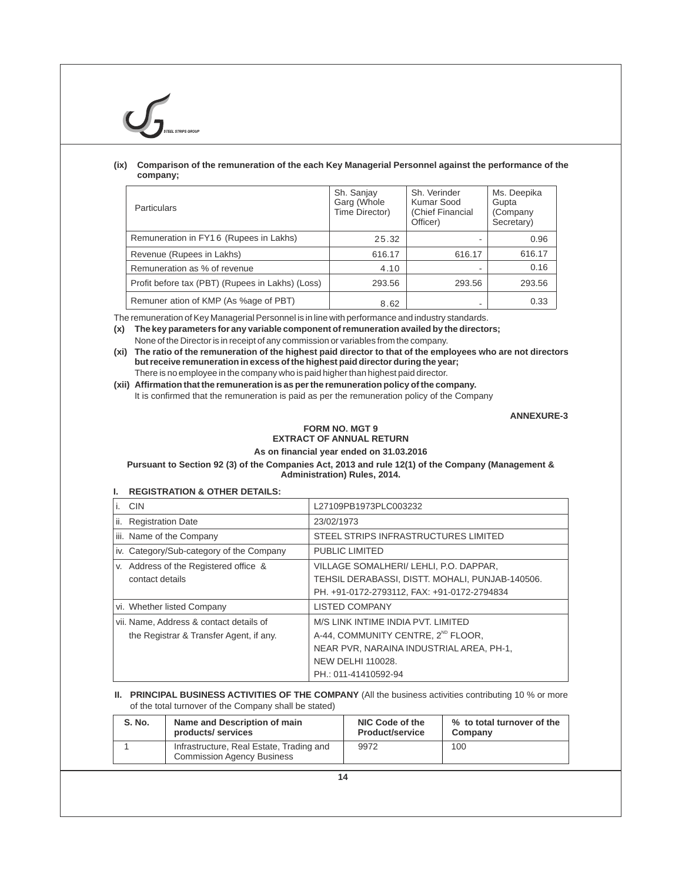### **(ix) Comparison of the remuneration of the each Key Managerial Personnel against the performance of the company;**

| <b>Particulars</b>                               | Sh. Sanjay<br>Garg (Whole<br>Time Director) | Sh. Verinder<br>Kumar Sood<br>(Chief Financial<br>Officer) | Ms. Deepika<br>Gupta<br>(Company<br>Secretary) |
|--------------------------------------------------|---------------------------------------------|------------------------------------------------------------|------------------------------------------------|
| Remuneration in FY16 (Rupees in Lakhs)           | 25.32                                       |                                                            | 0.96                                           |
| Revenue (Rupees in Lakhs)                        | 616.17                                      | 616.17                                                     | 616.17                                         |
| Remuneration as % of revenue                     | 4.10                                        |                                                            | 0.16                                           |
| Profit before tax (PBT) (Rupees in Lakhs) (Loss) | 293.56                                      | 293.56                                                     | 293.56                                         |
| Remuner ation of KMP (As %age of PBT)            | 8.62                                        |                                                            | 0.33                                           |

The remuneration of Key Managerial Personnel is in line with performance and industry standards.

**(x) The key parameters for any variable component of remuneration availed by the directors;** None of the Director is in receipt of any commission or variables from the company.

**(xi) The ratio of the remuneration of the highest paid director to that of the employees who are not directors but receive remuneration in excess of the highest paid director during the year;**  There is no employee in the company who is paid higher than highest paid director.

**(xii) Affirmation that the remuneration is as per the remuneration policy of the company.**

It is confirmed that the remuneration is paid as per the remuneration policy of the Company

**ANNEXURE-3**

### **FORM NO. MGT 9 EXTRACT OF ANNUAL RETURN**

**As on financial year ended on 31.03.2016**

**Pursuant to Section 92 (3) of the Companies Act, 2013 and rule 12(1) of the Company (Management & Administration) Rules, 2014.**

### **I. REGISTRATION & OTHER DETAILS:**

| <b>CIN</b>                               | L27109PB1973PLC003232                           |
|------------------------------------------|-------------------------------------------------|
| <b>Registration Date</b><br>ii.          | 23/02/1973                                      |
| iii. Name of the Company                 | STEEL STRIPS INFRASTRUCTURES LIMITED            |
| iv. Category/Sub-category of the Company | PUBLIC LIMITED                                  |
| v. Address of the Registered office &    | VILLAGE SOMALHERI/ LEHLI, P.O. DAPPAR,          |
| contact details                          | TEHSIL DERABASSI, DISTT. MOHALI, PUNJAB-140506. |
|                                          | PH. +91-0172-2793112, FAX: +91-0172-2794834     |
| vi. Whether listed Company               | <b>LISTED COMPANY</b>                           |
| vii. Name, Address & contact details of  | M/S LINK INTIME INDIA PVT. LIMITED              |
| the Registrar & Transfer Agent, if any.  | A-44, COMMUNITY CENTRE, 2 <sup>ND</sup> FLOOR,  |
|                                          | NEAR PVR, NARAINA INDUSTRIAL AREA, PH-1,        |
|                                          | <b>NEW DELHI 110028.</b>                        |
|                                          | PH.: 011-41410592-94                            |

### **II.** PRINCIPAL BUSINESS ACTIVITIES OF THE COMPANY (All the business activities contributing 10 % or more of the total turnover of the Company shall be stated)

| S. No. | Name and Description of main                                                  | NIC Code of the        | % to total turnover of the |
|--------|-------------------------------------------------------------------------------|------------------------|----------------------------|
|        | products/services                                                             | <b>Product/service</b> | Company                    |
|        | Infrastructure, Real Estate, Trading and<br><b>Commission Agency Business</b> | 9972                   | 100                        |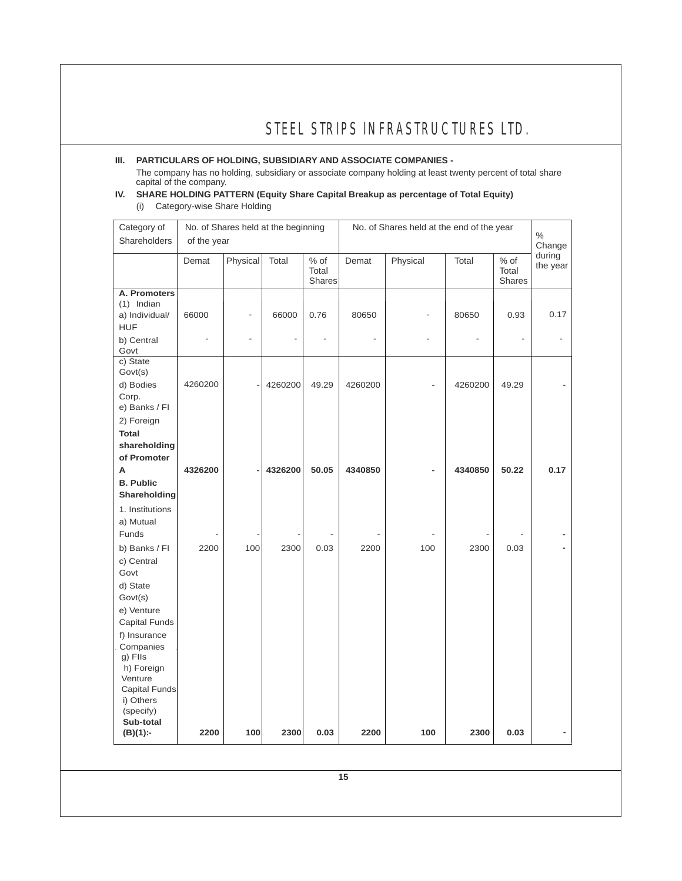### **III. PARTICULARS OF HOLDING, SUBSIDIARY AND ASSOCIATE COMPANIES -**

The company has no holding, subsidiary or associate company holding at least twenty percent of total share capital of the company.

### **IV. SHARE HOLDING PATTERN (Equity Share Capital Breakup as percentage of Total Equity)** (i) Category-wise Share Holding

| Category of<br>Shareholders                                                                                                                                      | of the year             |                                           | No. of Shares held at the beginning |                                  | No. of Shares held at the end of the year |                |         | $\%$<br>Change                 |                        |
|------------------------------------------------------------------------------------------------------------------------------------------------------------------|-------------------------|-------------------------------------------|-------------------------------------|----------------------------------|-------------------------------------------|----------------|---------|--------------------------------|------------------------|
|                                                                                                                                                                  | Demat                   | Physical                                  | Total                               | $%$ of<br>Total<br>Shares        | Demat                                     | Physical       | Total   | % of<br>Total<br><b>Shares</b> | during<br>the year     |
| A. Promoters<br>$(1)$ Indian<br>a) Individual/<br><b>HUF</b><br>b) Central<br>Govt                                                                               | 66000<br>$\overline{a}$ | $\frac{1}{2}$<br>$\overline{\phantom{a}}$ | 66000                               | 0.76<br>$\overline{\phantom{a}}$ | 80650<br>$\overline{a}$                   | $\overline{a}$ | 80650   | 0.93<br>$\overline{a}$         | 0.17<br>$\overline{a}$ |
| c) State<br>Govt(s)<br>d) Bodies<br>Corp.<br>e) Banks / FI<br>2) Foreign                                                                                         | 4260200                 |                                           | 4260200                             | 49.29                            | 4260200                                   |                | 4260200 | 49.29                          |                        |
| <b>Total</b><br>shareholding<br>of Promoter<br>А<br><b>B. Public</b><br>Shareholding<br>1. Institutions                                                          | 4326200                 |                                           | 4326200                             | 50.05                            | 4340850                                   | ÷              | 4340850 | 50.22                          | 0.17                   |
| a) Mutual<br>Funds<br>b) Banks / FI<br>c) Central<br>Govt<br>d) State<br>Govt(s)                                                                                 | 2200                    | 100                                       | 2300                                | 0.03                             | 2200                                      | 100            | 2300    | 0.03                           |                        |
| e) Venture<br>Capital Funds<br>f) Insurance<br>Companies<br>g) Flls<br>h) Foreign<br>Venture<br>Capital Funds<br>i) Others<br>(specify)<br>Sub-total<br>(B)(1):- | 2200                    | 100                                       | 2300                                | 0.03                             | 2200                                      | 100            | 2300    | 0.03                           |                        |
|                                                                                                                                                                  |                         |                                           |                                     |                                  | 15                                        |                |         |                                |                        |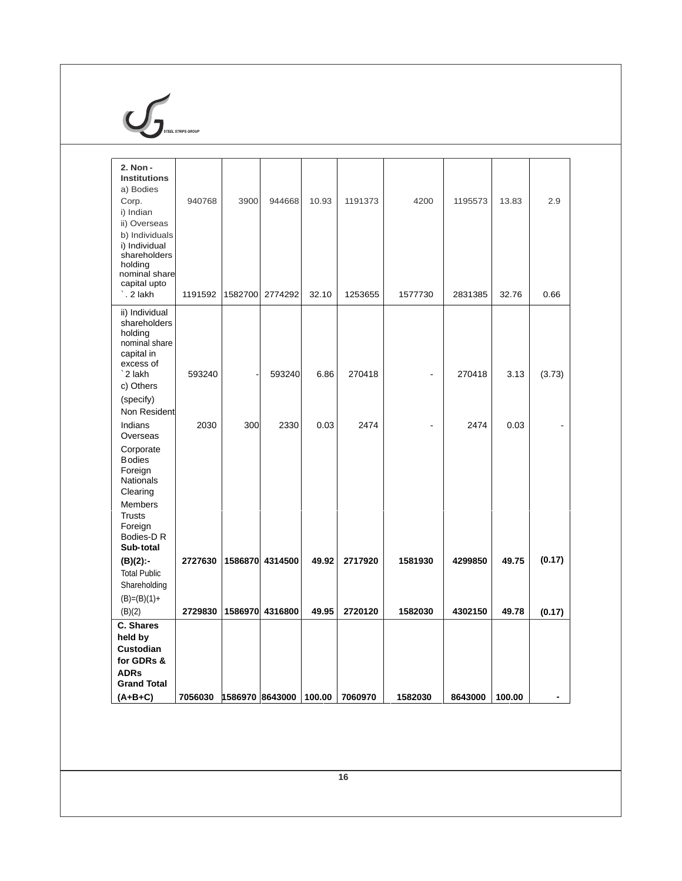

| 2. Non -<br><b>Institutions</b><br>a) Bodies<br>Corp.<br>i) Indian<br>ii) Overseas<br>b) Individuals<br>i) Individual<br>shareholders<br>holding<br>nominal share<br>capital upto<br>`. 2 lakh | 940768<br>1191592  | 3900<br>1582700    | 944668<br>2774292  | 10.93<br>32.10 | 1191373<br>1253655 | 4200<br>1577730    | 1195573<br>2831385 | 13.83<br>32.76 | 2.9<br>0.66      |
|------------------------------------------------------------------------------------------------------------------------------------------------------------------------------------------------|--------------------|--------------------|--------------------|----------------|--------------------|--------------------|--------------------|----------------|------------------|
| ii) Individual<br>shareholders<br>holding<br>nominal share<br>capital in<br>excess of<br>`2 lakh<br>c) Others<br>(specify)                                                                     | 593240             |                    | 593240             | 6.86           | 270418             |                    | 270418             | 3.13           | (3.73)           |
| Non Resident<br>Indians<br>Overseas<br>Corporate<br><b>B</b> odies<br>Foreign<br>Nationals<br>Clearing<br><b>Members</b><br><b>Trusts</b><br>Foreign<br>Bodies-D R<br>Sub-total                | 2030               | 300                | 2330               | 0.03           | 2474               |                    | 2474               | 0.03           |                  |
| $(B)(2)$ :-<br><b>Total Public</b><br>Shareholding<br>$(B)=(B)(1)+$<br>(B)(2)                                                                                                                  | 2727630<br>2729830 | 1586870<br>1586970 | 4314500<br>4316800 | 49.92<br>49.95 | 2717920<br>2720120 | 1581930<br>1582030 | 4299850<br>4302150 | 49.75<br>49.78 | (0.17)<br>(0.17) |
| C. Shares<br>held by<br>Custodian<br>for GDRs &<br><b>ADRs</b><br><b>Grand Total</b><br>$(A+B+C)$                                                                                              | 7056030            | 1586970 8643000    |                    | 100.00         | 7060970            | 1582030            | 8643000            | 100.00         | $\blacksquare$   |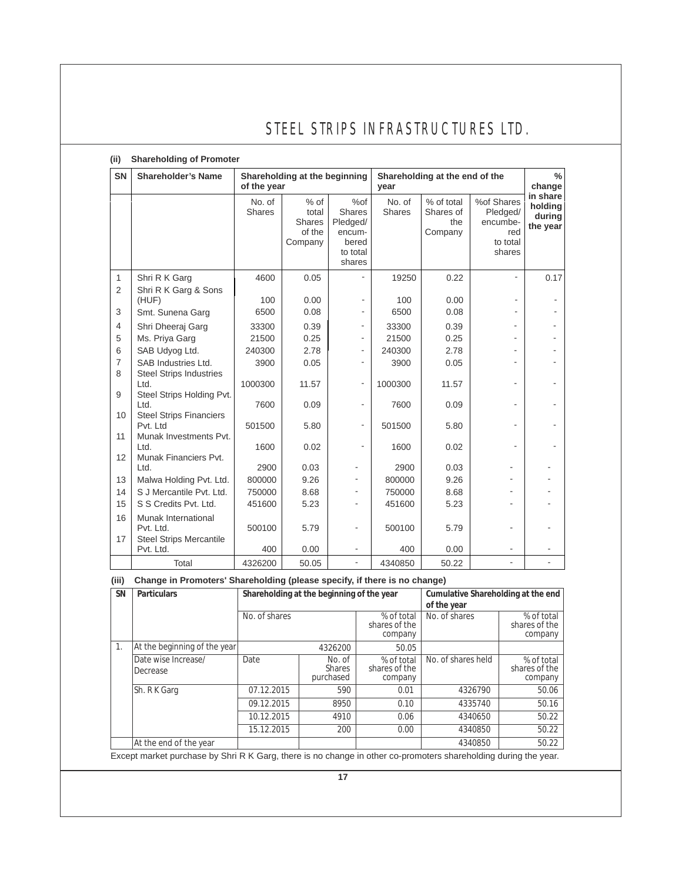## **(ii) Shareholding of Promoter**

| <b>SN</b>           | <b>Shareholder's Name</b>                                          | of the year      | Shareholding at the beginning                         |                                                                           |                  | Shareholding at the end of the<br>year    |                                                                 |                                           |
|---------------------|--------------------------------------------------------------------|------------------|-------------------------------------------------------|---------------------------------------------------------------------------|------------------|-------------------------------------------|-----------------------------------------------------------------|-------------------------------------------|
|                     |                                                                    | No. of<br>Shares | $%$ of<br>total<br><b>Shares</b><br>of the<br>Company | %of<br><b>Shares</b><br>Pledged/<br>encum-<br>bered<br>to total<br>shares | No. of<br>Shares | % of total<br>Shares of<br>the<br>Company | %of Shares<br>Pledged/<br>encumbe-<br>red<br>to total<br>shares | in share<br>holding<br>during<br>the year |
| 1                   | Shri R K Garg                                                      | 4600             | 0.05                                                  |                                                                           | 19250            | 0.22                                      | L,                                                              | 0.17                                      |
| $\overline{2}$      | Shri R K Garg & Sons<br>(HUF)                                      | 100              | 0.00                                                  |                                                                           | 100              | 0.00                                      |                                                                 |                                           |
| 3                   | Smt. Sunena Garg                                                   | 6500             | 0.08                                                  |                                                                           | 6500             | 0.08                                      |                                                                 |                                           |
| $\overline{4}$      | Shri Dheeraj Garg                                                  | 33300            | 0.39                                                  | ۰                                                                         | 33300            | 0.39                                      |                                                                 |                                           |
| 5                   | Ms. Priya Garg                                                     | 21500            | 0.25                                                  | $\overline{\phantom{0}}$                                                  | 21500            | 0.25                                      |                                                                 |                                           |
| 6                   | SAB Udyog Ltd.                                                     | 240300           | 2.78                                                  | $\overline{\phantom{0}}$                                                  | 240300           | 2.78                                      |                                                                 |                                           |
| $\overline{7}$<br>8 | SAB Industries Ltd.<br><b>Steel Strips Industries</b>              | 3900             | 0.05                                                  |                                                                           | 3900             | 0.05                                      |                                                                 |                                           |
|                     | Ltd.                                                               | 1000300          | 11.57                                                 | ÷,                                                                        | 1000300          | 11.57                                     |                                                                 |                                           |
| 9<br>10             | Steel Strips Holding Pvt.<br>Ltd.                                  | 7600             | 0.09                                                  | $\overline{\phantom{0}}$                                                  | 7600             | 0.09                                      | ٠                                                               |                                           |
|                     | <b>Steel Strips Financiers</b><br>Pvt. Ltd                         | 501500           | 5.80                                                  | ÷,                                                                        | 501500           | 5.80                                      | ٠                                                               |                                           |
| 11<br>12            | Munak Investments Pvt.<br>Ltd.<br>Munak Financiers Pvt.            | 1600             | 0.02                                                  | $\overline{\phantom{0}}$                                                  | 1600             | 0.02                                      |                                                                 |                                           |
|                     | Ltd.                                                               | 2900             | 0.03                                                  |                                                                           | 2900             | 0.03                                      |                                                                 |                                           |
| 13                  | Malwa Holding Pvt. Ltd.                                            | 800000           | 9.26                                                  |                                                                           | 800000           | 9.26                                      |                                                                 |                                           |
| 14                  | S J Mercantile Pvt. Ltd.                                           | 750000           | 8.68                                                  |                                                                           | 750000           | 8.68                                      |                                                                 |                                           |
| 15                  | S S Credits Pvt. Ltd.                                              | 451600           | 5.23                                                  |                                                                           | 451600           | 5.23                                      |                                                                 |                                           |
| 16<br>17            | Munak International<br>Pvt. Ltd.<br><b>Steel Strips Mercantile</b> | 500100           | 5.79                                                  | ۰                                                                         | 500100           | 5.79                                      |                                                                 |                                           |
|                     | Pvt. Ltd.                                                          | 400              | 0.00                                                  |                                                                           | 400              | 0.00                                      |                                                                 |                                           |
|                     | Total                                                              | 4326200          | 50.05                                                 | ÷,                                                                        | 4340850          | 50.22                                     |                                                                 |                                           |

### **(iii) Change in Promoters' Shareholding (please specify, if there is no change)**

|  | <b>SN</b>      | <b>Particulars</b>                                                                                              |               | Shareholding at the beginning of the year | Cumulative Shareholding at the end<br>of the year |                    |                                        |
|--|----------------|-----------------------------------------------------------------------------------------------------------------|---------------|-------------------------------------------|---------------------------------------------------|--------------------|----------------------------------------|
|  |                |                                                                                                                 | No. of shares |                                           | % of total<br>shares of the<br>company            | No. of shares      | % of total<br>shares of the<br>company |
|  | $\mathbf{1}$ . | At the beginning of the year                                                                                    |               | 4326200                                   |                                                   |                    |                                        |
|  |                | Date wise Increase/<br>Decrease                                                                                 | Date          | No. of<br><b>Shares</b><br>purchased      | % of total<br>shares of the<br>company            | No. of shares held | % of total<br>shares of the<br>company |
|  |                | Sh. R K Garg                                                                                                    | 07.12.2015    | 590                                       | 0.01                                              | 4326790            | 50.06                                  |
|  |                |                                                                                                                 | 09.12.2015    | 8950                                      | 0.10                                              | 4335740            | 50.16                                  |
|  |                |                                                                                                                 | 10.12.2015    | 4910                                      | 0.06                                              | 4340650            | 50.22                                  |
|  |                |                                                                                                                 | 15.12.2015    | 200                                       | 0.00                                              | 4340850            | 50.22                                  |
|  |                | At the end of the year                                                                                          |               |                                           |                                                   | 4340850            | 50.22                                  |
|  |                | Except market purchase by Shri R K Garg, there is no change in other co-promoters shareholding during the year. |               |                                           |                                                   |                    |                                        |

**17**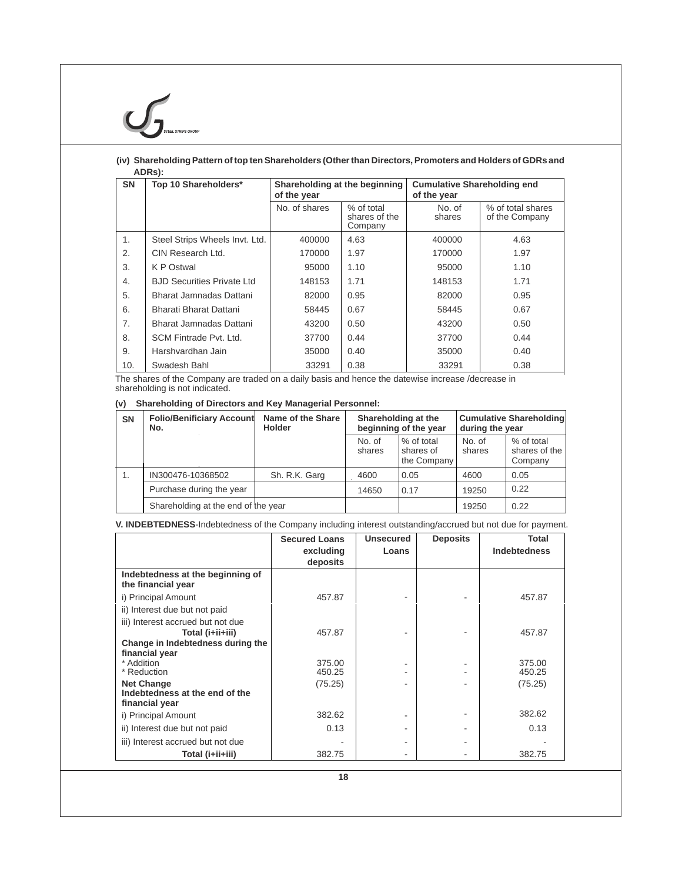### **(iv) Shareholding Pattern of top ten Shareholders (Other than Directors, Promoters and Holders of GDRs and ADRs):**

| <b>SN</b> | Top 10 Shareholders*              | Shareholding at the beginning<br>of the year |                                        | <b>Cumulative Shareholding end</b><br>of the year |                                     |  |
|-----------|-----------------------------------|----------------------------------------------|----------------------------------------|---------------------------------------------------|-------------------------------------|--|
|           |                                   | No. of shares                                | % of total<br>shares of the<br>Company | No. of<br>shares                                  | % of total shares<br>of the Company |  |
| 1.        | Steel Strips Wheels Invt. Ltd.    | 400000                                       | 4.63                                   | 400000                                            | 4.63                                |  |
| 2.        | CIN Research Ltd.                 | 170000                                       | 1.97                                   | 170000                                            | 1.97                                |  |
| 3.        | K P Ostwal                        | 95000                                        | 1.10                                   | 95000                                             | 1.10                                |  |
| 4.        | <b>BJD Securities Private Ltd</b> | 148153                                       | 1.71                                   | 148153                                            | 1.71                                |  |
| 5.        | Bharat Jamnadas Dattani           | 82000                                        | 0.95                                   | 82000                                             | 0.95                                |  |
| 6.        | Bharati Bharat Dattani            | 58445                                        | 0.67                                   | 58445                                             | 0.67                                |  |
| 7.        | Bharat Jamnadas Dattani           | 43200                                        | 0.50                                   | 43200                                             | 0.50                                |  |
| 8.        | SCM Fintrade Pvt. Ltd.            | 37700                                        | 0.44                                   | 37700                                             | 0.44                                |  |
| 9.        | Harshvardhan Jain                 | 35000                                        | 0.40                                   | 35000                                             | 0.40                                |  |
| 10.       | Swadesh Bahl                      | 33291                                        | 0.38                                   | 33291                                             | 0.38                                |  |

The shares of the Company are traded on a daily basis and hence the datewise increase /decrease in shareholding is not indicated.

### **(v) Shareholding of Directors and Key Managerial Personnel:**

| <b>SN</b> | <b>Folio/Benificiary Account</b><br>No. | Name of the Share<br><b>Holder</b> | Shareholding at the<br>beginning of the year |                                        | during the year  | <b>Cumulative Shareholding</b>         |
|-----------|-----------------------------------------|------------------------------------|----------------------------------------------|----------------------------------------|------------------|----------------------------------------|
|           |                                         |                                    | No. of<br>shares                             | % of total<br>shares of<br>the Company | No. of<br>shares | % of total<br>shares of the<br>Company |
|           | IN300476-10368502                       | Sh. R.K. Garg                      | 4600                                         | 0.05                                   | 4600             | 0.05                                   |
|           | Purchase during the year                |                                    | 14650                                        | 0.17                                   | 19250            | 0.22                                   |
|           | Shareholding at the end of the year     |                                    |                                              |                                        | 19250            | 0.22                                   |

### **V. INDEBTEDNESS**-Indebtedness of the Company including interest outstanding/accrued but not due for payment.

| <b>Secured Loans</b><br>excluding<br>deposits | <b>Unsecured</b><br>Loans | <b>Deposits</b> | Total<br><b>Indebtedness</b> |
|-----------------------------------------------|---------------------------|-----------------|------------------------------|
|                                               |                           |                 |                              |
| 457.87                                        |                           |                 | 457.87                       |
|                                               |                           |                 |                              |
| 457.87                                        |                           |                 | 457.87                       |
| 375.00<br>450.25                              |                           |                 | 375.00<br>450.25             |
| (75.25)                                       |                           |                 | (75.25)                      |
| 382.62                                        |                           |                 | 382.62                       |
| 0.13                                          |                           |                 | 0.13                         |
| 382.75                                        |                           |                 | 382.75                       |
|                                               |                           |                 |                              |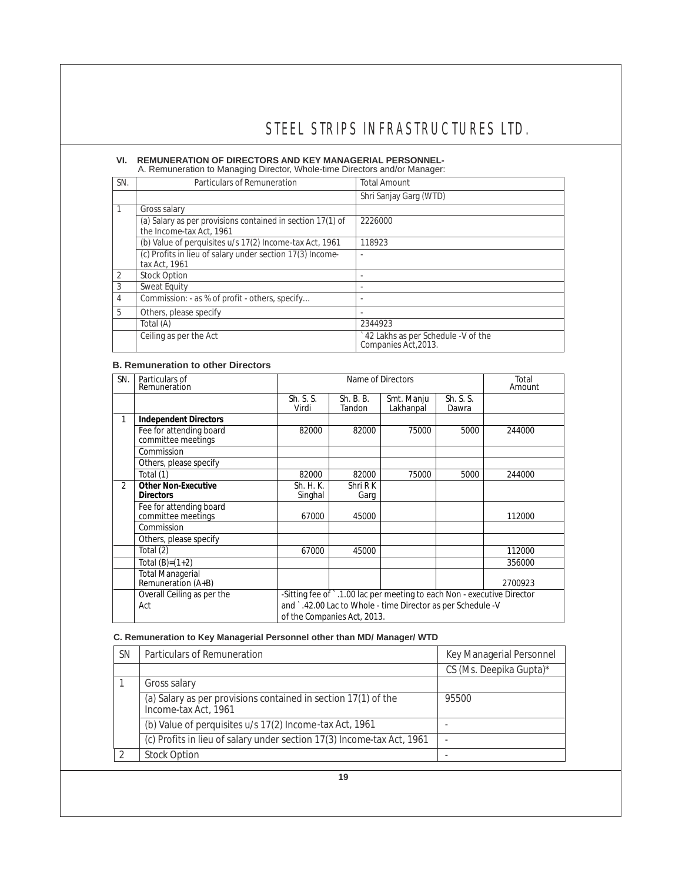### **VI. REMUNERATION OF DIRECTORS AND KEY MANAGERIAL PERSONNEL-**

A. Remuneration to Managing Director, Whole-time Directors and/or Manager:

| SN.            | Particulars of Remuneration                                | <b>Total Amount</b>                                        |
|----------------|------------------------------------------------------------|------------------------------------------------------------|
|                |                                                            | Shri Sanjay Garg (WTD)                                     |
| $\mathbf{1}$   | Gross salary                                               |                                                            |
|                | (a) Salary as per provisions contained in section 17(1) of | 2226000                                                    |
|                | the Income-tax Act, 1961                                   |                                                            |
|                | (b) Value of perquisites u/s 17(2) Income-tax Act, 1961    | 118923                                                     |
|                | (c) Profits in lieu of salary under section 17(3) Income-  |                                                            |
|                | tax Act, 1961                                              |                                                            |
| $\overline{2}$ | <b>Stock Option</b>                                        |                                                            |
| 3              | Sweat Equity                                               |                                                            |
| $\overline{4}$ | Commission: - as % of profit - others, specify             |                                                            |
| 5              | Others, please specify                                     |                                                            |
|                | Total (A)                                                  | 2344923                                                    |
|                | Ceiling as per the Act                                     | 42 Lakhs as per Schedule -V of the<br>Companies Act, 2013. |

### **B. Remuneration to other Directors**

| SN.            | Particulars of<br>Remuneration                |                      | Total<br>Amount             |                                                                         |                    |         |
|----------------|-----------------------------------------------|----------------------|-----------------------------|-------------------------------------------------------------------------|--------------------|---------|
|                |                                               | Sh. S. S.<br>Virdi   | Sh. B. B.<br>Tandon         | Smt. Manju<br>Lakhanpal                                                 | Sh. S. S.<br>Dawra |         |
|                | Independent Directors                         |                      |                             |                                                                         |                    |         |
|                | Fee for attending board<br>committee meetings | 82000                | 82000                       | 75000                                                                   | 5000               | 244000  |
|                | Commission                                    |                      |                             |                                                                         |                    |         |
|                | Others, please specify                        |                      |                             |                                                                         |                    |         |
|                | Total (1)                                     | 82000                | 82000                       | 75000                                                                   | 5000               | 244000  |
| $\mathfrak{D}$ | Other Non-Executive<br><b>Directors</b>       | Sh. H. K.<br>Singhal | Shri R K<br>Garg            |                                                                         |                    |         |
|                | Fee for attending board<br>committee meetings | 67000                | 45000                       |                                                                         |                    | 112000  |
|                | Commission                                    |                      |                             |                                                                         |                    |         |
|                | Others, please specify                        |                      |                             |                                                                         |                    |         |
|                | Total (2)                                     | 67000                | 45000                       |                                                                         |                    | 112000  |
|                | Total $(B)=(1+2)$                             |                      |                             |                                                                         |                    | 356000  |
|                | <b>Total Managerial</b><br>Remuneration (A+B) |                      |                             |                                                                         |                    | 2700923 |
|                | Overall Ceiling as per the                    |                      |                             | -Sitting fee of `.1.00 lac per meeting to each Non - executive Director |                    |         |
|                | Act                                           |                      |                             | and `.42.00 Lac to Whole - time Director as per Schedule -V             |                    |         |
|                |                                               |                      | of the Companies Act, 2013. |                                                                         |                    |         |

### **C. Remuneration to Key Managerial Personnel other than MD/ Manager/ WTD**

| <b>SN</b> | Particulars of Remuneration                                                            | Key Managerial Personnel |
|-----------|----------------------------------------------------------------------------------------|--------------------------|
|           |                                                                                        | CS (Ms. Deepika Gupta)*  |
|           | Gross salary                                                                           |                          |
|           | (a) Salary as per provisions contained in section 17(1) of the<br>Income-tax Act, 1961 | 95500                    |
|           | (b) Value of perquisites u/s 17(2) Income-tax Act, 1961                                |                          |
|           | (c) Profits in lieu of salary under section 17(3) Income-tax Act, 1961                 |                          |
|           | <b>Stock Option</b>                                                                    |                          |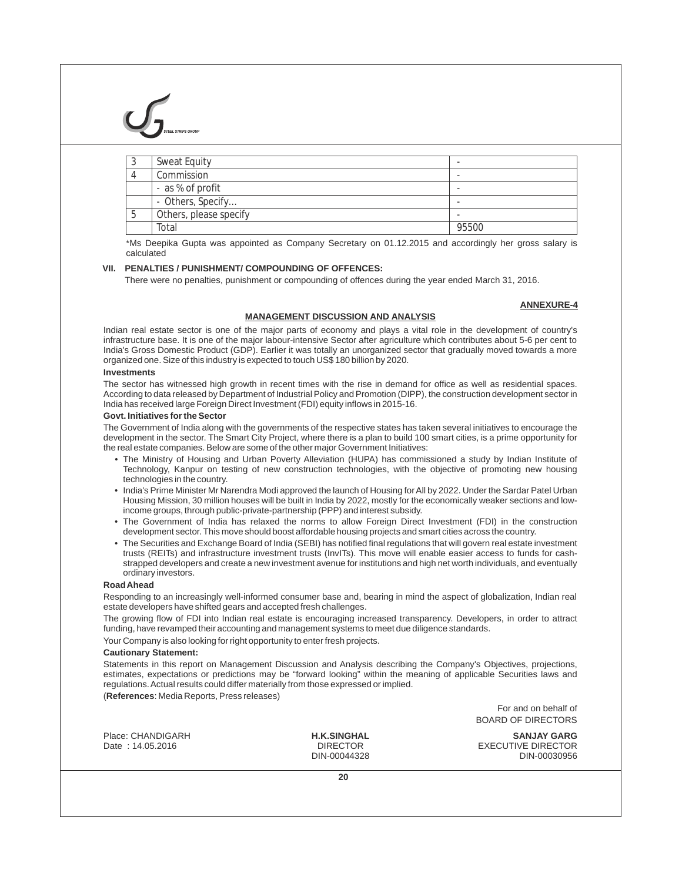|     | Sweat Equity           | $\overline{\phantom{a}}$ |
|-----|------------------------|--------------------------|
|     | Commission             | $\overline{\phantom{a}}$ |
|     | - as % of profit       | $\overline{\phantom{a}}$ |
|     | - Others, Specify      | $\overline{\phantom{a}}$ |
| . ხ | Others, please specify | -                        |
|     | Total                  | 95500                    |

\*Ms Deepika Gupta was appointed as Company Secretary on 01.12.2015 and accordingly her gross salary is calculated

#### **VII. PENALTIES / PUNISHMENT/ COMPOUNDING OF OFFENCES:**

There were no penalties, punishment or compounding of offences during the year ended March 31, 2016.

### **ANNEXURE-4**

### **MANAGEMENT DISCUSSION AND ANALYSIS**

Indian real estate sector is one of the major parts of economy and plays a vital role in the development of country's infrastructure base. It is one of the major labour-intensive Sector after agriculture which contributes about 5-6 per cent to India's Gross Domestic Product (GDP). Earlier it was totally an unorganized sector that gradually moved towards a more organized one. Size of this industry is expected to touch US\$ 180 billion by 2020.

#### **Investments**

The sector has witnessed high growth in recent times with the rise in demand for office as well as residential spaces. According to data released by Department of Industrial Policy and Promotion (DIPP), the construction development sector in India has received large Foreign Direct Investment (FDI) equity inflows in 2015-16.

#### **Govt. Initiatives for the Sector**

The Government of India along with the governments of the respective states has taken several initiatives to encourage the development in the sector. The Smart City Project, where there is a plan to build 100 smart cities, is a prime opportunity for the real estate companies. Below are some of the other major Government Initiatives:

- The Ministry of Housing and Urban Poverty Alleviation (HUPA) has commissioned a study by Indian Institute of Technology, Kanpur on testing of new construction technologies, with the objective of promoting new housing technologies in the country.
- India's Prime Minister Mr Narendra Modi approved the launch of Housing for All by 2022. Under the Sardar Patel Urban Housing Mission, 30 million houses will be built in India by 2022, mostly for the economically weaker sections and lowincome groups, through public-private-partnership (PPP) and interest subsidy.
- The Government of India has relaxed the norms to allow Foreign Direct Investment (FDI) in the construction development sector. This move should boost affordable housing projects and smart cities across the country.
- The Securities and Exchange Board of India (SEBI) has notified final regulations that will govern real estate investment trusts (REITs) and infrastructure investment trusts (InvITs). This move will enable easier access to funds for cashstrapped developers and create a new investment avenue for institutions and high net worth individuals, and eventually ordinary investors.

#### **Road Ahead**

Responding to an increasingly well-informed consumer base and, bearing in mind the aspect of globalization, Indian real estate developers have shifted gears and accepted fresh challenges.

The growing flow of FDI into Indian real estate is encouraging increased transparency. Developers, in order to attract funding, have revamped their accounting and management systems to meet due diligence standards.

Your Company is also looking for right opportunity to enter fresh projects.

#### **Cautionary Statement:**

Statements in this report on Management Discussion and Analysis describing the Company's Objectives, projections, estimates, expectations or predictions may be "forward looking" within the meaning of applicable Securities laws and regulations. Actual results could differ materially from those expressed or implied.

(**References**: Media Reports, Press releases)

For and on behalf of BOARD OF DIRECTORS

| Place: CHANDIGARH | <b>H.K.SINGHAL</b> | <b>SANJAY GARG</b>        |
|-------------------|--------------------|---------------------------|
| Date: 14.05.2016  | <b>DIRECTOR</b>    | <b>EXECUTIVE DIRECTOR</b> |
|                   | DIN-00044328       | DIN-00030956              |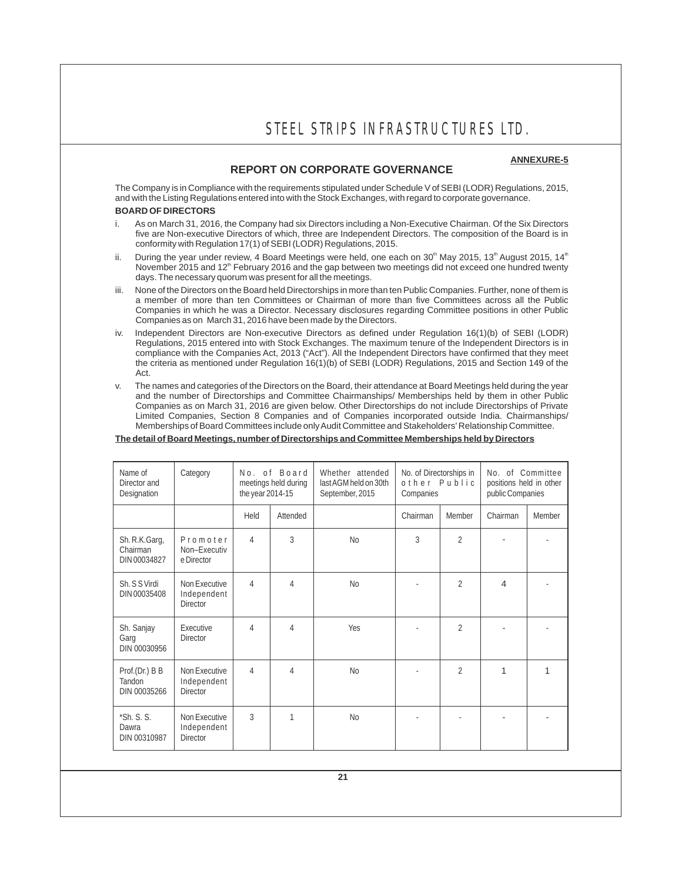### **ANNEXURE-5**

### **REPORT ON CORPORATE GOVERNANCE**

The Company is in Compliance with the requirements stipulated under Schedule V of SEBI (LODR) Regulations, 2015, and with the Listing Regulations entered into with the Stock Exchanges, with regard to corporate governance.

### **BOARD OF DIRECTORS**

- i. As on March 31, 2016, the Company had six Directors including a Non-Executive Chairman. Of the Six Directors five are Non-executive Directors of which, three are Independent Directors. The composition of the Board is in conformity with Regulation 17(1) of SEBI (LODR) Regulations, 2015.
- ii. During the year under review, 4 Board Meetings were held, one each on 30<sup>th</sup> May 2015, 13<sup>th</sup> August 2015, 14<sup>th</sup> November 2015 and 12<sup>th</sup> February 2016 and the gap between two meetings did not exceed one hundred twenty days. The necessary quorum was present for all the meetings.
- None of the Directors on the Board held Directorships in more than ten Public Companies. Further, none of them is a member of more than ten Committees or Chairman of more than five Committees across all the Public Companies in which he was a Director. Necessary disclosures regarding Committee positions in other Public Companies as on March 31, 2016 have been made by the Directors.
- iv. Independent Directors are Non-executive Directors as defined under Regulation 16(1)(b) of SEBI (LODR) Regulations, 2015 entered into with Stock Exchanges. The maximum tenure of the Independent Directors is in compliance with the Companies Act, 2013 ("Act"). All the Independent Directors have confirmed that they meet the criteria as mentioned under Regulation 16(1)(b) of SEBI (LODR) Regulations, 2015 and Section 149 of the Act.
- v. The names and categories of the Directors on the Board, their attendance at Board Meetings held during the year and the number of Directorships and Committee Chairmanships/ Memberships held by them in other Public Companies as on March 31, 2016 are given below. Other Directorships do not include Directorships of Private Limited Companies, Section 8 Companies and of Companies incorporated outside India. Chairmanships/ Memberships of Board Committees include only Audit Committee and Stakeholders' Relationship Committee.

### **The detail of Board Meetings, number of Directorships and Committee Memberships held by Directors**

| Name of<br>Director and<br>Designation    | Category                                        | the year 2014-15 | No. of Board<br>meetings held during | Whether attended<br>No. of Directorships in<br>No.<br>last AGM held on 30th<br>other Public<br>positions held in other<br>public Companies<br>September, 2015<br>Companies |          |                |          | of Committee |
|-------------------------------------------|-------------------------------------------------|------------------|--------------------------------------|----------------------------------------------------------------------------------------------------------------------------------------------------------------------------|----------|----------------|----------|--------------|
|                                           |                                                 | Held             | Attended                             |                                                                                                                                                                            | Chairman | Member         | Chairman | Member       |
| Sh. R.K.Garg,<br>Chairman<br>DIN 00034827 | Promoter<br>Non-Executiv<br>e Director          | 4                | 3                                    | N <sub>0</sub>                                                                                                                                                             | 3        | $\overline{2}$ |          |              |
| Sh. S S Virdi<br>DIN 00035408             | Non Executive<br>Independent<br><b>Director</b> | 4                | 4                                    | N <sub>0</sub>                                                                                                                                                             |          | $\overline{2}$ | 4        |              |
| Sh. Sanjay<br>Garg<br>DIN 00030956        | Executive<br><b>Director</b>                    | $\overline{4}$   | 4                                    | Yes                                                                                                                                                                        |          | $\overline{2}$ |          |              |
| Prof.(Dr.) B B<br>Tandon<br>DIN 00035266  | Non Executive<br>Independent<br><b>Director</b> | 4                | 4                                    | N <sub>0</sub>                                                                                                                                                             |          | $\overline{2}$ | 1        | 1            |
| $*Sh. S. S.$<br>Dawra<br>DIN 00310987     | Non Executive<br>Independent<br><b>Director</b> | 3                | 1                                    | N <sub>0</sub>                                                                                                                                                             |          |                |          |              |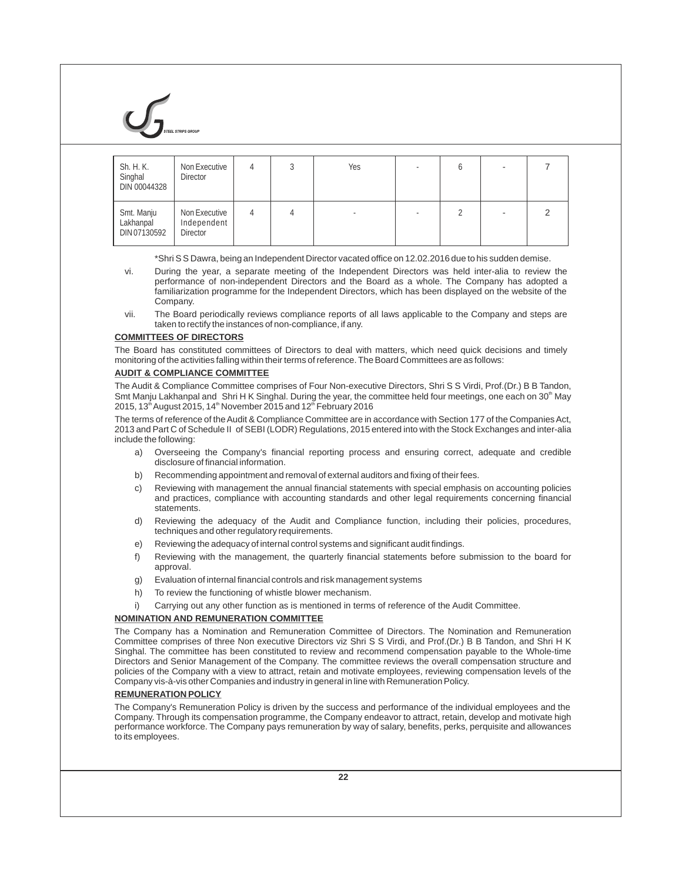

| Sh. H. K.<br>Singhal<br>DIN 00044328    | Non Executive<br><b>Director</b>                | 4 |   | Yes | O |   |
|-----------------------------------------|-------------------------------------------------|---|---|-----|---|---|
| Smt. Manju<br>Lakhanpal<br>DIN 07130592 | Non Executive<br>Independent<br><b>Director</b> | 4 | 4 |     |   | 2 |

\*Shri S S Dawra, being an Independent Director vacated office on 12.02.2016 due to his sudden demise.

- vi. During the year, a separate meeting of the Independent Directors was held inter-alia to review the performance of non-independent Directors and the Board as a whole. The Company has adopted a familiarization programme for the Independent Directors, which has been displayed on the website of the Company.
- vii. The Board periodically reviews compliance reports of all laws applicable to the Company and steps are taken to rectify the instances of non-compliance, if any.

#### **COMMITTEES OF DIRECTORS**

The Board has constituted committees of Directors to deal with matters, which need quick decisions and timely monitoring of the activities falling within their terms of reference. The Board Committees are as follows:

#### **AUDIT & COMPLIANCE COMMITTEE**

The Audit & Compliance Committee comprises of Four Non-executive Directors, Shri S S Virdi, Prof.(Dr.) B B Tandon, Smt Manju Lakhanpal and Shri H K Singhal. During the year, the committee held four meetings, one each on  $30<sup>th</sup>$  May 2015, 13<sup>th</sup> August 2015, 14<sup>th</sup> November 2015 and 12<sup>th</sup> February 2016

The terms of reference of the Audit & Compliance Committee are in accordance with Section 177 of the Companies Act, 2013 and Part C of Schedule II of SEBI (LODR) Regulations, 2015 entered into with the Stock Exchanges and inter-alia include the following:

- a) Overseeing the Company's financial reporting process and ensuring correct, adequate and credible disclosure of financial information.
- b) Recommending appointment and removal of external auditors and fixing of their fees.
- c) Reviewing with management the annual financial statements with special emphasis on accounting policies and practices, compliance with accounting standards and other legal requirements concerning financial statements.
- d) Reviewing the adequacy of the Audit and Compliance function, including their policies, procedures, techniques and other regulatory requirements.
- e) Reviewing the adequacy of internal control systems and significant audit findings.
- f) Reviewing with the management, the quarterly financial statements before submission to the board for approval.
- g) Evaluation of internal financial controls and risk management systems
- h) To review the functioning of whistle blower mechanism.
- i) Carrying out any other function as is mentioned in terms of reference of the Audit Committee.

### **NOMINATION AND REMUNERATION COMMITTEE**

The Company has a Nomination and Remuneration Committee of Directors. The Nomination and Remuneration Committee comprises of three Non executive Directors viz Shri S S Virdi, and Prof.(Dr.) B B Tandon, and Shri H K Singhal. The committee has been constituted to review and recommend compensation payable to the Whole-time Directors and Senior Management of the Company. The committee reviews the overall compensation structure and policies of the Company with a view to attract, retain and motivate employees, reviewing compensation levels of the Company vis-à-vis other Companies and industry in general in line with Remuneration Policy.

### **REMUNERATION POLICY**

The Company's Remuneration Policy is driven by the success and performance of the individual employees and the Company. Through its compensation programme, the Company endeavor to attract, retain, develop and motivate high performance workforce. The Company pays remuneration by way of salary, benefits, perks, perquisite and allowances to its employees.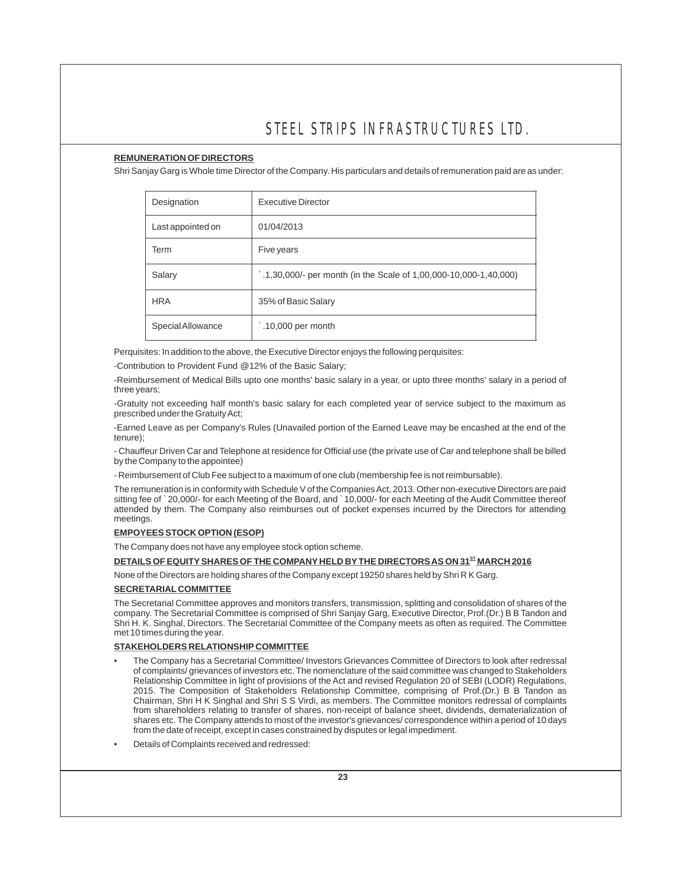### **REMUNERATION OF DIRECTORS**

Shri Sanjay Garg is Whole time Director of the Company. His particulars and details of remuneration paid are as under:

| Designation       | <b>Executive Director</b>                                                   |
|-------------------|-----------------------------------------------------------------------------|
| Last appointed on | 01/04/2013                                                                  |
| Term              | Five years                                                                  |
| Salary            | $\dot{\;}$ .1,30,000/- per month (in the Scale of 1,00,000-10,000-1,40,000) |
| <b>HRA</b>        | 35% of Basic Salary                                                         |
| Special Allowance | $.10,000$ per month                                                         |

Perquisites: In addition to the above, the Executive Director enjoys the following perquisites:

-Contribution to Provident Fund @12% of the Basic Salary;

-Reimbursement of Medical Bills upto one months' basic salary in a year, or upto three months' salary in a period of three years;

-Gratuity not exceeding half month's basic salary for each completed year of service subject to the maximum as prescribed under the Gratuity Act;

-Earned Leave as per Company's Rules (Unavailed portion of the Earned Leave may be encashed at the end of the tenure);

- Chauffeur Driven Car and Telephone at residence for Official use (the private use of Car and telephone shall be billed by the Company to the appointee)

- Reimbursement of Club Fee subject to a maximum of one club (membership fee is not reimbursable).

The remuneration is in conformity with Schedule V of the Companies Act, 2013. Other non-executive Directors are paid sitting fee of `20,000/- for each Meeting of the Board, and `10,000/- for each Meeting of the Audit Committee thereof attended by them. The Company also reimburses out of pocket expenses incurred by the Directors for attending meetings.

### **EMPOYEES STOCK OPTION (ESOP)**

The Company does not have any employee stock option scheme.

### **ST DETAILS OF EQUITYSHARES OF THE COMPANY HELD BYTHE DIRECTORS AS ON 31 MARCH 2016**

None of the Directors are holding shares of the Company except 19250 shares held by Shri R K Garg.

### **SECRETARIAL COMMITTEE**

The Secretarial Committee approves and monitors transfers, transmission, splitting and consolidation of shares of the company. The Secretarial Committee is comprised of Shri Sanjay Garg, Executive Director, Prof.(Dr.) B B Tandon and Shri H. K. Singhal, Directors. The Secretarial Committee of the Company meets as often as required. The Committee met 10 times during the year.

### **STAKEHOLDERS RELATIONSHIP COMMITTEE**

- The Company has a Secretarial Committee/ Investors Grievances Committee of Directors to look after redressal of complaints/ grievances of investors etc. The nomenclature of the said committee was changed to Stakeholders Relationship Committee in light of provisions of the Act and revised Regulation 20 of SEBI (LODR) Regulations, 2015. The Composition of Stakeholders Relationship Committee, comprising of Prof.(Dr.) B B Tandon as Chairman, Shri H K Singhal and Shri S S Virdi, as members. The Committee monitors redressal of complaints from shareholders relating to transfer of shares, non-receipt of balance sheet, dividends, dematerialization of shares etc. The Company attends to most of the investor's grievances/ correspondence within a period of 10 days from the date of receipt, except in cases constrained by disputes or legal impediment.
- Details of Complaints received and redressed: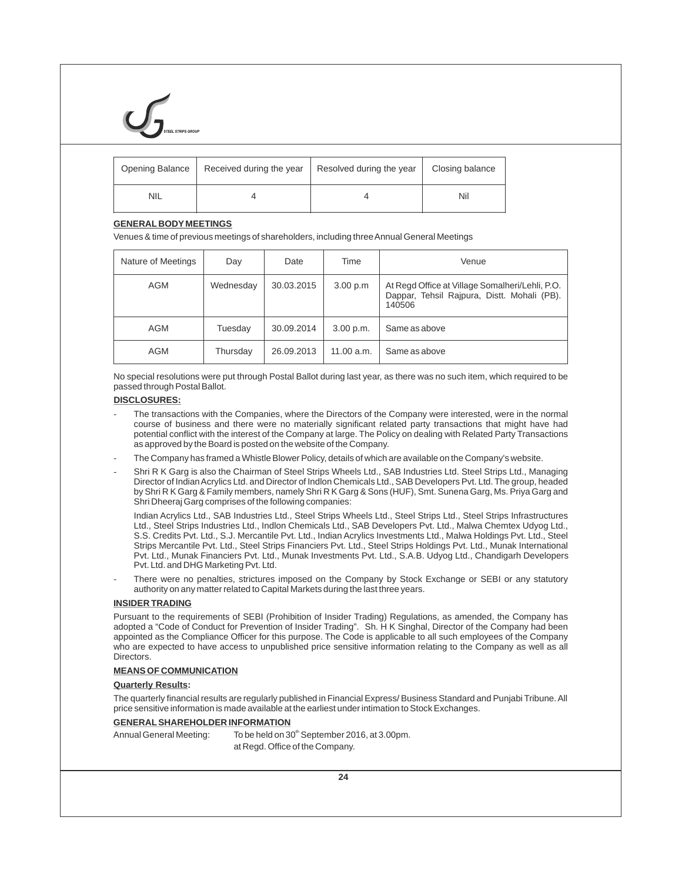| Opening Balance | Received during the year | Resolved during the year | Closing balance |
|-----------------|--------------------------|--------------------------|-----------------|
| <b>NIL</b>      |                          |                          | Nil             |

#### **GENERAL BODY MEETINGS**

Venues & time of previous meetings of shareholders, including three Annual General Meetings

| Nature of Meetings | Day       | Date       | Time       | Venue                                                                                                    |
|--------------------|-----------|------------|------------|----------------------------------------------------------------------------------------------------------|
| AGM                | Wednesday | 30.03.2015 | 3.00 p.m   | At Regd Office at Village Somalheri/Lehli, P.O.<br>Dappar, Tehsil Rajpura, Distt. Mohali (PB).<br>140506 |
| AGM                | Tuesday   | 30.09.2014 | 3.00 p.m.  | Same as above                                                                                            |
| <b>AGM</b>         | Thursday  | 26.09.2013 | 11.00 a.m. | Same as above                                                                                            |

No special resolutions were put through Postal Ballot during last year, as there was no such item, which required to be passed through Postal Ballot.

#### **DISCLOSURES:**

- The transactions with the Companies, where the Directors of the Company were interested, were in the normal course of business and there were no materially significant related party transactions that might have had potential conflict with the interest of the Company at large. The Policy on dealing with Related Party Transactions as approved by the Board is posted on the website of the Company.
- The Company has framed a Whistle Blower Policy, details of which are available on the Company's website.
- Shri R K Garg is also the Chairman of Steel Strips Wheels Ltd., SAB Industries Ltd. Steel Strips Ltd., Managing Director of Indian Acrylics Ltd. and Director of Indlon Chemicals Ltd., SAB Developers Pvt. Ltd. The group, headed by Shri R K Garg & Family members, namely Shri R K Garg & Sons (HUF), Smt. Sunena Garg, Ms. Priya Garg and Shri Dheeraj Garg comprises of the following companies:

Indian Acrylics Ltd., SAB Industries Ltd., Steel Strips Wheels Ltd., Steel Strips Ltd., Steel Strips Infrastructures Ltd., Steel Strips Industries Ltd., Indlon Chemicals Ltd., SAB Developers Pvt. Ltd., Malwa Chemtex Udyog Ltd., S.S. Credits Pvt. Ltd., S.J. Mercantile Pvt. Ltd., Indian Acrylics Investments Ltd., Malwa Holdings Pvt. Ltd., Steel Strips Mercantile Pvt. Ltd., Steel Strips Financiers Pvt. Ltd., Steel Strips Holdings Pvt. Ltd., Munak International Pvt. Ltd., Munak Financiers Pvt. Ltd., Munak Investments Pvt. Ltd., S.A.B. Udyog Ltd., Chandigarh Developers Pvt. Ltd. and DHG Marketing Pvt. Ltd.

There were no penalties, strictures imposed on the Company by Stock Exchange or SEBI or any statutory authority on any matter related to Capital Markets during the last three years.

#### **INSIDER TRADING**

Pursuant to the requirements of SEBI (Prohibition of Insider Trading) Regulations, as amended, the Company has adopted a "Code of Conduct for Prevention of Insider Trading". Sh. H K Singhal, Director of the Company had been appointed as the Compliance Officer for this purpose. The Code is applicable to all such employees of the Company who are expected to have access to unpublished price sensitive information relating to the Company as well as all **Directors** 

#### **MEANS OF COMMUNICATION**

#### **Quarterly Results:**

The quarterly financial results are regularly published in Financial Express/ Business Standard and Punjabi Tribune. All price sensitive information is made available at the earliest under intimation to Stock Exchanges.

#### **GENERALSHAREHOLDER INFORMATION**

Annual General Meeting: To be held on 30<sup>th</sup> September 2016, at 3.00pm. at Regd. Office of the Company.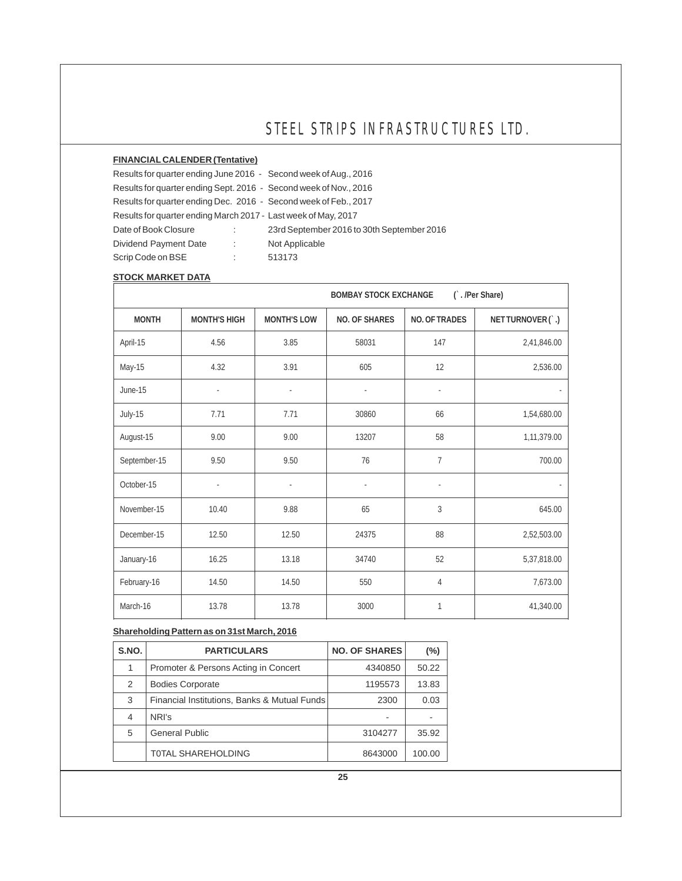### **FINANCIAL CALENDER (Tentative)**

Results for quarter ending June 2016 - Second week of Aug., 2016 Results for quarter ending Sept. 2016 - Second week of Nov., 2016 Results for quarter ending Dec. 2016 - Second week of Feb., 2017 Results for quarter ending March 2017 - Last week of May, 2017 Date of Book Closure : 23rd September 2016 to 30th September 2016

Dividend Payment Date : Not Applicable Scrip Code on BSE : 513173

### **STOCK MARKET DATA**

|              |                     |                    | <b>BOMBAY STOCK EXCHANGE</b> |               | (`./Per Share)  |
|--------------|---------------------|--------------------|------------------------------|---------------|-----------------|
| <b>MONTH</b> | <b>MONTH'S HIGH</b> | <b>MONTH'S LOW</b> | NO. OF SHARES                | NO. OF TRADES | NETTURNOVER(`.) |
| April-15     | 4.56                | 3.85               | 58031                        | 147           | 2,41,846.00     |
| May-15       | 4.32                | 3.91               | 605                          | 12            | 2,536.00        |
| June-15      |                     |                    |                              |               |                 |
| July-15      | 7.71                | 7.71               | 30860                        | 66            | 1,54,680.00     |
| August-15    | 9.00                | 9.00               | 13207                        | 58            | 1,11,379.00     |
| September-15 | 9.50                | 9.50               | 76                           | 7             | 700.00          |
| October-15   |                     |                    |                              |               |                 |
| November-15  | 10.40               | 9.88               | 65                           | 3             | 645.00          |
| December-15  | 12.50               | 12.50              | 24375                        | 88            | 2,52,503.00     |
| January-16   | 16.25               | 13.18              | 34740                        | 52            | 5,37,818.00     |
| February-16  | 14.50               | 14.50              | 550                          | 4             | 7,673.00        |
| March-16     | 13.78               | 13.78              | 3000                         | 1             | 41,340.00       |

### **Shareholding Pattern as on 31st March, 2016**

| S.NO.          | <b>PARTICULARS</b>                           | <b>NO. OF SHARES</b> | $(\% )$ |
|----------------|----------------------------------------------|----------------------|---------|
| 1              | Promoter & Persons Acting in Concert         | 4340850              | 50.22   |
| 2              | <b>Bodies Corporate</b>                      | 1195573              | 13.83   |
| 3              | Financial Institutions, Banks & Mutual Funds | 2300                 | 0.03    |
| $\overline{4}$ | NRI's                                        |                      |         |
| 5              | <b>General Public</b>                        | 3104277              | 35.92   |
|                | TOTAL SHAREHOLDING                           | 8643000              | 100.00  |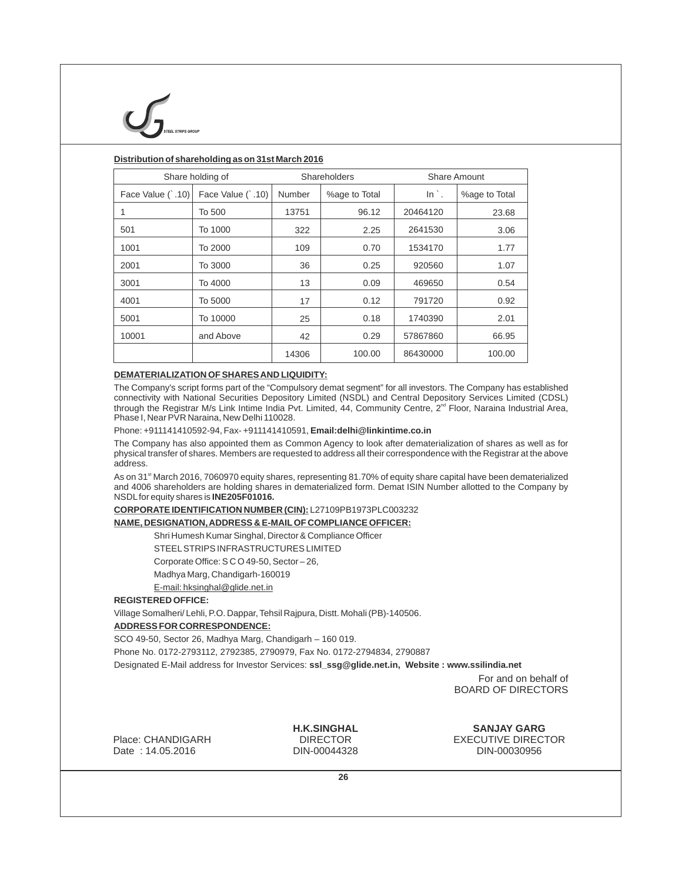

### **Distribution of shareholding as on 31st March 2016**

| Share holding of  |                   |        | Shareholders  | Share Amount    |               |  |
|-------------------|-------------------|--------|---------------|-----------------|---------------|--|
| Face Value (`.10) | Face Value (`.10) | Number | %age to Total | $\ln$ $\cdot$ . | %age to Total |  |
|                   | To 500            | 13751  | 96.12         | 20464120        | 23.68         |  |
| 501               | To 1000           | 322    | 2.25          | 2641530         | 3.06          |  |
| 1001              | To 2000           | 109    | 0.70          | 1534170         | 1.77          |  |
| 2001              | To 3000           | 36     | 0.25          | 920560          | 1.07          |  |
| 3001              | To 4000           | 13     | 0.09          | 469650          | 0.54          |  |
| 4001              | To 5000           | 17     | 0.12          | 791720          | 0.92          |  |
| 5001              | To 10000          | 25     | 0.18          | 1740390         | 2.01          |  |
| 10001             | and Above         | 42     | 0.29          | 57867860        | 66.95         |  |
|                   |                   | 14306  | 100.00        | 86430000        | 100.00        |  |

#### **DEMATERIALIZATION OF SHARES AND LIQUIDITY:**

The Company's script forms part of the "Compulsory demat segment" for all investors. The Company has established connectivity with National Securities Depository Limited (NSDL) and Central Depository Services Limited (CDSL) through the Registrar M/s Link Intime India Pvt. Limited, 44, Community Centre, 2<sup>nd</sup> Floor, Naraina Industrial Area, Phase I, Near PVR Naraina, New Delhi 110028.

Phone: +911141410592-94, Fax- +911141410591, **Email:delhi@linkintime.co.in**

The Company has also appointed them as Common Agency to look after dematerialization of shares as well as for physical transfer of shares. Members are requested to address all their correspondence with the Registrar at the above address.

As on 31<sup>st</sup> March 2016, 7060970 equity shares, representing 81.70% of equity share capital have been dematerialized and 4006 shareholders are holding shares in dematerialized form. Demat ISIN Number allotted to the Company by NSDLfor equity shares is **INE205F01016.**

**CORPORATE IDENTIFICATION NUMBER (CIN):** L27109PB1973PLC003232

#### **NAME, DESIGNATION, ADDRESS & E-MAILOF COMPLIANCE OFFICER:**

Shri Humesh Kumar Singhal, Director & Compliance Officer

STEELSTRIPS INFRASTRUCTURES LIMITED

Corporate Office: S C O 49-50, Sector – 26,

Madhya Marg, Chandigarh-160019

E-mail: hksinghal@glide.net.in

#### **REGISTERED OFFICE:**

Village Somalheri/ Lehli, P.O. Dappar, Tehsil Rajpura, Distt. Mohali (PB)-140506.

#### **ADDRESS FOR CORRESPONDENCE:**

SCO 49-50, Sector 26, Madhya Marg, Chandigarh – 160 019.

Phone No. 0172-2793112, 2792385, 2790979, Fax No. 0172-2794834, 2790887

Designated E-Mail address for Investor Services: **ssl\_ssg@glide.net.in, Website : www.ssilindia.net**

 For and on behalf of BOARD OF DIRECTORS

Place: CHANDIGARH Date : 14.05.2016

**H.K.SINGHAL** DIRECTOR DIN-00044328

**SANJAY GARG** EXECUTIVE DIRECTOR DIN-00030956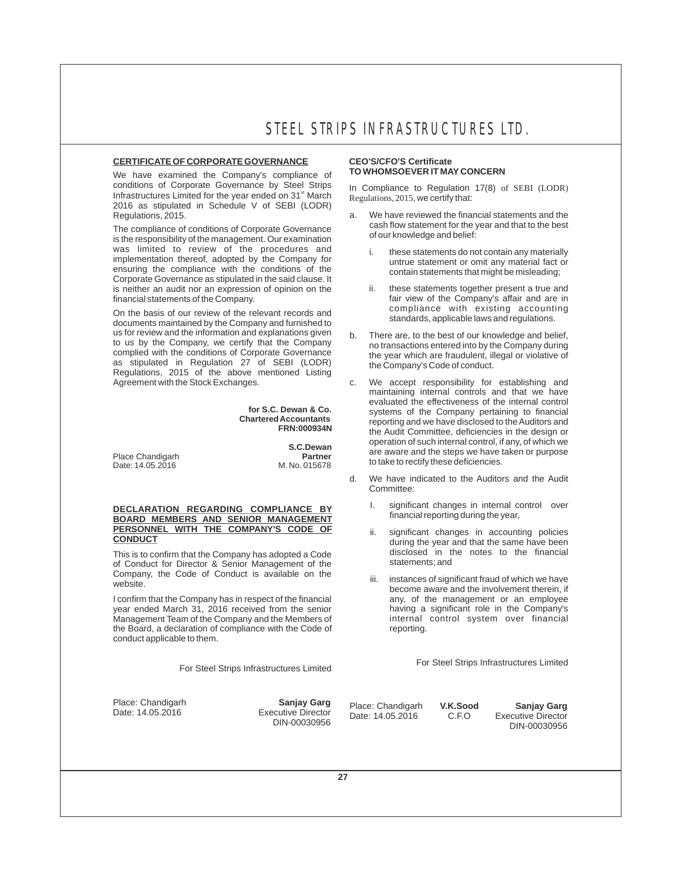We have examined the Company's compliance of conditions of Corporate Governance by Steel Strips conditions of Corporate Governance by Steel Strips In Compliance to Regulation 17(8) of SEBI (LODR)<br>Infrastructures Limited for the year ended on 31<sup>st</sup> March Regulations, 2015, we certify that: 2016 as stipulated in Schedule V of SEBI (LODR)

The compliance of conditions of Corporate Governance<br>is the responsibility of the management. Our examination of our knowledge and belief: was limited to review of the procedures and i. these statements do not contain any materially<br>implementation thereof, adopted by the Company for unitrue statement or omit any material fact or implementation thereof, adopted by the Company for untrue statement or omit any material fact or ensuring the compliance with the conditions of the contain statements that might be misleading; Corporate Governance as stipulated in the said clause. It is neither an audit nor an expression of opinion on the ii. these statements together present a true and fainancial statements of the Company.<br>
financial statements of the Company.

On the basis of our review of the relevant records and<br>documents maintained by the Company and furnished to<br>us for review and the information and explanations given<br>by the pass of the basis of our knowledge and bel to us by the Company, we certify that the Company<br>
complied with the conditions of Corporate Governance<br>
the year which are fraudulent illegal or violative of as stipulated in Regulation 27 of SEBI (LODR) Regulations, 2015 of the above mentioned Listing<br>Agreement with the Stock Exchanges.

> **for S.C. Dewan & Co. Chartered Accountants FRN:000934N**

**Place Chandigarh** Date: 14.05.2016 M. No. 015678

 **S.C.Dewan**

## **I.** significant changes in internal control over **BOARD MEMBERS AND SENIOR MANAGEMENT Example 1.** Significant changes in internal control over financial reporting during the year, **PERSONNEL WITH THE COMPANY'S CODE OF PERSONNEL WITH THE COMPANY'S CODE OF** ii. significant changes in accounting policies

This is to confirm that the Company has adopted a Code The disclosed in the notes to the financial of Conduct for Director & Senior Management of the statements; and

I confirm that the Company has in respect of the financial year ended March 31, 2016 received from the senior Management Team of the Company and the Members of internal internal control system over the Board. a declaration of compliance with the Code of internal control system over the Board. the Board, a declaration of compliance with the Code of conduct applicable to them.

## **CERTIFICATE OF CORPORATE GOVERNANCE CEO'S/CFO'S Certificate**

- a. We have reviewed the financial statements and the cash flow statement for the year and that to the best
	-
	- fair view of the Company's affair and are in compliance with existing accounting
- b. There are, to the best of our knowledge and belief, the year which are fraudulent, illegal or violative of the Company's Code of conduct.
- c. We accept responsibility for establishing and maintaining internal controls and that we have evaluated the effectiveness of the internal control systems of the Company pertaining to financial reporting and we have disclosed to the Auditors and the Audit Committee, deficiencies in the design or operation of such internal control, if any, of which we are aware and the steps we have taken or purpose to take to rectify these deficiencies.
- d. We have indicated to the Auditors and the Audit Committee:
	-
	- during the year and that the same have been disclosed in the notes to the financial
- Company, the Code of Conduct is available on the iii. instances of significant fraud of which we have website.<br>
Website.<br>
I confirm that the Company has in respect of the financial any, of the management or an employee having a significant role in the Company's<br>internal control system over financial

For Steel Strips Infrastructures Limited For Steel Strips Infrastructures Limited

Place: Chandigarh **Sanjay Garg** Place: Chandigarh **Sanjay Garg**<br>Date: 14.05.2016 Executive Director Date: 14.05.2016 C.F.O Executive Director<br>DIN-00030956 DIN-00030956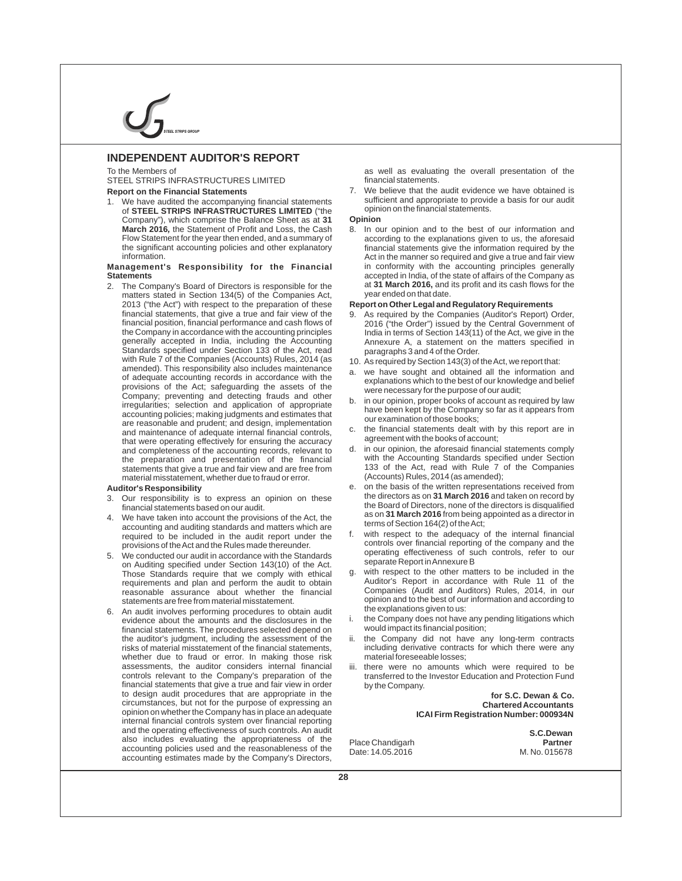

### **INDEPENDENT AUDITOR'S REPORT**

STEEL STRIPS INFRASTRUCTURES LIMITED financial statements.

We have audited the accompanying financial statements sufficient and appropriate to provide of **STEFL STRIPS INFRASTRUCTURES LIMITED** ("the opinion on the financial statements. of **STEEL STRIPS INFRASTRUCTURES LIMITED** ("the opinion") which comprise the Balance Sheet as at 31 **Opinion** Company"), which comprise the Balance Sheet as at 31 **March 2016**, the Statement of Profit and Loss, the Cash 8. In our opinion and to the best of our information and Flow Statement for the year then ended, and a summary of according to the explanations given to us, the afor

## **Management's Responsibility for the Financial** in conformity with the accounting principles generally<br> **Statements** accepted in India of the state of affairs of the Company as

2. The Company's Board of Directors is responsible for the at **31 March 2016**, and matters stated in Section 134(5) of the Companies Act. year ended on that date. matters stated in Section 134(5) of the Companies Act, year ended on that date.<br>2013 ("the Act") with respect to the preparation of these **Report on Other Legal and Regulatory Requirements** 2013 ("the Act") with respect to the preparation of these Standards specified under Section 133 of the Act, read paragraphs 3 and 4 of the Order.<br>with Rule 7 of the Companies (Accounts) Rules, 2014 (as  $10\sqrt{2}$  as required by Section 143(3) of with Rule 7 of the Companies (Accounts) Rules, 2014 (as 10. As required by Section 143(3) of the Act, we report that:<br>a we have sought and obtained all the information and<br>a we have sought and obtained all the information amended). This responsibility also includes maintenance<br>of adequate accounting records in accordance with the<br>provisions of the Act; safegurarily ends to the Company; preventing and detecting frauds and other<br>Company; prev accounting policies; making judgments and estimates that<br>are reasonable and prudent; and design, implementation<br>and mointanance of adoptate internal financial controls<br>c. the financial statements dealt with by this report and maintenance of adequate internal financial controls, c. the financial statements dealt with he had the statement with the books of account: that were operating effectively for ensuring the accuracy<br>and completeness of the accounting records, relevant to d. in our opinion, the aforesaid financial statements comply statements that give a true and fair view and are free from and 33 of the Act, read with Rule 7<br>material misstatement, whether due to fraud or error. (Accounts) Rules, 2014 (as amended); material misstatement, whether due to fraud or error.

- 3. Our responsibility is to express an opinion on these financial statements based on our audit.
- $\alpha$  accounting and auditing standards and matters which are<br>required to be included in the audit report under the fight with respect to the adequacy of the internal financial
- 5. We conducted our audit in accordance with the Standards operating effectiveness of such controls. The Standards of the Act separate Report in Annexure B on Auditing specified under Section 143(10) of the Act.<br>Those Standards require that we comply with ethical g. with respect to the other matters to be included in the statements are free from material misstatement. example opinion and to the best of our information and to the best of our information and according to obtain and according to the explanations quiven to us:
- 6. An audit involves performing procedures to obtain audit evidence about the amounts and the disclosures in the financial statements. The procedures selected depend on the auditor's judgment, including the assessment of the ii. the Company did not have any long-term contracts risks of material misstatement of the financial statements, including derivative contracts for which there were a whether due to fraud or error. In making those risk assessments, the auditor considers internal financial financial statements that give a true and fair view in order to design audit procedures that are appropriate in the circumstances, but not for the purpose of expressing an opinion on whether the Company has in place an adequate internal financial controls system over financial reporting and the operating effectiveness of such controls. An audit also includes evaluating the appropriateness of the accounting policies used and the reasonableness of the accounting estimates made by the Company's Directors,

To the Members of and the Members of and the Members of the assessment as well as evaluating the overall presentation of the

**Report on the Financial Statements** 7. We believe that the audit evidence we have obtained is<br>1. We have audited the accompanying financial statements sufficient and appropriate to provide a basis for our audit

Flow Statement for the year then ended, and a summary of according to the explanations given to us, the aforesaid<br>the significant accounting policies and other explanatory financial statements give the information required financial statements give the information required by the information.  $\blacksquare$  and  $\blacksquare$  are the manner so required and give a true and fair view accepted in India, of the state of affairs of the Company as at **31 March 2016**, and its profit and its cash flows for the

- financial statements, that give a true and fair view of the 9. As required by the Companies (Auditor's Report) Order, financial position, financial performance and cash flows of 2016 ("the Order") issued by the Central Government of the Company in accordance with the accounting principles India in terms of Section 143(11) of the Act, we give in the<br>India in the Act, we give in the Actrice in the Accounting Annexure A. a statement on the matters specif Annexure A, a statement on the matters specified in
	-
	-
	-
	-
- and completeness of the accounting records, relevant to d. in our opinion, the atoresaid financial statements comply<br>the preparation and presentation of the financial with the Accounting Standards specified under Section the preparation and presentation of the financial with the Accounting Standards specified under Section statements that give a true and fair view and are free from 133 of the Act, read with Rule 7 of the Companies
- Auditor's Responsibility<br>3. Our responsibility is to express an opinion on these the directors as on 31 March 2016 and taken on record by the Board of Directors, none of the directors is disqualified as on **31 March 2016** from being appointed as a director in<br>A. We have taken into account the provisions of the Act, the account the provisions of the Act, the secounting and pulling the provisions of the Act, the section
	- required to be included in the audit report under the the with respect to the adequacy of the internal financial<br>provisions of the Act and the Rules made thereunder controls over financial reporting of the company and the provisions of the Act and the Rules made thereunder. The controls over financial reporting of the company and the<br>We conducted our audit in accordance with the Standards operating effectiveness of such controls, refer to o
	- Those Standards require that we comply with ethical g. with respect to the other matters to be included in the<br>requirements and plan and perform the audit to obtain and Auditor's Report in accordance with Rule 11 of the requirements and plan and perform the audit to obtain and Auditor's Report in accordance with Rule 11 of the reasonable assurance about whether the financial Companies (Audit and Auditors) Rules, 2014, in our reasonable assurance about whether the financial Companies (Audit and Auditors) Rules, 2014, in our<br>statements are free from material misstatement opinion and to the best of our information and according to
		- the Company does not have any pending litigations which would impact its financial position;
		- including derivative contracts for which there were any material foreseeable losses;
	- assessments, the auditor considers internal financial iii. there were no amounts which were required to be controls relevant to the Company's preparation of the transferred to the lnyestor Education and Protection Fund transferred to the Investor Education and Protection Fund<br>by the Company.

 **for S.C. Dewan & Co. Chartered Accountants ICAI Firm Registration Number: 000934N**

Place Chandigarh **Partner** Date: 14.05.2016

 **S.C.Dewan**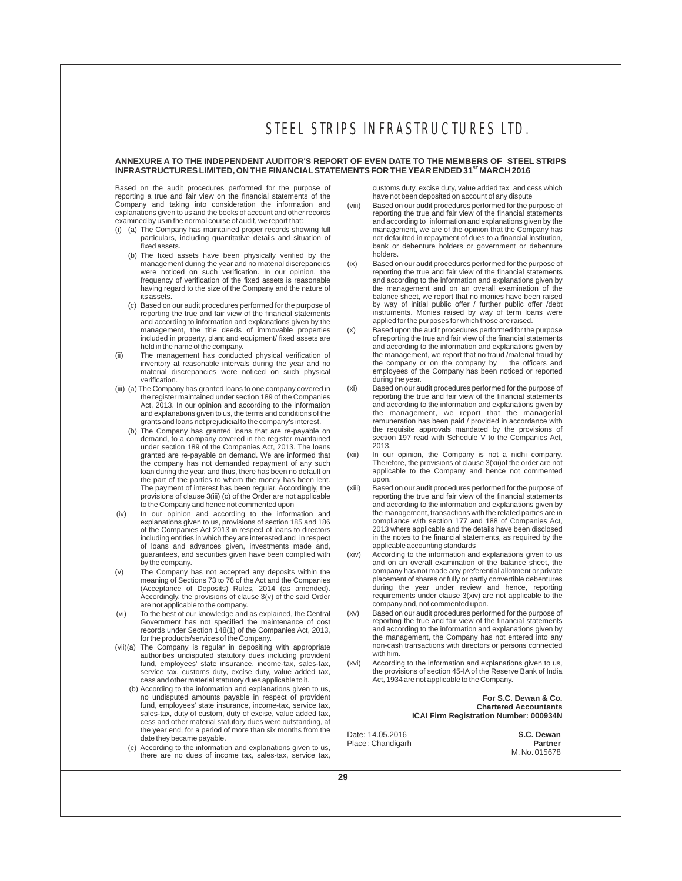#### **ANNEXURE A TO THE INDEPENDENT AUDITOR'S REPORT OF EVEN DATE TO THE MEMBERS OF STEEL STRIPS INFRASTRUCTURES LIMITED, ON THE FINANCIAL STATEMENTS FOR THE YEAR ENDED 31<sup>8T</sup> MARCH 2016**

Based on the audit procedures performed for the purpose of customs duty, excise duty, value added tax and cess which<br>reporting a true and fair view on the financial statements of the have not been deposited on account of a reporting a true and fair view on the financial statements of the have not been deposited on account of any dispute<br>Company and taking into consideration the information and (viii) Based on our audit procedures performed f Company and taking into consideration the information and (viii) explanations given to us and the books of account and other records explanations given to us and the books of account and other records reporting the true and fair view of the financial statements<br>examined by us in the normal course of audit, we report that:<br>and according to information an

- (i) (a) The Company has maintained proper records showing full particulars, including quantitative details and situation of
	- (b) The fixed assets have been physically verified by the management during the year and no material discrepancies (ix) having regard to the size of the Company and the nature of
	- (c) Based on our audit procedures performed for the purpose of reporting the true and fair view of the financial statements and according to information and explanations given by the applied for the purposes for which those are raised.<br>
	management, the title deeds of immovable properties (x) Based upon the audit procedures performed for the pur
- inventory at reasonable intervals during the year and no material discrepancies were noticed on such physical
- (iii) (a) The Company has granted loans to one company covered in the register maintained under section 189 of the Companies Act, 2013. In our opinion and according to the information and explanations given to us, the terms and conditions of the
	- loan during the year, and thus, there has been no default on the part of the parties to whom the money has been lent. upon.<br>The payment of interest has been regular. Accordingly, the (xiii) Base The payment of interest has been regular. Accordingly, the (xiii) Based on our audit procedures performed for the purpose of provisions of clause 3(iii) (c) of the Order are not applicable reporting the true and fair view
- of the Companies Act 2013 in respect of loans to directors including entities in which they are interested and in respect of loans and advances given, investments made and, guarantees, and securities given have been complied with
- 
- (vi) To the best of our knowledge and as explained, the Central Government has not specified the maintenance of cost records under Section 148(1) of the Companies Act, 2013, for the products/services of the Company.
- (vii)(a) The Company is regular in depositing with appropriate non-cash non-cash authorities undisputed statutory dues including provident with him. authorities undisputed statutory dues including provident<br>fund, employees state insurance, income-tax, sales-tax, (xvi) cess and other material statutory dues applicable to it.
	- (b) According to the information and explanations given to us, no undisputed amounts payable in respect of provident **Form of Conduct 10 and Form S.C. Dewan & Co.**<br> **Form S.C. Dewan & Co. Form S.C. Dewan & Co.** Chartered Accountants fund, employees' state insurance, income-tax, service tax, sales-tax, duty of custom, duty of excise, value added tax, cess and other material statutory dues were outstanding, at the year end, for a period of more than six months from the Date: 14.05.2016 S.C. Dewan<br>
	(c) According to the information and explanations given to us, Place : Chandigarh **Partner** (c) According to the information and expl
	- there are no dues of income tax, sales-tax, service tax,

- and according to information and explanations given by the management, we are of the opinion that the Company has particulars, including quantitative details and situation of not defaulted in repayment of dues to a financial institution, fixed assets.<br>
bank or debenture holders or government or debenture bank or debenture holders or government or debenture<br>holders.
- Based on our audit procedures performed for the purpose of were noticed on such verification. In our opinion, the reporting the true and fair view of the financial statements<br>
frequency of verification of the fixed assets is reasonable and according to the information and explanat and according to the information and explanations given by the management and on an overall examination of the balance sheet, we report that no monies have been raised<br>by way of initial public offer / further public offer /debt instruments. Monies raised by way of term loans were applied for the purposes for which those are raised.
- management, the title deeds of immovable properties (x) Based upon the audit procedures performed for the purpose<br>included in property, plant and equipment/ fixed assets are freporting the true and fair view of the financi held in the name of the company.<br>
held in the name of the company.<br>
The management has conducted physical verification of the management, we report that no fraud /material fraud by (ii) The management has conducted physical verification of the management, we report that no fraud /material fraud by<br>inventory at reasonable intervals during the year and no the company or on the company by the officers a employees of the Company has been noticed or reported verification.<br>The Company has granted loans to one company covered in (xi) Based on our audit procedures performed for the purpose of
	- reporting the true and fair view of the financial statements and according to the information and explanations given by the management, we report that the managerial remuneration has been paid / provided in accordance with grants and loans not prejudicial to the company's interest.<br>The Company has granted loans that are re-payable on the requisite approvals mandated by the provisions of (b) The Company has granted loans that are re-payable on the requisite approvals mandated by the provisions of<br>demand to a company covered in the register maintained section 197 read with Schedule V to the Companies Act, demand, to a company covered in the register maintained section 197 read with Schedule V to the Companies Act,<br>under section 189 of the Companies Act, 2013. The loans 2013.
		- granted are re-payable on demand. We are informed that (xii) In our opinion, the Company is not a nidhi company.<br>Therefore, the provisions of clause 3(xii) of the order are not the company has not demanded repayment of any such Therefore, the provisions of clause 3(xii)of the order are not<br>Ioan during the year, and thus, there has been no default on applicable to the Company and hence not comment
- provisions of clause 3(iii) (c) of the Order are not applicable reporting the true and fair view of the financial statements<br>to the Company and hence not commented upon and according to the information and explanations giv and according to the information and explanations given by the management, transactions with the related parties are in (iv) In our opinion and according to the information and the management, transactions with the related parties are in explanations given to us, provisions of section 185 and 186 compliance with section 177 and 188 of Companies Act,<br>
of the Companies Act 2013 in respect of loans to directors 2013 where applicable and the details have been in the notes to the financial statements, as required by the applicable accounting standards
- According to the information and explanations given to us by the company. The company of the company of the balance sheet, the sheet and on an overall examination of the balance sheet, the (v) The Company has not accepted any deposits within the company has not made any preferential allotment or private<br>meaning of Sections 73 to 76 of the Act and the Companies placement of shares or fully or partly convertib Accordingly, the provisions of clause 3(v) of the said Order requirements under clause 3(xiv) are not applicable to the company.<br>
are not applicable to the company. are not applicable to the company.<br>To the best of our knowledge and as explained, the Central (xv) Based on our audit procedures performed for the purpose of
	- reporting the true and fair view of the financial statements and according to the information and explanations given by the management, the Company has not entered into any<br>non-cash transactions with directors or persons connected
	- fund, employees' state insurance, income-tax, sales-tax, (xvi) According to the information and explanations given to us, service tax, customs duty, excise duty, value added tax, the provisions of section 45-IA of the Rese the provisions of section 45-IA of the Reserve Bank of India<br>Act, 1934 are not applicable to the Company.

**ICAI Firm Registration Number: 000934N**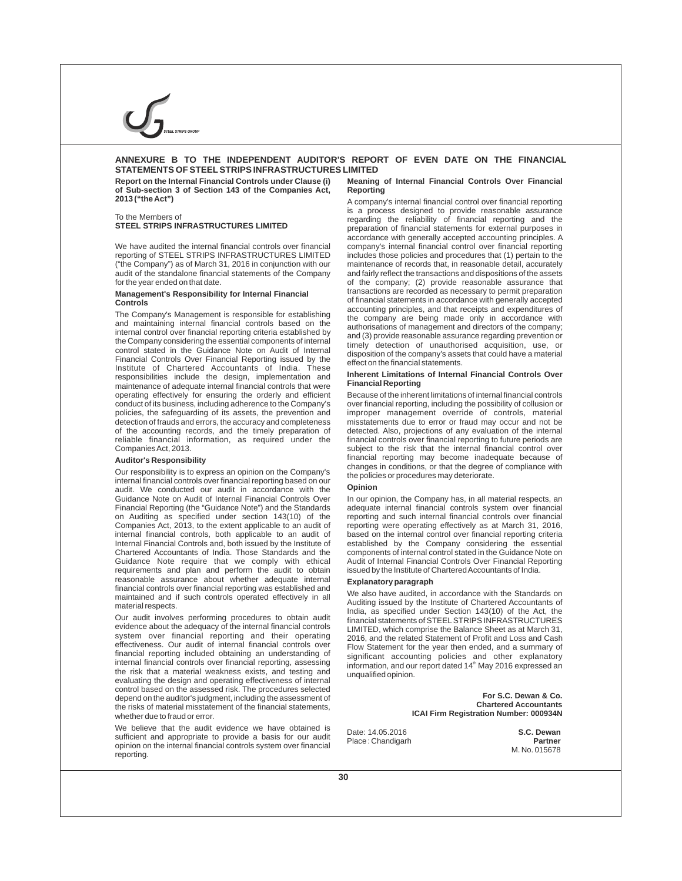### **ANNEXURE B TO THE INDEPENDENT AUDITOR'S REPORT OF EVEN DATE ON THE FINANCIAL STATEMENTS OF STEELSTRIPS INFRASTRUCTURES LIMITED**

**of Sub-section 3 of Section 143 of the Companies Act, Reporting** 

("the Company") as of March 31, 2016 in conjunction with our maintenance of records that, in reasonable detail, accurately

## **Management's Responsibility for Internal Financial Controls**

The Company's Management is responsible for establishing<br>and maintaining internal financial controls based on the<br>internal control over financial reporting criteria established by<br>internal control over financial reporting Financial Controls Over Financial Reporting issued by the disposition of the company's assets that could have a material<br>Institute of Chartered Accountants of India. These<br>Institute of Chartered Accountants of India. These **Inherent Limitations** of adopted the design, implementation and **Inherent Limitations**<br>maintenance of adopted internal financial controls that were **Financial Reporting** maintenance of adequate internal financial controls that were operating effectively for ensuring the orderly and efficient conduct of its business, including adherence to the Company's over financial reporting, including the possibility of collusion or policies, the safeguarding of its assets, the prevention and improper management override of controls, material detection of frauds and errors, the accuracy and completeness misstatements due to error or fraud may occur an of the accounting records, and the timely preparation of detected. Also, projections of any evaluation of the internal reliable financial information, as required under the financial controls over financial reporting to future periods are Companies Act, 2013. subject to the risk that the internal financial control over

Our responsibility is to express an opinion on the Company's<br>internal financial controls over financial reporting based on our<br>audit. We conducted our audit in accordance with the **Opinion** audit. We conducted our audit in accordance with the Guidance Note on Audit of Internal Financial Controls Over Guidance Note on Audit of Internal Financial Controls Over In our opinion, the Company has, in all material respects, an<br>Financial Reporting (the "Guidance Note") and the Standards adequate internal financial controls syst Financial Reporting (the "Guidance Note") and the Standards adequate internal financial controls system over financial<br>on Auditing as specified under section 143(10) of the reporting and such internal financial controls ov on Auditing as specified under section 143(10) of the reporting and such internal financial controls over financial<br>Companies Act, 2013, to the extent applicable to an audit of reporting were operating effectively as at Ma Companies Act, 2013, to the extent applicable to an audit of reporting were operating effectively as at March 31, 2016, internal financial controls, both applicable to an audit of based on the internal control over financi internal financial controls, both applicable to an audit of based on the internal control over financial reporting criteria Internal Financial Controls and, both issued by the Institute of established by the Company considering the essential Chartered Accountants of India. Those Standards and the components of internal control stated in the Gui Chartered Accountants of India. Those Standards and the components of internal control stated in the Guidance Note on<br>Guidance Note require that we comply with ethical Audit of Internal Financial Controls Over Financial Re requirements and plan and perform the audit to obtain reasonable assurance about whether adequate internal **Explanatory paragraph**

Our audit involves performing procedures to obtain audit financial statements of STEEL STRIPS INFRASTRUCTURES evidence about the adequacy of the internal financial controls [MITED which comprise the Balance Sheet as at Mar system over financial reporting and their operating effectiveness. Our audit of internal financial controls over effectiveness. Our audit of internal financial controls over Flow Statement for the year then ended, and a summary of<br>financial reporting included obtaining an understanding of significant accounting policies and other exp financial reporting included obtaining an understanding of significant accounting policies and other explanatory<br>internal financial controls over financial reporting assessing information and our report dated 14th May 2016 the risk that a material weakness exists, and testing and evaluating the design and operating effectiveness of internal control based on the assessed risk. The procedures selected depend on the auditor's judgment, including the assessment of the risks of material misstatement of the financial statements, whether due to fraud or error.

We believe that the audit evidence we have obtained is sufficient and appropriate to provide a basis for our audit opinion on the internal financial controls system over financial reporting.

## **Report on the Internal Financial Controls under Clause (i) Meaning of Internal Financial Controls Over Financial**

A company's internal financial control over financial reporting is a process designed to provide reasonable assurance To the Members of<br>
To the Members of the regarding the reliability of financial reporting and the<br>
regarding the reliability of financial reporting and the<br>
report of financial reporting and the reporting and the reporting preparation of financial statements for external purposes in accordance with generally accepted accounting principles. A We have audited the internal financial controls over financial company's internal financial control over financial reporting<br>reporting of STEEL STRIPS INFRASTRUCTURES LIMITED includes those policies and procedures that (1) reporting of STEEL STRIPS INFRASTRUCTURES LIMITED includes those policies and procedures that (1) pertain to the<br>("the Company") as of March 31, 2016 in conjunction with our maintenance of records that, in reasonable detai audit of the standalone financial statements of the Company and fairly reflect the transactions and dispositions of the assets of the company; (2) provide reasonable assurance that transactions are recorded as necessary to permit preparation of financial statements in accordance with generally accepted<br>accounting principles, and that receipts and expenditures of

Because of the inherent limitations of internal financial controls misstatements due to error or fraud may occur and not be detected. Also, projections of any evaluation of the internal **Auditor's Responsibility** financial reporting may become inadequate because of changes in conditions, or that the degree of compliance with  $\Omega$ 

Audit of Internal Financial Controls Over Financial Reporting<br>issued by the Institute of Chartered Accountants of India.

maintained and if such controls operated effectively in all<br>maintained and if such controls operated effectively in all<br>material respects.<br>Our audit involves performing procedures to obtain audit<br>financial statements of ST LIMITED, which comprise the Balance Sheet as at March 31, 2016, and the related Statement of Profit and Loss and Cash information, and our report dated 14<sup>th</sup> May 2016 expressed an unqualified opinion.

> **For S.C. Dewan & Co. Chartered Accountants ICAI Firm Registration Number: 000934N**

Date: 14.05.2016 **S.C. Dewan**  $Place:$ **Chandigarh** 

M. No. 015678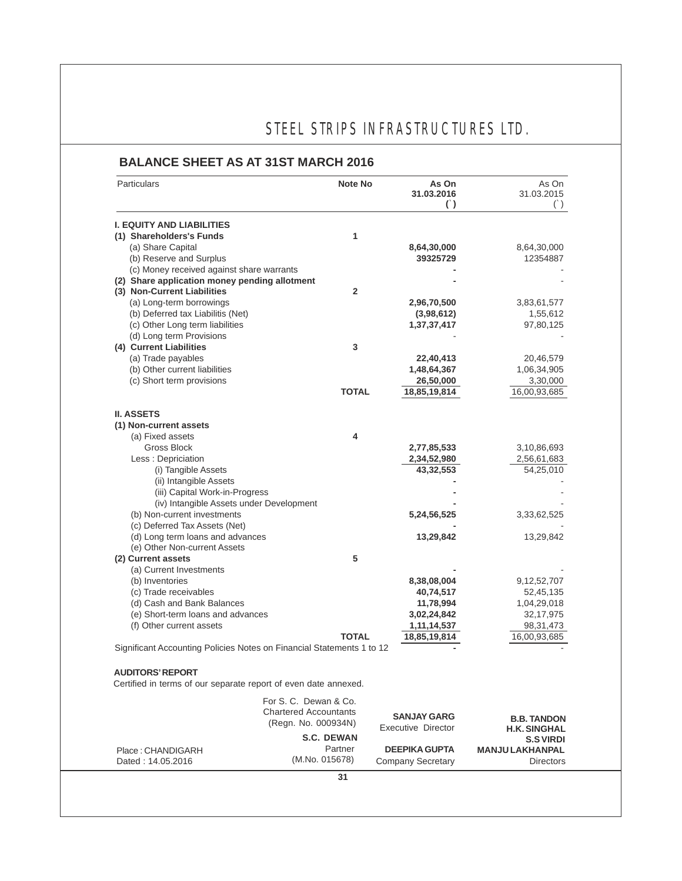## **BALANCE SHEET AS AT 31ST MARCH 2016**

| Particulars                                                           | <b>Note No</b>                                        | As On<br>31.03.2016<br>$\left( \cdot \right)$ | As On<br>31.03.2015<br>$(\dot{\ })$ |
|-----------------------------------------------------------------------|-------------------------------------------------------|-----------------------------------------------|-------------------------------------|
| <b>I. EQUITY AND LIABILITIES</b>                                      |                                                       |                                               |                                     |
| (1) Shareholders's Funds                                              | 1                                                     |                                               |                                     |
| (a) Share Capital                                                     |                                                       | 8,64,30,000                                   | 8,64,30,000                         |
| (b) Reserve and Surplus                                               |                                                       | 39325729                                      | 12354887                            |
| (c) Money received against share warrants                             |                                                       |                                               |                                     |
| (2) Share application money pending allotment                         |                                                       |                                               |                                     |
| (3) Non-Current Liabilities                                           | $\mathbf{2}$                                          |                                               |                                     |
| (a) Long-term borrowings                                              |                                                       | 2,96,70,500                                   | 3,83,61,577                         |
| (b) Deferred tax Liabilitis (Net)                                     |                                                       | (3,98,612)                                    | 1,55,612                            |
| (c) Other Long term liabilities                                       |                                                       | 1,37,37,417                                   | 97,80,125                           |
| (d) Long term Provisions                                              |                                                       |                                               |                                     |
| (4) Current Liabilities                                               | 3                                                     |                                               |                                     |
| (a) Trade payables                                                    |                                                       | 22,40,413                                     | 20,46,579                           |
| (b) Other current liabilities                                         |                                                       | 1,48,64,367                                   | 1,06,34,905                         |
| (c) Short term provisions                                             |                                                       | 26,50,000                                     | 3,30,000                            |
|                                                                       | <b>TOTAL</b>                                          | 18,85,19,814                                  | 16,00,93,685                        |
| <b>II. ASSETS</b>                                                     |                                                       |                                               |                                     |
| (1) Non-current assets                                                |                                                       |                                               |                                     |
| (a) Fixed assets                                                      | 4                                                     |                                               |                                     |
| Gross Block                                                           |                                                       | 2,77,85,533                                   | 3,10,86,693                         |
| Less: Depriciation                                                    |                                                       | 2,34,52,980                                   | 2,56,61,683                         |
| (i) Tangible Assets                                                   |                                                       | 43,32,553                                     | 54,25,010                           |
| (ii) Intangible Assets                                                |                                                       |                                               |                                     |
| (iii) Capital Work-in-Progress                                        |                                                       |                                               |                                     |
| (iv) Intangible Assets under Development                              |                                                       |                                               |                                     |
| (b) Non-current investments                                           |                                                       | 5,24,56,525                                   | 3,33,62,525                         |
| (c) Deferred Tax Assets (Net)                                         |                                                       |                                               |                                     |
| (d) Long term loans and advances                                      |                                                       | 13,29,842                                     | 13,29,842                           |
| (e) Other Non-current Assets                                          |                                                       |                                               |                                     |
| (2) Current assets                                                    | 5                                                     |                                               |                                     |
| (a) Current Investments                                               |                                                       |                                               |                                     |
| (b) Inventories                                                       |                                                       | 8,38,08,004                                   | 9,12,52,707                         |
| (c) Trade receivables                                                 |                                                       | 40,74,517                                     | 52,45,135                           |
| (d) Cash and Bank Balances                                            |                                                       | 11,78,994                                     | 1,04,29,018                         |
| (e) Short-term loans and advances                                     |                                                       | 3,02,24,842                                   | 32, 17, 975                         |
| (f) Other current assets                                              |                                                       | 1, 11, 14, 537                                | 98, 31, 473                         |
|                                                                       | <b>TOTAL</b>                                          | 18,85,19,814                                  | 16,00,93,685                        |
| Significant Accounting Policies Notes on Financial Statements 1 to 12 |                                                       |                                               |                                     |
| <b>AUDITORS' REPORT</b>                                               |                                                       |                                               |                                     |
| Certified in terms of our separate report of even date annexed.       |                                                       |                                               |                                     |
|                                                                       | For S. C. Dewan & Co.<br><b>Chartered Accountants</b> | <b>SANJAY GARG</b>                            | <b>B.B. TANDON</b>                  |
|                                                                       | (Regn. No. 000934N)                                   | Executive Director                            | <b>H.K. SINGHAL</b>                 |
|                                                                       | <b>S.C. DEWAN</b>                                     |                                               | <b>S.S VIRDI</b>                    |
| Place: CHANDIGARH                                                     | Partner                                               | <b>DEEPIKA GUPTA</b>                          | <b>MANJU LAKHANPAL</b>              |
| Dated: 14.05.2016                                                     | (M.No. 015678)                                        | <b>Company Secretary</b>                      | <b>Directors</b>                    |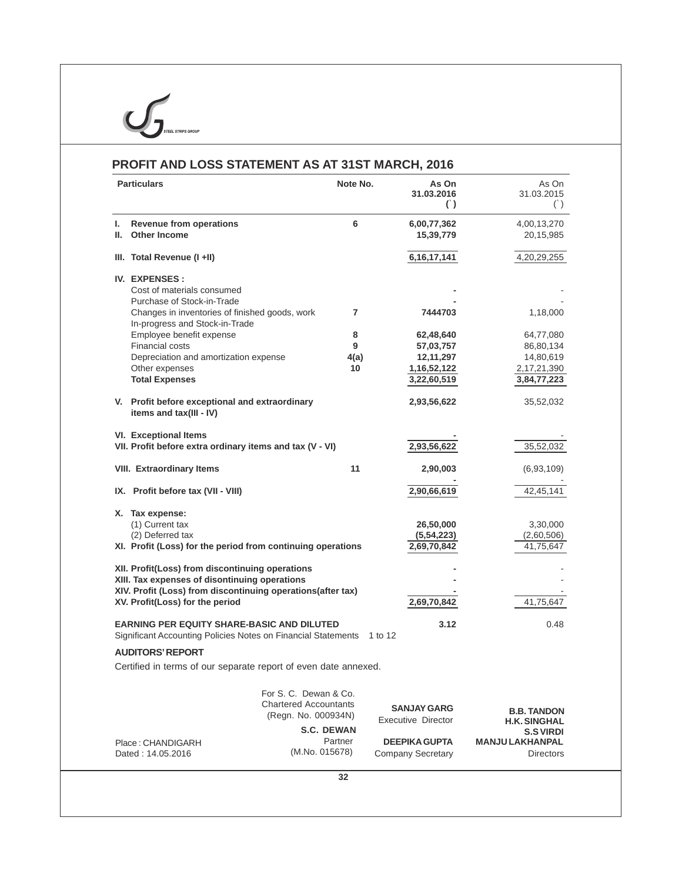|    | PROFIT AND LOSS STATEMENT AS AT 31ST MARCH, 2016                                                                   |                   |                                               |                                           |
|----|--------------------------------------------------------------------------------------------------------------------|-------------------|-----------------------------------------------|-------------------------------------------|
|    | <b>Particulars</b>                                                                                                 | Note No.          | As On<br>31.03.2016<br>$\left( \cdot \right)$ | As On<br>31.03.2015<br>$($ )              |
| L. | <b>Revenue from operations</b>                                                                                     | 6                 | 6,00,77,362                                   | 4,00,13,270                               |
| Ш. | <b>Other Income</b>                                                                                                |                   | 15,39,779                                     | 20,15,985                                 |
|    | III. Total Revenue (I +II)                                                                                         |                   | 6, 16, 17, 141                                | 4,20,29,255                               |
|    | <b>IV. EXPENSES:</b>                                                                                               |                   |                                               |                                           |
|    | Cost of materials consumed                                                                                         |                   |                                               |                                           |
|    | Purchase of Stock-in-Trade                                                                                         |                   |                                               |                                           |
|    | Changes in inventories of finished goods, work<br>In-progress and Stock-in-Trade                                   | 7                 | 7444703                                       | 1,18,000                                  |
|    | Employee benefit expense                                                                                           | 8                 | 62,48,640                                     | 64,77,080                                 |
|    | <b>Financial costs</b>                                                                                             | 9                 | 57,03,757                                     | 86,80,134                                 |
|    | Depreciation and amortization expense                                                                              | 4(a)              | 12, 11, 297                                   | 14,80,619                                 |
|    | Other expenses<br><b>Total Expenses</b>                                                                            | 10                | 1, 16, 52, 122<br>3,22,60,519                 | 2,17,21,390<br>3,84,77,223                |
|    |                                                                                                                    |                   |                                               |                                           |
|    | V. Profit before exceptional and extraordinary<br>items and tax(III - IV)                                          |                   | 2,93,56,622                                   | 35,52,032                                 |
|    | VI. Exceptional Items                                                                                              |                   |                                               |                                           |
|    | VII. Profit before extra ordinary items and tax (V - VI)                                                           |                   | 2,93,56,622                                   | 35,52,032                                 |
|    | <b>VIII. Extraordinary Items</b>                                                                                   | 11                | 2,90,003                                      | (6,93,109)                                |
|    | IX. Profit before tax (VII - VIII)                                                                                 |                   | 2,90,66,619                                   | 42,45,141                                 |
|    | X. Tax expense:                                                                                                    |                   |                                               |                                           |
|    | (1) Current tax                                                                                                    |                   | 26,50,000                                     | 3,30,000                                  |
|    | (2) Deferred tax                                                                                                   |                   | (5, 54, 223)                                  | (2,60,506)                                |
|    | XI. Profit (Loss) for the period from continuing operations                                                        |                   | 2,69,70,842                                   | 41,75,647                                 |
|    | XII. Profit(Loss) from discontinuing operations                                                                    |                   |                                               |                                           |
|    | XIII. Tax expenses of disontinuing operations                                                                      |                   |                                               |                                           |
|    | XIV. Profit (Loss) from discontinuing operations(after tax)                                                        |                   |                                               |                                           |
|    | XV. Profit(Loss) for the period                                                                                    |                   | 2,69,70,842                                   | 41,75,647                                 |
|    | <b>EARNING PER EQUITY SHARE-BASIC AND DILUTED</b><br>Significant Accounting Policies Notes on Financial Statements |                   | 3.12<br>1 to 12                               | 0.48                                      |
|    | <b>AUDITORS' REPORT</b>                                                                                            |                   |                                               |                                           |
|    | Certified in terms of our separate report of even date annexed.                                                    |                   |                                               |                                           |
|    | For S. C. Dewan & Co.                                                                                              |                   |                                               |                                           |
|    | <b>Chartered Accountants</b>                                                                                       |                   | <b>SANJAY GARG</b>                            |                                           |
|    | (Regn. No. 000934N)                                                                                                |                   | <b>Executive Director</b>                     | <b>B.B. TANDON</b><br><b>H.K. SINGHAL</b> |
|    |                                                                                                                    | <b>S.C. DEWAN</b> |                                               | <b>S.S VIRDI</b>                          |
|    | Place: CHANDIGARH                                                                                                  | Partner           | <b>DEEPIKA GUPTA</b>                          | <b>MANJU LAKHANPAL</b>                    |
|    | Dated: 14.05.2016                                                                                                  | (M.No. 015678)    | <b>Company Secretary</b>                      | <b>Directors</b>                          |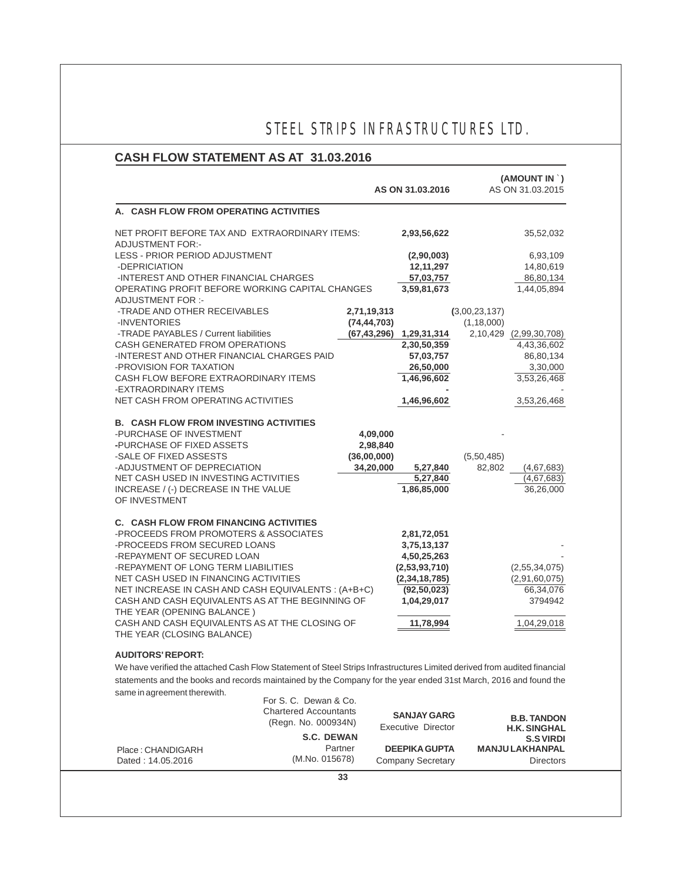## **CASH FLOW STATEMENT AS AT 31.03.2016**

|                                                                                                                                                                                                                                                                                                                                                                              |                                                                              |                                                  | AS ON 31.03.2016                                                                                            | (AMOUNT IN `)<br>AS ON 31.03.2015                             |
|------------------------------------------------------------------------------------------------------------------------------------------------------------------------------------------------------------------------------------------------------------------------------------------------------------------------------------------------------------------------------|------------------------------------------------------------------------------|--------------------------------------------------|-------------------------------------------------------------------------------------------------------------|---------------------------------------------------------------|
| A. CASH FLOW FROM OPERATING ACTIVITIES                                                                                                                                                                                                                                                                                                                                       |                                                                              |                                                  |                                                                                                             |                                                               |
| NET PROFIT BEFORE TAX AND EXTRAORDINARY ITEMS:<br><b>ADJUSTMENT FOR:-</b>                                                                                                                                                                                                                                                                                                    |                                                                              |                                                  | 2,93,56,622                                                                                                 | 35,52,032                                                     |
| LESS - PRIOR PERIOD ADJUSTMENT<br>-DEPRICIATION                                                                                                                                                                                                                                                                                                                              |                                                                              |                                                  | (2,90,003)<br>12, 11, 297                                                                                   | 6,93,109<br>14,80,619                                         |
| -INTEREST AND OTHER FINANCIAL CHARGES                                                                                                                                                                                                                                                                                                                                        |                                                                              |                                                  | 57,03,757                                                                                                   | 86,80,134                                                     |
| OPERATING PROFIT BEFORE WORKING CAPITAL CHANGES<br><b>ADJUSTMENT FOR:-</b>                                                                                                                                                                                                                                                                                                   |                                                                              |                                                  | 3,59,81,673                                                                                                 | 1,44,05,894                                                   |
| -TRADE AND OTHER RECEIVABLES                                                                                                                                                                                                                                                                                                                                                 |                                                                              | 2,71,19,313                                      |                                                                                                             | (3,00,23,137)                                                 |
| -INVENTORIES                                                                                                                                                                                                                                                                                                                                                                 |                                                                              | (74, 44, 703)                                    |                                                                                                             | (1, 18, 000)                                                  |
| -TRADE PAYABLES / Current liabilities                                                                                                                                                                                                                                                                                                                                        |                                                                              |                                                  | $(67, 43, 296)$ 1, 29, 31, 314                                                                              | 2,10,429 (2,99,30,708)                                        |
| CASH GENERATED FROM OPERATIONS                                                                                                                                                                                                                                                                                                                                               |                                                                              |                                                  | 2,30,50,359                                                                                                 | 4,43,36,602                                                   |
| -INTEREST AND OTHER FINANCIAL CHARGES PAID                                                                                                                                                                                                                                                                                                                                   |                                                                              |                                                  | 57,03,757                                                                                                   | 86,80,134                                                     |
| -PROVISION FOR TAXATION<br>CASH FLOW BEFORE EXTRAORDINARY ITEMS                                                                                                                                                                                                                                                                                                              |                                                                              |                                                  | 26,50,000<br>1,46,96,602                                                                                    | 3,30,000<br>3,53,26,468                                       |
| -EXTRAORDINARY ITEMS<br>NET CASH FROM OPERATING ACTIVITIES                                                                                                                                                                                                                                                                                                                   |                                                                              |                                                  | 1,46,96,602                                                                                                 | 3,53,26,468                                                   |
| <b>B. CASH FLOW FROM INVESTING ACTIVITIES</b><br>-PURCHASE OF INVESTMENT<br>-PURCHASE OF FIXED ASSETS<br>-SALE OF FIXED ASSESTS<br>-ADJUSTMENT OF DEPRECIATION<br>NET CASH USED IN INVESTING ACTIVITIES<br>INCREASE / (-) DECREASE IN THE VALUE<br>OF INVESTMENT                                                                                                             |                                                                              | 4,09,000<br>2,98,840<br>(36,00,000)<br>34,20,000 | 5,27,840<br>5,27,840<br>1,86,85,000                                                                         | (5,50,485)<br>82,802<br>(4,67,683)<br>(4,67,683)<br>36,26,000 |
| <b>C. CASH FLOW FROM FINANCING ACTIVITIES</b><br>-PROCEEDS FROM PROMOTERS & ASSOCIATES<br>-PROCEEDS FROM SECURED LOANS<br>-REPAYMENT OF SECURED LOAN<br>-REPAYMENT OF LONG TERM LIABILITIES<br>NET CASH USED IN FINANCING ACTIVITIES<br>NET INCREASE IN CASH AND CASH EQUIVALENTS: (A+B+C)<br>CASH AND CASH EQUIVALENTS AS AT THE BEGINNING OF<br>THE YEAR (OPENING BALANCE) |                                                                              |                                                  | 2,81,72,051<br>3,75,13,137<br>4,50,25,263<br>(2,53,93,710)<br>(2,34,18,785)<br>(92, 50, 023)<br>1,04,29,017 | (2,55,34,075)<br>(2,91,60,075)<br>66,34,076<br>3794942        |
| CASH AND CASH EQUIVALENTS AS AT THE CLOSING OF<br>THE YEAR (CLOSING BALANCE)                                                                                                                                                                                                                                                                                                 |                                                                              |                                                  | 11,78,994                                                                                                   | 1,04,29,018                                                   |
| <b>AUDITORS' REPORT:</b><br>We have verified the attached Cash Flow Statement of Steel Strips Infrastructures Limited derived from audited financial<br>statements and the books and records maintained by the Company for the year ended 31st March, 2016 and found the<br>same in agreement therewith.                                                                     | For S. C. Dewan & Co.<br><b>Chartered Accountants</b><br>(Regn. No. 000934N) |                                                  | <b>SANJAY GARG</b><br><b>Executive Director</b>                                                             | <b>B.B. TANDON</b><br><b>H.K. SINGHAL</b>                     |
|                                                                                                                                                                                                                                                                                                                                                                              | <b>S.C. DEWAN</b>                                                            |                                                  |                                                                                                             | <b>S.S VIRDI</b>                                              |
| Place: CHANDIGARH<br>Dated: 14.05.2016                                                                                                                                                                                                                                                                                                                                       | (M.No. 015678)                                                               | Partner                                          | <b>DEEPIKA GUPTA</b><br><b>Company Secretary</b>                                                            | <b>MANJU LAKHANPAL</b><br><b>Directors</b>                    |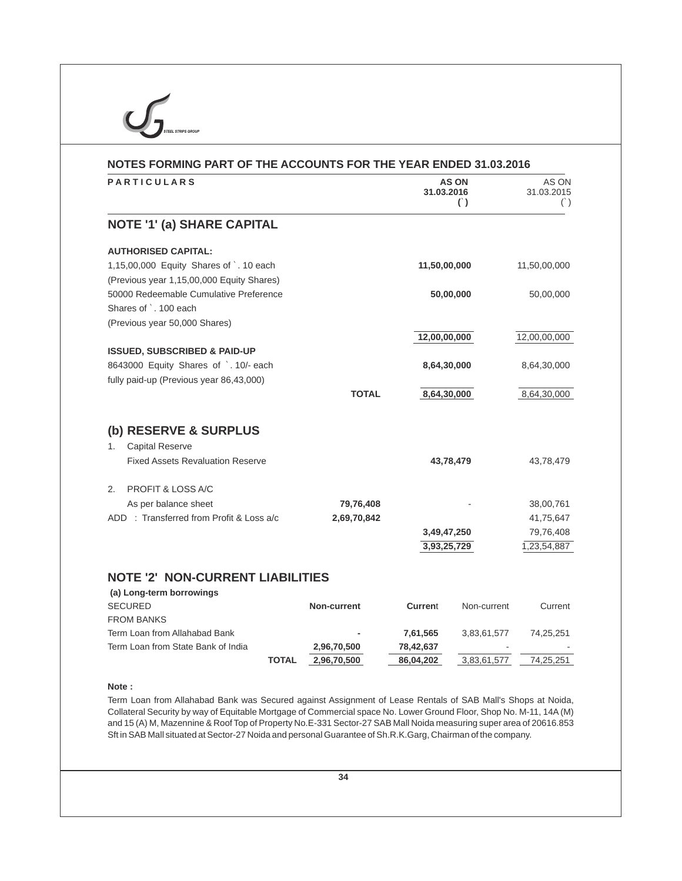| NOTES FORMING PART OF THE ACCOUNTS FOR THE YEAR ENDED 31.03.2016                                                                              |              |                |                                        |                            |
|-----------------------------------------------------------------------------------------------------------------------------------------------|--------------|----------------|----------------------------------------|----------------------------|
| <b>PARTICULARS</b>                                                                                                                            |              | 31.03.2016     | <b>AS ON</b><br>$\left( \cdot \right)$ | AS ON<br>31.03.2015<br>( ) |
| <b>NOTE '1' (a) SHARE CAPITAL</b>                                                                                                             |              |                |                                        |                            |
| <b>AUTHORISED CAPITAL:</b>                                                                                                                    |              |                |                                        |                            |
| 1,15,00,000 Equity Shares of `. 10 each                                                                                                       |              | 11,50,00,000   |                                        | 11,50,00,000               |
| (Previous year 1,15,00,000 Equity Shares)<br>50000 Redeemable Cumulative Preference<br>Shares of `. 100 each<br>(Previous year 50,000 Shares) |              |                | 50,00,000                              | 50,00,000                  |
|                                                                                                                                               |              | 12,00,00,000   |                                        | 12,00,00,000               |
| <b>ISSUED, SUBSCRIBED &amp; PAID-UP</b>                                                                                                       |              |                |                                        |                            |
| 8643000 Equity Shares of `. 10/- each<br>fully paid-up (Previous year 86,43,000)                                                              |              | 8,64,30,000    |                                        | 8,64,30,000                |
|                                                                                                                                               | <b>TOTAL</b> | 8,64,30,000    |                                        | 8,64,30,000                |
| (b) RESERVE & SURPLUS                                                                                                                         |              |                |                                        |                            |
| <b>Capital Reserve</b><br>1.                                                                                                                  |              |                |                                        |                            |
| <b>Fixed Assets Revaluation Reserve</b>                                                                                                       |              |                | 43,78,479                              | 43,78,479                  |
| PROFIT & LOSS A/C<br>2.                                                                                                                       |              |                |                                        |                            |
| As per balance sheet                                                                                                                          | 79,76,408    |                |                                        | 38,00,761                  |
| ADD: Transferred from Profit & Loss a/c                                                                                                       | 2,69,70,842  |                |                                        | 41,75,647                  |
|                                                                                                                                               |              | 3,49,47,250    |                                        | 79,76,408                  |
|                                                                                                                                               |              | 3,93,25,729    |                                        | 1,23,54,887                |
| <b>NOTE '2' NON-CURRENT LIABILITIES</b>                                                                                                       |              |                |                                        |                            |
| (a) Long-term borrowings                                                                                                                      |              |                |                                        |                            |
| <b>SECURED</b>                                                                                                                                | Non-current  | <b>Current</b> | Non-current                            | Current                    |
| <b>FROM BANKS</b>                                                                                                                             |              |                |                                        |                            |
| Term Loan from Allahabad Bank                                                                                                                 |              | 7,61,565       | 3,83,61,577                            | 74,25,251                  |
| Term Loan from State Bank of India                                                                                                            | 2,96,70,500  | 78,42,637      |                                        |                            |

Term Loan from Allahabad Bank was Secured against Assignment of Lease Rentals of SAB Mall's Shops at Noida, Collateral Security by way of Equitable Mortgage of Commercial space No. Lower Ground Floor, Shop No. M-11, 14A(M) and 15 (A) M, Mazennine & Roof Top of Property No.E-331 Sector-27 SAB Mall Noida measuring super area of 20616.853 Sft in SAB Mall situated at Sector-27 Noida and personal Guarantee of Sh.R.K.Garg, Chairman of the company.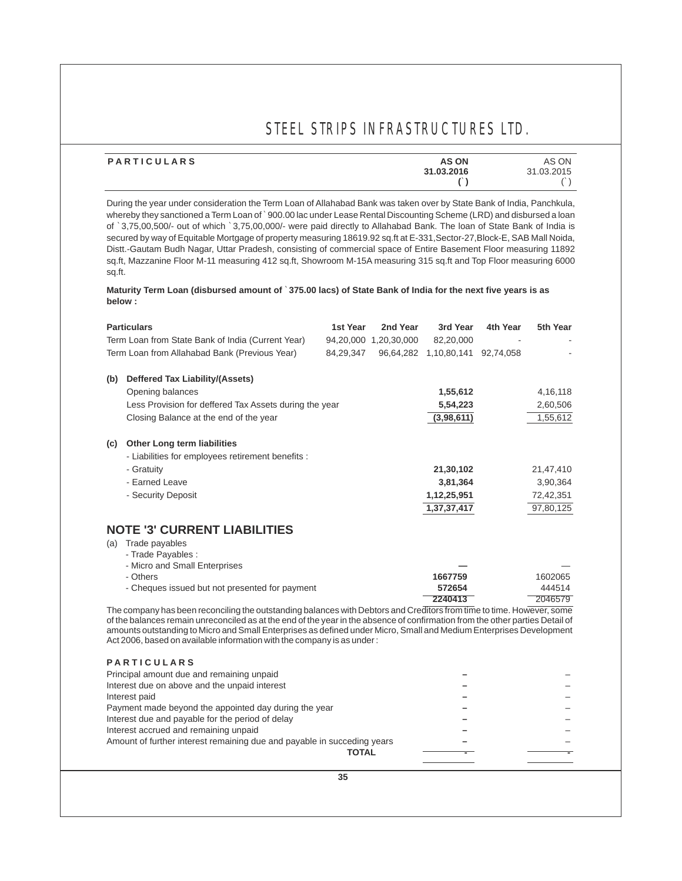| PARTICULARS | <b>AS ON</b> | AS ON      |
|-------------|--------------|------------|
|             | 31.03.2016   | 31.03.2015 |
|             |              |            |

During the year under consideration the Term Loan of Allahabad Bank was taken over by State Bank of India, Panchkula, whereby they sanctioned a Term Loan of `900.00 lac under Lease Rental Discounting Scheme (LRD) and disbursed a loan of `3,75,00,500/- out of which `3,75,00,000/- were paid directly to Allahabad Bank. The loan of State Bank of India is secured by way of Equitable Mortgage of property measuring 18619.92 sq.ft at E-331,Sector-27,Block-E, SAB Mall Noida, Distt.-Gautam Budh Nagar, Uttar Pradesh, consisting of commercial space of Entire Basement Floor measuring 11892 sq.ft, Mazzanine Floor M-11 measuring 412 sq.ft, Showroom M-15A measuring 315 sq.ft and Top Floor measuring 6000 sq.ft.

### **Maturity Term Loan (disbursed amount of** `**375.00 lacs) of State Bank of India for the next five years is as below :**

| <b>Particulars</b>                                                                                                            | 1st Year     | 2nd Year              | 3rd Year                        | 4th Year | 5th Year  |
|-------------------------------------------------------------------------------------------------------------------------------|--------------|-----------------------|---------------------------------|----------|-----------|
| Term Loan from State Bank of India (Current Year)                                                                             |              | 94,20,000 1,20,30,000 | 82,20,000                       |          |           |
| Term Loan from Allahabad Bank (Previous Year)                                                                                 | 84,29,347    |                       | 96,64,282 1,10,80,141 92,74,058 |          |           |
|                                                                                                                               |              |                       |                                 |          |           |
| <b>Deffered Tax Liability/(Assets)</b><br>(b)                                                                                 |              |                       |                                 |          |           |
| Opening balances                                                                                                              |              |                       | 1,55,612                        |          | 4,16,118  |
| Less Provision for deffered Tax Assets during the year                                                                        |              |                       | 5,54,223                        |          | 2,60,506  |
| Closing Balance at the end of the year                                                                                        |              |                       | (3,98,611)                      |          | 1,55,612  |
| <b>Other Long term liabilities</b><br>(c)                                                                                     |              |                       |                                 |          |           |
| - Liabilities for employees retirement benefits :                                                                             |              |                       |                                 |          |           |
| - Gratuity                                                                                                                    |              |                       | 21,30,102                       |          | 21,47,410 |
| - Earned Leave                                                                                                                |              |                       | 3,81,364                        |          | 3,90,364  |
| - Security Deposit                                                                                                            |              |                       | 1,12,25,951                     |          | 72,42,351 |
|                                                                                                                               |              |                       | 1,37,37,417                     |          | 97,80,125 |
|                                                                                                                               |              |                       |                                 |          |           |
| <b>NOTE '3' CURRENT LIABILITIES</b>                                                                                           |              |                       |                                 |          |           |
| Trade payables<br>(a)                                                                                                         |              |                       |                                 |          |           |
| - Trade Payables :                                                                                                            |              |                       |                                 |          |           |
| - Micro and Small Enterprises                                                                                                 |              |                       |                                 |          |           |
| - Others                                                                                                                      |              |                       | 1667759                         |          | 1602065   |
| - Cheques issued but not presented for payment                                                                                |              |                       | 572654                          |          | 444514    |
| The company has been reconciling the outstanding balances with Debtors and Creditors from time to time. However, some         |              |                       | 2240413                         |          | 2046579   |
| of the balances remain unreconciled as at the end of the year in the absence of confirmation from the other parties Detail of |              |                       |                                 |          |           |
| amounts outstanding to Micro and Small Enterprises as defined under Micro, Small and Medium Enterprises Development           |              |                       |                                 |          |           |
| Act 2006, based on available information with the company is as under:                                                        |              |                       |                                 |          |           |
| <b>PARTICULARS</b>                                                                                                            |              |                       |                                 |          |           |
| Principal amount due and remaining unpaid                                                                                     |              |                       |                                 |          |           |
| Interest due on above and the unpaid interest                                                                                 |              |                       |                                 |          |           |
| Interest paid                                                                                                                 |              |                       |                                 |          |           |
| Payment made beyond the appointed day during the year                                                                         |              |                       |                                 |          |           |
| Interest due and payable for the period of delay                                                                              |              |                       |                                 |          |           |
| Interest accrued and remaining unpaid                                                                                         |              |                       |                                 |          |           |
| Amount of further interest remaining due and payable in succeding years                                                       |              |                       |                                 |          |           |
|                                                                                                                               | <b>TOTAL</b> |                       |                                 |          |           |
|                                                                                                                               |              |                       |                                 |          |           |
|                                                                                                                               | 35           |                       |                                 |          |           |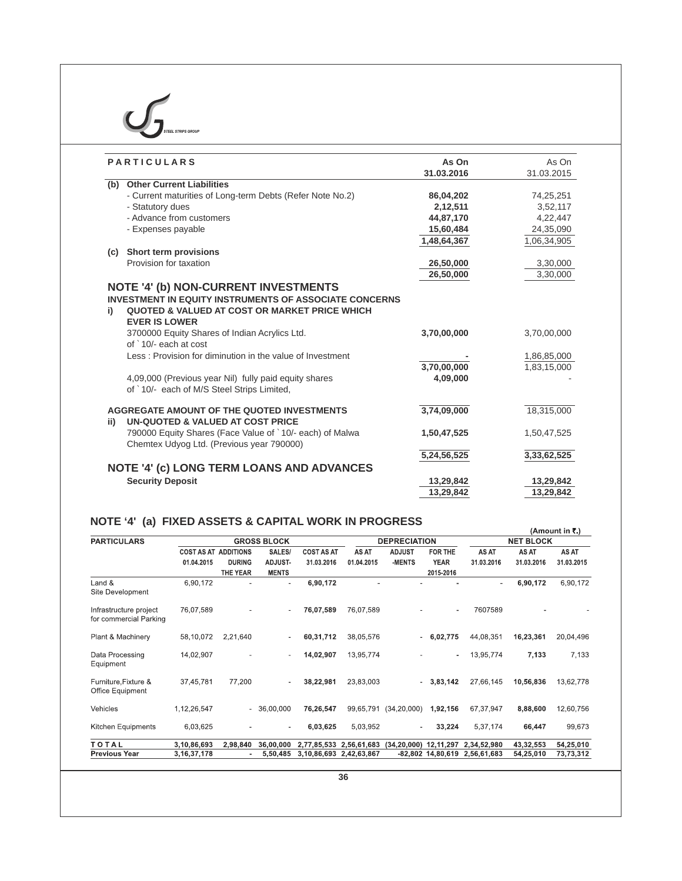| <b>PARTICULARS</b>                                                                                                                                                  | As On<br>31.03.2016        | As On<br>31.03.2015                                                                   |
|---------------------------------------------------------------------------------------------------------------------------------------------------------------------|----------------------------|---------------------------------------------------------------------------------------|
| (b) Other Current Liabilities                                                                                                                                       |                            |                                                                                       |
| - Current maturities of Long-term Debts (Refer Note No.2)                                                                                                           | 86,04,202                  | 74,25,251                                                                             |
| - Statutory dues                                                                                                                                                    | 2,12,511                   | 3,52,117                                                                              |
| - Advance from customers                                                                                                                                            | 44,87,170                  | 4,22,447                                                                              |
| - Expenses payable                                                                                                                                                  | 15,60,484                  | 24,35,090                                                                             |
|                                                                                                                                                                     | 1,48,64,367                | 1,06,34,905                                                                           |
| Short term provisions<br>(c)                                                                                                                                        |                            |                                                                                       |
| Provision for taxation                                                                                                                                              | 26,50,000                  | 3,30,000                                                                              |
|                                                                                                                                                                     | 26,50,000                  | 3,30,000                                                                              |
| <b>NOTE '4' (b) NON-CURRENT INVESTMENTS</b><br><b>INVESTMENT IN EQUITY INSTRUMENTS OF ASSOCIATE CONCERNS</b><br>QUOTED & VALUED AT COST OR MARKET PRICE WHICH<br>i) |                            |                                                                                       |
| <b>EVER IS LOWER</b><br>3700000 Equity Shares of Indian Acrylics Ltd.<br>of `10/- each at cost                                                                      | 3,70,00,000                |                                                                                       |
| Less: Provision for diminution in the value of Investment                                                                                                           |                            |                                                                                       |
| 4,09,000 (Previous year Nil) fully paid equity shares<br>of `10/- each of M/S Steel Strips Limited,                                                                 | 3,70,00,000<br>4,09,000    |                                                                                       |
| UN-QUOTED & VALUED AT COST PRICE                                                                                                                                    | 3,74,09,000                |                                                                                       |
| AGGREGATE AMOUNT OF THE QUOTED INVESTMENTS<br>ii)<br>790000 Equity Shares (Face Value of `10/- each) of Malwa<br>Chemtex Udyog Ltd. (Previous year 790000)          | 1,50,47,525<br>5,24,56,525 | 3,70,00,000<br>1,86,85,000<br>1,83,15,000<br>18,315,000<br>1,50,47,525<br>3,33,62,525 |

## **NOTE '4' (a) FIXED ASSETS & CAPITAL WORK IN PROGRESS**

|                                                  |                             |                          |                          |                   |                         |                             |                     |             |                  | (Amount in ₹.) |  |
|--------------------------------------------------|-----------------------------|--------------------------|--------------------------|-------------------|-------------------------|-----------------------------|---------------------|-------------|------------------|----------------|--|
| <b>PARTICULARS</b>                               |                             |                          | <b>GROSS BLOCK</b>       |                   |                         | <b>DEPRECIATION</b>         |                     |             | <b>NET BLOCK</b> |                |  |
|                                                  | <b>COST AS AT ADDITIONS</b> |                          | SALES/                   | <b>COST AS AT</b> | AS AT                   | <b>ADJUST</b>               | FOR THE             | AS AT       | AS AT            | AS AT          |  |
|                                                  | 01.04.2015                  | <b>DURING</b>            | ADJUST-                  | 31.03.2016        | 01.04.2015              | -MENTS                      | <b>YEAR</b>         | 31.03.2016  | 31.03.2016       | 31.03.2015     |  |
|                                                  |                             | <b>THE YEAR</b>          | <b>MENTS</b>             |                   |                         |                             | 2015-2016           |             |                  |                |  |
| Land &<br>Site Development                       | 6,90,172                    |                          | $\sim$                   | 6,90,172          |                         |                             |                     | $\sim$      | 6,90,172         | 6,90,172       |  |
| Infrastructure project<br>for commercial Parking | 76,07,589                   |                          |                          | 76,07,589         | 76,07,589               |                             | ٠                   | 7607589     |                  |                |  |
| Plant & Machinery                                | 58,10,072                   | 2,21,640                 |                          | 60,31,712         | 38,05,576               |                             | 6,02,775            | 44,08,351   | 16,23,361        | 20,04,496      |  |
| Data Processing<br>Equipment                     | 14,02,907                   |                          | $\overline{\phantom{a}}$ | 14,02,907         | 13,95,774               |                             | ۰.                  | 13,95,774   | 7,133            | 7,133          |  |
| Furniture, Fixture &<br><b>Office Equipment</b>  | 37,45,781                   | 77,200                   |                          | 38,22,981         | 23,83,003               | $\overline{a}$              | 3,83,142            | 27,66,145   | 10,56,836        | 13,62,778      |  |
| Vehicles                                         | 1,12,26,547                 | $\overline{\phantom{a}}$ | 36,00,000                | 76,26,547         | 99,65,791               | (34, 20, 000)               | 1,92,156            | 67,37,947   | 8,88,600         | 12,60,756      |  |
| Kitchen Equipments                               | 6,03,625                    |                          |                          | 6,03,625          | 5,03,952                |                             | 33,224              | 5,37,174    | 66,447           | 99,673         |  |
| TOTAL                                            | 3,10,86,693                 | 2,98,840                 | 36,00,000                |                   | 2,77,85,533 2,56,61,683 | $(34, 20, 000)$ 12, 11, 297 |                     | 2,34,52,980 | 43,32,553        | 54,25,010      |  |
| <b>Previous Year</b>                             | 3, 16, 37, 178              |                          | 5,50,485                 | 3,10,86,693       | 2,42,63,867             |                             | $-82,802$ 14,80,619 | 2,56,61,683 | 54,25,010        | 73,73,312      |  |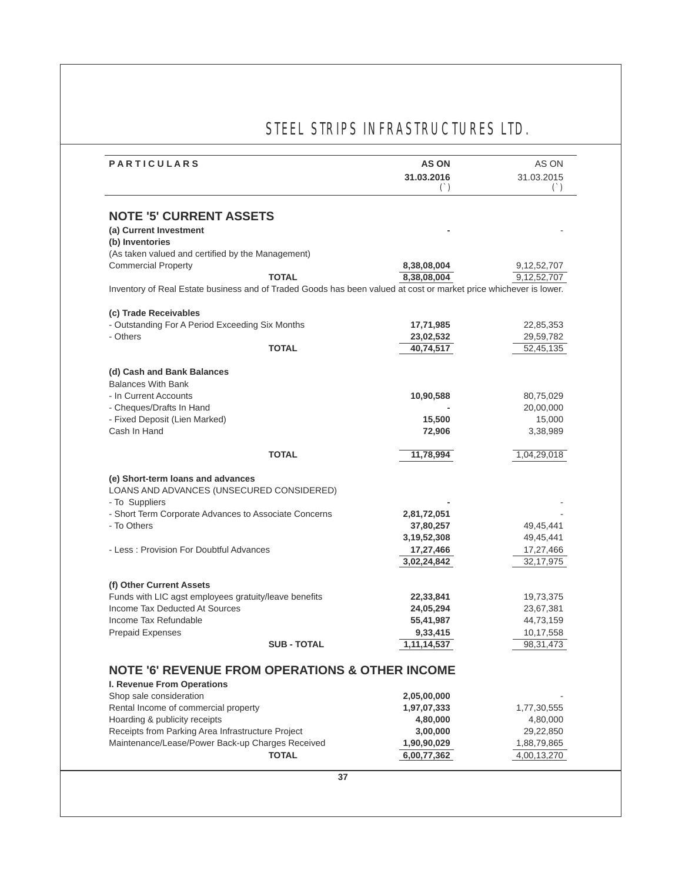| <b>PARTICULARS</b>                                                                                                                                                                                                                                                                                                                                                                             |                                                                                                                   | <b>AS ON</b>               | AS ON                      |
|------------------------------------------------------------------------------------------------------------------------------------------------------------------------------------------------------------------------------------------------------------------------------------------------------------------------------------------------------------------------------------------------|-------------------------------------------------------------------------------------------------------------------|----------------------------|----------------------------|
|                                                                                                                                                                                                                                                                                                                                                                                                |                                                                                                                   | 31.03.2016                 | 31.03.2015                 |
|                                                                                                                                                                                                                                                                                                                                                                                                |                                                                                                                   | $($ )                      | $(\dot{\ })$               |
|                                                                                                                                                                                                                                                                                                                                                                                                |                                                                                                                   |                            |                            |
| <b>NOTE '5' CURRENT ASSETS</b>                                                                                                                                                                                                                                                                                                                                                                 |                                                                                                                   |                            |                            |
| (a) Current Investment                                                                                                                                                                                                                                                                                                                                                                         |                                                                                                                   |                            |                            |
| (b) Inventories                                                                                                                                                                                                                                                                                                                                                                                |                                                                                                                   |                            |                            |
| (As taken valued and certified by the Management)                                                                                                                                                                                                                                                                                                                                              |                                                                                                                   |                            |                            |
| <b>Commercial Property</b>                                                                                                                                                                                                                                                                                                                                                                     |                                                                                                                   | 8,38,08,004                | 9,12,52,707                |
|                                                                                                                                                                                                                                                                                                                                                                                                | <b>TOTAL</b>                                                                                                      | 8,38,08,004                | 9,12,52,707                |
|                                                                                                                                                                                                                                                                                                                                                                                                | Inventory of Real Estate business and of Traded Goods has been valued at cost or market price whichever is lower. |                            |                            |
| (c) Trade Receivables                                                                                                                                                                                                                                                                                                                                                                          |                                                                                                                   |                            |                            |
| - Outstanding For A Period Exceeding Six Months                                                                                                                                                                                                                                                                                                                                                |                                                                                                                   | 17,71,985                  | 22,85,353                  |
| - Others                                                                                                                                                                                                                                                                                                                                                                                       |                                                                                                                   | 23,02,532                  | 29,59,782                  |
|                                                                                                                                                                                                                                                                                                                                                                                                | <b>TOTAL</b>                                                                                                      | 40,74,517                  | 52,45,135                  |
|                                                                                                                                                                                                                                                                                                                                                                                                |                                                                                                                   |                            |                            |
| (d) Cash and Bank Balances                                                                                                                                                                                                                                                                                                                                                                     |                                                                                                                   |                            |                            |
| <b>Balances With Bank</b>                                                                                                                                                                                                                                                                                                                                                                      |                                                                                                                   |                            |                            |
| - In Current Accounts                                                                                                                                                                                                                                                                                                                                                                          |                                                                                                                   | 10,90,588                  | 80,75,029                  |
| - Cheques/Drafts In Hand                                                                                                                                                                                                                                                                                                                                                                       |                                                                                                                   |                            | 20,00,000                  |
| - Fixed Deposit (Lien Marked)                                                                                                                                                                                                                                                                                                                                                                  |                                                                                                                   | 15,500                     | 15,000                     |
| Cash In Hand                                                                                                                                                                                                                                                                                                                                                                                   |                                                                                                                   | 72,906                     | 3,38,989                   |
|                                                                                                                                                                                                                                                                                                                                                                                                |                                                                                                                   |                            |                            |
|                                                                                                                                                                                                                                                                                                                                                                                                | <b>TOTAL</b>                                                                                                      | 11,78,994                  | 1,04,29,018                |
|                                                                                                                                                                                                                                                                                                                                                                                                |                                                                                                                   |                            |                            |
|                                                                                                                                                                                                                                                                                                                                                                                                |                                                                                                                   |                            |                            |
|                                                                                                                                                                                                                                                                                                                                                                                                |                                                                                                                   |                            |                            |
|                                                                                                                                                                                                                                                                                                                                                                                                |                                                                                                                   |                            |                            |
|                                                                                                                                                                                                                                                                                                                                                                                                |                                                                                                                   |                            |                            |
|                                                                                                                                                                                                                                                                                                                                                                                                |                                                                                                                   | 2,81,72,051                |                            |
|                                                                                                                                                                                                                                                                                                                                                                                                |                                                                                                                   | 37,80,257                  | 49,45,441                  |
|                                                                                                                                                                                                                                                                                                                                                                                                |                                                                                                                   | 3, 19, 52, 308             | 49,45,441                  |
|                                                                                                                                                                                                                                                                                                                                                                                                |                                                                                                                   | 17,27,466                  | 17,27,466                  |
|                                                                                                                                                                                                                                                                                                                                                                                                |                                                                                                                   | 3,02,24,842                | 32, 17, 975                |
|                                                                                                                                                                                                                                                                                                                                                                                                |                                                                                                                   |                            |                            |
|                                                                                                                                                                                                                                                                                                                                                                                                |                                                                                                                   |                            |                            |
|                                                                                                                                                                                                                                                                                                                                                                                                |                                                                                                                   | 22,33,841                  | 19,73,375                  |
|                                                                                                                                                                                                                                                                                                                                                                                                |                                                                                                                   | 24,05,294                  | 23,67,381                  |
|                                                                                                                                                                                                                                                                                                                                                                                                |                                                                                                                   | 55,41,987                  | 44,73,159                  |
| (e) Short-term loans and advances<br>LOANS AND ADVANCES (UNSECURED CONSIDERED)<br>- To Suppliers<br>- Short Term Corporate Advances to Associate Concerns<br>- To Others<br>- Less: Provision For Doubtful Advances<br>(f) Other Current Assets<br>Funds with LIC agst employees gratuity/leave benefits<br>Income Tax Deducted At Sources<br>Income Tax Refundable<br><b>Prepaid Expenses</b> |                                                                                                                   | 9,33,415                   | 10,17,558                  |
|                                                                                                                                                                                                                                                                                                                                                                                                | <b>SUB - TOTAL</b>                                                                                                | 1,11,14,537                | 98,31,473                  |
|                                                                                                                                                                                                                                                                                                                                                                                                |                                                                                                                   |                            |                            |
|                                                                                                                                                                                                                                                                                                                                                                                                | <b>NOTE '6' REVENUE FROM OPERATIONS &amp; OTHER INCOME</b>                                                        |                            |                            |
| I. Revenue From Operations                                                                                                                                                                                                                                                                                                                                                                     |                                                                                                                   |                            |                            |
|                                                                                                                                                                                                                                                                                                                                                                                                |                                                                                                                   | 2,05,00,000                |                            |
| Shop sale consideration<br>Rental Income of commercial property                                                                                                                                                                                                                                                                                                                                |                                                                                                                   | 1,97,07,333                | 1,77,30,555                |
|                                                                                                                                                                                                                                                                                                                                                                                                |                                                                                                                   | 4,80,000                   | 4,80,000                   |
|                                                                                                                                                                                                                                                                                                                                                                                                |                                                                                                                   | 3,00,000                   | 29,22,850                  |
| Hoarding & publicity receipts<br>Receipts from Parking Area Infrastructure Project<br>Maintenance/Lease/Power Back-up Charges Received                                                                                                                                                                                                                                                         | <b>TOTAL</b>                                                                                                      | 1,90,90,029<br>6,00,77,362 | 1,88,79,865<br>4,00,13,270 |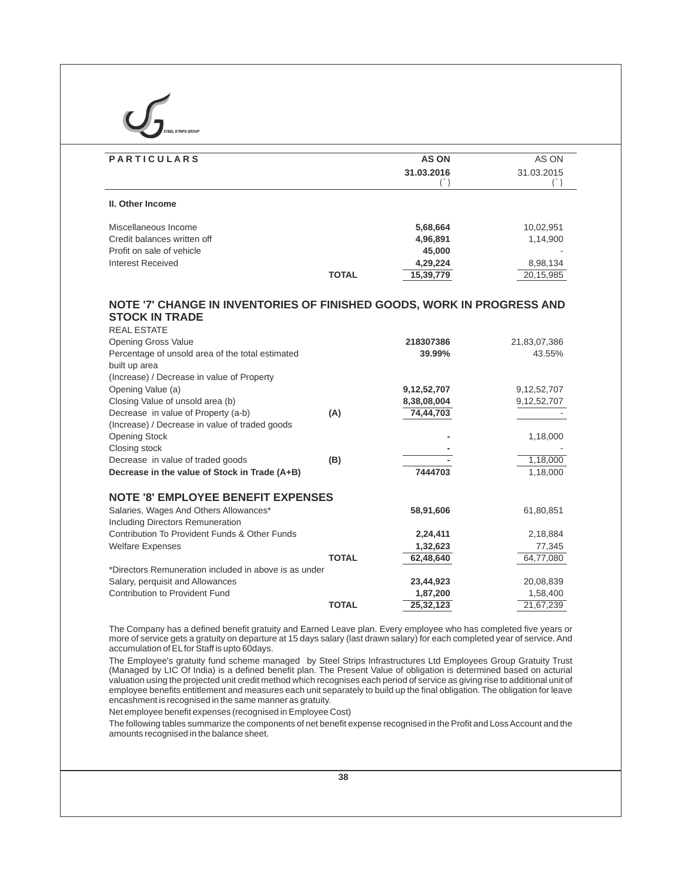| <b>II. Other Income</b><br>Miscellaneous Income<br>Credit balances written off<br>Profit on sale of vehicle<br><b>Interest Received</b> |              | $($ )                      | $($ )                      |
|-----------------------------------------------------------------------------------------------------------------------------------------|--------------|----------------------------|----------------------------|
|                                                                                                                                         |              |                            |                            |
|                                                                                                                                         |              | 5,68,664                   | 10,02,951                  |
|                                                                                                                                         |              | 4,96,891                   | 1,14,900                   |
|                                                                                                                                         |              | 45,000                     |                            |
|                                                                                                                                         |              | 4,29,224                   | 8,98,134                   |
|                                                                                                                                         | <b>TOTAL</b> | 15,39,779                  | 20,15,985                  |
| <b>Opening Gross Value</b><br>Percentage of unsold area of the total estimated<br>built up area                                         |              | 218307386<br>39.99%        | 21,83,07,386<br>43.55%     |
|                                                                                                                                         |              |                            |                            |
|                                                                                                                                         |              |                            |                            |
| (Increase) / Decrease in value of Property                                                                                              |              |                            |                            |
| Opening Value (a)<br>Closing Value of unsold area (b)                                                                                   |              | 9,12,52,707<br>8,38,08,004 | 9,12,52,707<br>9,12,52,707 |
| Decrease in value of Property (a-b)                                                                                                     | (A)          | 74,44,703                  |                            |
| (Increase) / Decrease in value of traded goods                                                                                          |              |                            |                            |
| <b>Opening Stock</b>                                                                                                                    |              |                            | 1,18,000                   |
| Closing stock                                                                                                                           |              |                            |                            |
| Decrease in value of traded goods                                                                                                       | (B)          |                            | 1,18,000                   |
| Decrease in the value of Stock in Trade (A+B)                                                                                           |              | 7444703                    | 1,18,000                   |
| <b>NOTE '8' EMPLOYEE BENEFIT EXPENSES</b>                                                                                               |              |                            |                            |
| Salaries, Wages And Others Allowances*                                                                                                  |              | 58,91,606                  | 61,80,851                  |
| Including Directors Remuneration                                                                                                        |              |                            |                            |
| Contribution To Provident Funds & Other Funds                                                                                           |              | 2,24,411                   | 2,18,884                   |
| <b>Welfare Expenses</b>                                                                                                                 |              | 1,32,623                   | 77,345                     |
|                                                                                                                                         | <b>TOTAL</b> | 62,48,640                  | 64,77,080                  |
| *Directors Remuneration included in above is as under                                                                                   |              |                            |                            |
| Salary, perquisit and Allowances                                                                                                        |              | 23,44,923                  | 20,08,839                  |
| Contribution to Provident Fund                                                                                                          |              | 1,87,200                   | 1,58,400                   |
|                                                                                                                                         | <b>TOTAL</b> | 25,32,123                  | 21,67,239                  |

encashment is recognised in the same manner as gratuity.

Net employee benefit expenses (recognised in Employee Cost)

The following tables summarize the components of net benefit expense recognised in the Profit and Loss Account and the amounts recognised in the balance sheet.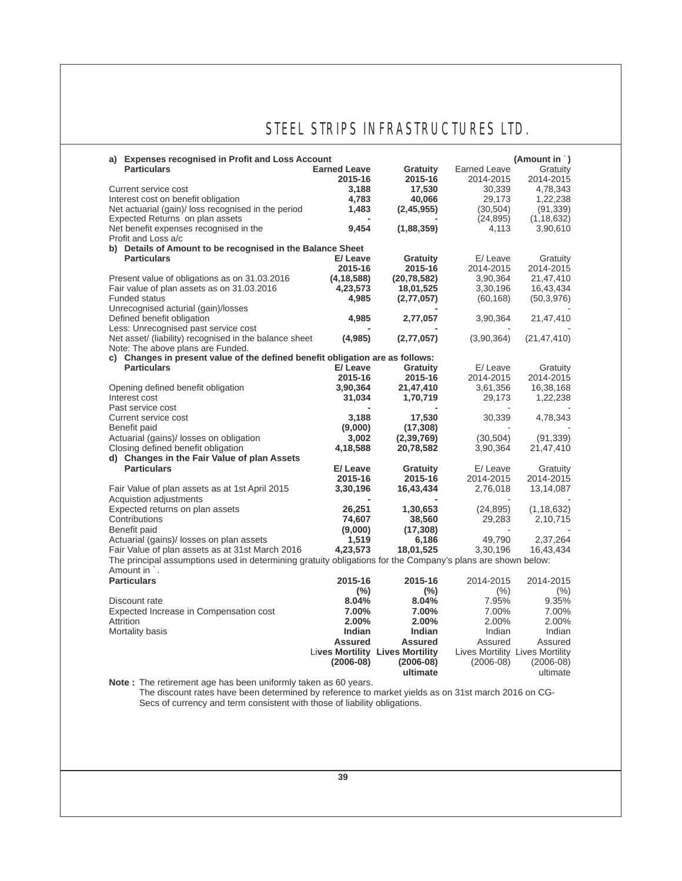| a) Expenses recognised in Profit and Loss Account<br><b>Particulars</b>                                                                                                                                                                           | <b>Earned Leave</b> | Gratuity                               | <b>Earned Leave</b> | (Amount in $\dot{\ }$ )<br>Gratuity |
|---------------------------------------------------------------------------------------------------------------------------------------------------------------------------------------------------------------------------------------------------|---------------------|----------------------------------------|---------------------|-------------------------------------|
|                                                                                                                                                                                                                                                   | 2015-16             | 2015-16                                | 2014-2015           | 2014-2015                           |
|                                                                                                                                                                                                                                                   |                     |                                        |                     |                                     |
| Current service cost                                                                                                                                                                                                                              | 3,188               | 17,530                                 | 30,339              | 4,78,343                            |
| Interest cost on benefit obligation                                                                                                                                                                                                               | 4,783               | 40,066                                 | 29,173              | 1,22,238                            |
| Net actuarial (gain)/ loss recognised in the period                                                                                                                                                                                               | 1,483               | (2,45,955)                             | (30, 504)           | (91, 339)                           |
| Expected Returns on plan assets                                                                                                                                                                                                                   |                     |                                        | (24, 895)           | (1, 18, 632)                        |
| Net benefit expenses recognised in the                                                                                                                                                                                                            | 9,454               | (1,88,359)                             | 4,113               | 3,90,610                            |
| Profit and Loss a/c                                                                                                                                                                                                                               |                     |                                        |                     |                                     |
| b) Details of Amount to be recognised in the Balance Sheet                                                                                                                                                                                        |                     |                                        |                     |                                     |
| <b>Particulars</b>                                                                                                                                                                                                                                | E/Leave             | Gratuity                               | E/Leave             | Gratuity                            |
|                                                                                                                                                                                                                                                   | 2015-16             | 2015-16                                | 2014-2015           | 2014-2015                           |
| Present value of obligations as on 31.03.2016                                                                                                                                                                                                     | (4, 18, 588)        | (20, 78, 582)                          | 3,90,364            | 21,47,410                           |
| Fair value of plan assets as on 31.03.2016                                                                                                                                                                                                        | 4,23,573            | 18,01,525                              | 3,30,196            | 16,43,434                           |
| <b>Funded status</b>                                                                                                                                                                                                                              | 4,985               | (2,77,057)                             | (60, 168)           | (50,3,976)                          |
| Unrecognised acturial (gain)/losses                                                                                                                                                                                                               |                     |                                        |                     |                                     |
| Defined benefit obligation                                                                                                                                                                                                                        | 4,985               | 2,77,057                               | 3,90,364            | 21,47,410                           |
| Less: Unrecognised past service cost                                                                                                                                                                                                              |                     |                                        |                     |                                     |
| Net asset/ (liability) recognised in the balance sheet                                                                                                                                                                                            | (4,985)             | (2,77,057)                             | (3,90,364)          | (21, 47, 410)                       |
|                                                                                                                                                                                                                                                   |                     |                                        |                     |                                     |
| Note: The above plans are Funded.                                                                                                                                                                                                                 |                     |                                        |                     |                                     |
| c) Changes in present value of the defined benefit obligation are as follows:                                                                                                                                                                     |                     |                                        |                     |                                     |
| <b>Particulars</b>                                                                                                                                                                                                                                | E/Leave             | Gratuity                               | E/Leave             | Gratuity                            |
|                                                                                                                                                                                                                                                   | 2015-16             | 2015-16                                | 2014-2015           | 2014-2015                           |
| Opening defined benefit obligation                                                                                                                                                                                                                | 3,90,364            | 21,47,410                              | 3,61,356            | 16,38,168                           |
| Interest cost                                                                                                                                                                                                                                     | 31,034              | 1,70,719                               | 29,173              | 1,22,238                            |
| Past service cost                                                                                                                                                                                                                                 |                     |                                        |                     |                                     |
| Current service cost                                                                                                                                                                                                                              | 3,188               | 17,530                                 | 30,339              | 4,78,343                            |
| Benefit paid                                                                                                                                                                                                                                      | (9,000)             | (17, 308)                              |                     |                                     |
| Actuarial (gains)/ losses on obligation                                                                                                                                                                                                           | 3,002               | (2, 39, 769)                           | (30, 504)           | (91, 339)                           |
| Closing defined benefit obligation                                                                                                                                                                                                                | 4,18,588            | 20,78,582                              | 3,90,364            | 21,47,410                           |
| d) Changes in the Fair Value of plan Assets                                                                                                                                                                                                       |                     |                                        |                     |                                     |
| <b>Particulars</b>                                                                                                                                                                                                                                | E/Leave             | Gratuity                               | E/Leave             | Gratuity                            |
|                                                                                                                                                                                                                                                   | 2015-16             | 2015-16                                | 2014-2015           | 2014-2015                           |
| Fair Value of plan assets as at 1st April 2015                                                                                                                                                                                                    | 3,30,196            | 16,43,434                              | 2,76,018            | 13,14,087                           |
|                                                                                                                                                                                                                                                   |                     |                                        |                     |                                     |
| Acquistion adjustments                                                                                                                                                                                                                            |                     |                                        |                     |                                     |
| Expected returns on plan assets                                                                                                                                                                                                                   | 26,251              | 1,30,653                               | (24, 895)           | (1, 18, 632)                        |
| Contributions                                                                                                                                                                                                                                     | 74,607              | 38,560                                 | 29,283              | 2,10,715                            |
| Benefit paid                                                                                                                                                                                                                                      | (9,000)             | (17, 308)                              |                     |                                     |
| Actuarial (gains)/ losses on plan assets                                                                                                                                                                                                          | 1,519               | 6,186                                  | 49,790              | 2,37,264                            |
| Fair Value of plan assets as at 31st March 2016                                                                                                                                                                                                   | 4,23,573            | 18,01,525                              | 3,30,196            | 16,43,434                           |
| The principal assumptions used in determining gratuity obligations for the Company's plans are shown below:<br>Amount in `.                                                                                                                       |                     |                                        |                     |                                     |
| <b>Particulars</b>                                                                                                                                                                                                                                | 2015-16             | 2015-16                                | 2014-2015           | 2014-2015                           |
|                                                                                                                                                                                                                                                   |                     |                                        |                     |                                     |
|                                                                                                                                                                                                                                                   | $(\% )$             | $(\%)$                                 | $(\% )$             | $(\% )$                             |
| Discount rate                                                                                                                                                                                                                                     | 8.04%               | 8.04%                                  | 7.95%               | 9.35%                               |
| Expected Increase in Compensation cost                                                                                                                                                                                                            | 7.00%               | 7.00%                                  | 7.00%               | 7.00%                               |
| Attrition                                                                                                                                                                                                                                         | 2.00%               | 2.00%                                  | 2.00%               | 2.00%                               |
| Mortality basis                                                                                                                                                                                                                                   | Indian              | <b>Indian</b>                          | Indian              | Indian                              |
|                                                                                                                                                                                                                                                   | <b>Assured</b>      | <b>Assured</b>                         | Assured             | Assured                             |
|                                                                                                                                                                                                                                                   |                     | <b>Lives Mortility Lives Mortility</b> |                     | Lives Mortility Lives Mortility     |
|                                                                                                                                                                                                                                                   | $(2006-08)$         | $(2006-08)$                            | $(2006-08)$         | $(2006-08)$                         |
|                                                                                                                                                                                                                                                   |                     | ultimate                               |                     | ultimate                            |
| Note: The retirement age has been uniformly taken as 60 years.<br>The discount rates have been determined by reference to market yields as on 31st march 2016 on CG-<br>Secs of currency and term consistent with those of liability obligations. |                     |                                        |                     |                                     |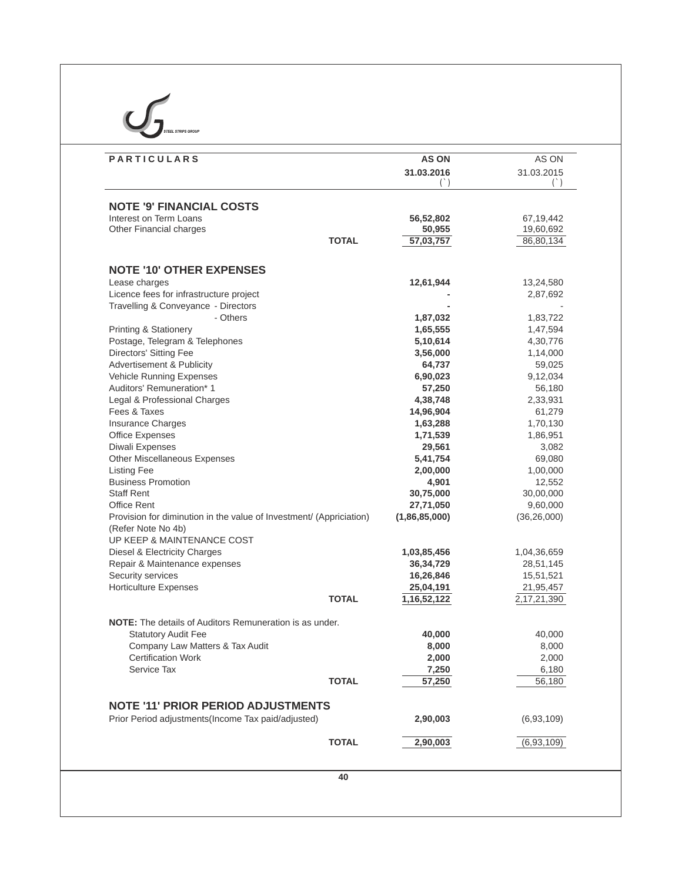| <b>PARTICULARS</b>                                                                        | <b>AS ON</b>           | AS ON                  |
|-------------------------------------------------------------------------------------------|------------------------|------------------------|
|                                                                                           | 31.03.2016             | 31.03.2015<br>$($ )    |
|                                                                                           |                        |                        |
| <b>NOTE '9' FINANCIAL COSTS</b><br>Interest on Term Loans                                 | 56,52,802              | 67,19,442              |
| Other Financial charges                                                                   | 50,955                 | 19,60,692              |
| <b>TOTAL</b>                                                                              | 57,03,757              | 86,80,134              |
| <b>NOTE '10' OTHER EXPENSES</b>                                                           |                        |                        |
| Lease charges                                                                             | 12,61,944              | 13,24,580              |
| Licence fees for infrastructure project                                                   |                        | 2,87,692               |
| Travelling & Conveyance - Directors                                                       |                        |                        |
| - Others                                                                                  | 1,87,032               | 1,83,722               |
| <b>Printing &amp; Stationery</b>                                                          | 1,65,555               | 1,47,594               |
| Postage, Telegram & Telephones                                                            | 5,10,614               | 4,30,776               |
| Directors' Sitting Fee                                                                    | 3,56,000               | 1,14,000               |
| Advertisement & Publicity                                                                 | 64,737                 | 59,025                 |
| <b>Vehicle Running Expenses</b>                                                           | 6,90,023               | 9,12,034               |
| Auditors' Remuneration* 1                                                                 | 57,250                 | 56,180                 |
| Legal & Professional Charges                                                              | 4,38,748               | 2,33,931               |
| Fees & Taxes                                                                              | 14,96,904              | 61,279                 |
| Insurance Charges                                                                         | 1,63,288               | 1,70,130               |
| <b>Office Expenses</b><br>Diwali Expenses                                                 | 1,71,539<br>29,561     | 1,86,951<br>3,082      |
| Other Miscellaneous Expenses                                                              | 5,41,754               | 69,080                 |
| <b>Listing Fee</b>                                                                        | 2,00,000               | 1,00,000               |
| <b>Business Promotion</b>                                                                 | 4,901                  | 12,552                 |
| <b>Staff Rent</b>                                                                         | 30,75,000              | 30,00,000              |
| Office Rent                                                                               | 27,71,050              | 9,60,000               |
| Provision for diminution in the value of Investment/ (Appriciation)<br>(Refer Note No 4b) | (1,86,85,000)          | (36, 26, 000)          |
| UP KEEP & MAINTENANCE COST                                                                |                        |                        |
| Diesel & Electricity Charges                                                              | 1,03,85,456            | 1,04,36,659            |
| Repair & Maintenance expenses                                                             | 36, 34, 729            | 28,51,145              |
| Security services<br><b>Horticulture Expenses</b>                                         | 16,26,846<br>25,04,191 | 15,51,521<br>21,95,457 |
| <b>TOTAL</b>                                                                              | 1, 16, 52, 122         | 2, 17, 21, 390         |
| NOTE: The details of Auditors Remuneration is as under.                                   |                        |                        |
| <b>Statutory Audit Fee</b>                                                                | 40,000                 | 40,000                 |
| Company Law Matters & Tax Audit                                                           | 8,000                  | 8,000                  |
| <b>Certification Work</b>                                                                 | 2,000                  | 2,000                  |
| Service Tax                                                                               | 7,250                  | 6,180                  |
| <b>TOTAL</b>                                                                              | 57,250                 | 56,180                 |
| <b>NOTE '11' PRIOR PERIOD ADJUSTMENTS</b>                                                 |                        |                        |
| Prior Period adjustments (Income Tax paid/adjusted)                                       | 2,90,003               | (6,93,109)             |
| <b>TOTAL</b>                                                                              | 2,90,003               | (6,93,109)             |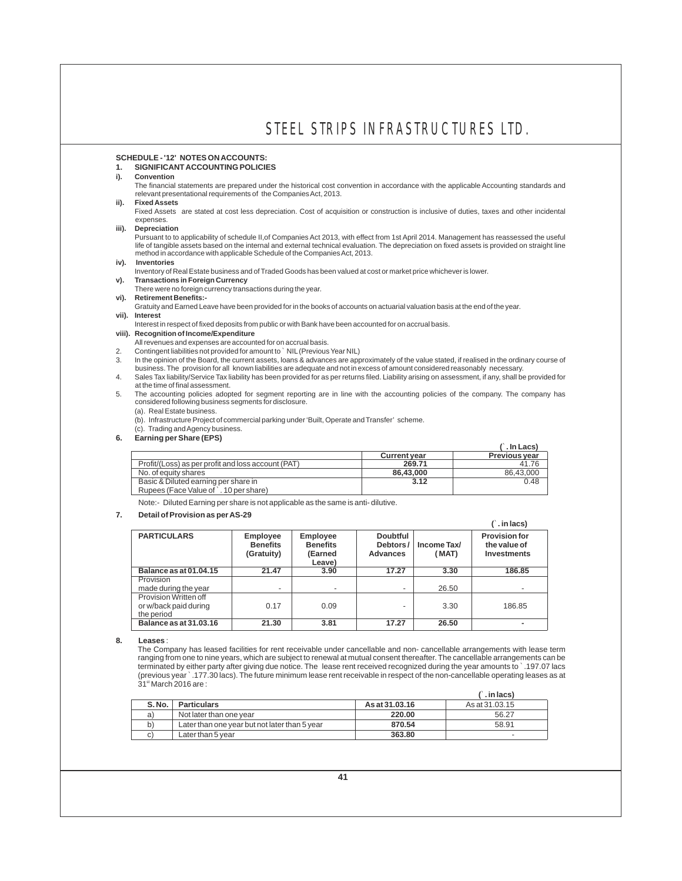#### **SCHEDULE - '12' NOTES ON ACCOUNTS:**

## **1. SIGNIFICANT ACCOUNTING POLICIES**

### **i). Convention**

The financial statements are prepared under the historical cost convention in accordance with the applicable Accounting standards and relevant presentational requirements of the Companies Act, 2013.

**ii). Fixed Assets**

Fixed Assets are stated at cost less depreciation. Cost of acquisition or construction is inclusive of duties, taxes and other incidental expenses.

**iii). Depreciation**

Pursuant to to applicability of schedule II,of Companies Act 2013, with effect from 1st April 2014. Management has reassessed the useful life of tangible assets based on the internal and external technical evaluation. The depreciation on fixed assets is provided on straight line method in accordance with applicable Schedule of the Companies Act, 2013.

**iv). Inventories**

Inventory of Real Estate business and of Traded Goods has been valued at cost or market price whichever is lower.

- **v). Transactions in Foreign Currency**
- There were no foreign currency transactions during the year.
- **vi). Retirement Benefits:-**

Gratuity and Earned Leave have been provided for in the books of accounts on actuarial valuation basis at the end of the year. **vii). Interest**

- Interest in respect of fixed deposits from public or with Bank have been accounted for on accrual basis.
- **viii). Recognition of Income/Expenditure**
- All revenues and expenses are accounted for on accrual basis.
- 2. Contingent liabilities not provided for amount to `NIL (Previous Year NIL)
- 3. In the opinion of the Board, the current assets, loans & advances are approximately of the value stated, if realised in the ordinary course of<br>business. The provision for all known liabilities are adequate and not in ex
- 4. Sales Tax liability/Service Tax liability has been provided for as per returns filed. Liability arising on assessment, if any, shall be provided for at the time of final assessment.

5. The accounting policies adopted for segment reporting are in line with the accounting policies of the company. The company has considered following business segments for disclosure.

(a). Real Estate business.

(b). Infrastructure Project of commercial parking under 'Built, Operate and Transfer' scheme.

- (c). Trading and Agency business.
- **6. Earning per Share (EPS)**

| $=$ $\frac{1}{2}$ $\frac{1}{2}$ $\frac{1}{2}$ $\frac{1}{2}$ $\frac{1}{2}$ $\frac{1}{2}$ $\frac{1}{2}$ $\frac{1}{2}$ $\frac{1}{2}$ $\frac{1}{2}$ $\frac{1}{2}$ $\frac{1}{2}$ |                     | $($ . In Lacs)       |
|-----------------------------------------------------------------------------------------------------------------------------------------------------------------------------|---------------------|----------------------|
|                                                                                                                                                                             | <b>Current year</b> | <b>Previous year</b> |
| Profit/(Loss) as per profit and loss account (PAT)                                                                                                                          | 269.71              | 41.76                |
| No. of equity shares                                                                                                                                                        | 86.43.000           | 86,43,000            |
| Basic & Diluted earning per share in                                                                                                                                        | 3.12                | 0.48                 |
| Rupees (Face Value of `. 10 per share)                                                                                                                                      |                     |                      |

Note:- Diluted Earning per share is not applicable as the same is anti- dilutive.

#### **7. Detail of Provision as per AS-29**

|                                                              |                                                  |                                                         |                                                |                      | $(\hat{ } \cdot \text{ in } \text{lacs})$                  |
|--------------------------------------------------------------|--------------------------------------------------|---------------------------------------------------------|------------------------------------------------|----------------------|------------------------------------------------------------|
| <b>PARTICULARS</b>                                           | <b>Employee</b><br><b>Benefits</b><br>(Gratuity) | <b>Employee</b><br><b>Benefits</b><br>(Earned<br>Leave) | <b>Doubtful</b><br>Debtors/<br><b>Advances</b> | Income Tax/<br>(MAT) | <b>Provision for</b><br>the value of<br><b>Investments</b> |
| <b>Balance as at 01.04.15</b>                                | 21.47                                            | 3.90                                                    | 17.27                                          | 3.30                 | 186.85                                                     |
| Provision<br>made during the year                            |                                                  |                                                         |                                                | 26.50                |                                                            |
| Provision Written off<br>or w/back paid during<br>the period | 0.17                                             | 0.09                                                    |                                                | 3.30                 | 186.85                                                     |
| Balance as at 31,03,16                                       | 21.30                                            | 3.81                                                    | 17.27                                          | 26.50                |                                                            |

**8. Leases** :

The Company has leased facilities for rent receivable under cancellable and non- cancellable arrangements with lease term ranging from one to nine years, which are subject to renewal at mutual consent thereafter. The cancellable arrangements can be terminated by either party after giving due notice. The lease rent received recognized during the year amounts to `.197.07 lacs (previous year `.177.30 lacs). The future minimum lease rent receivable in respect of the non-cancellable operating leases as at  $31<sup>st</sup>$  March 2016 are :

|       |                                               |                | $( )$ . in lacs) |
|-------|-----------------------------------------------|----------------|------------------|
| S.No. | <b>Particulars</b>                            | As at 31,03,16 | As at 31.03.15   |
| a)    | Not later than one year                       | 220.00         | 56.27            |
| b)    | Later than one year but not later than 5 year | 870.54         | 58.91            |
| C)    | Later than 5 vear                             | 363.80         | -                |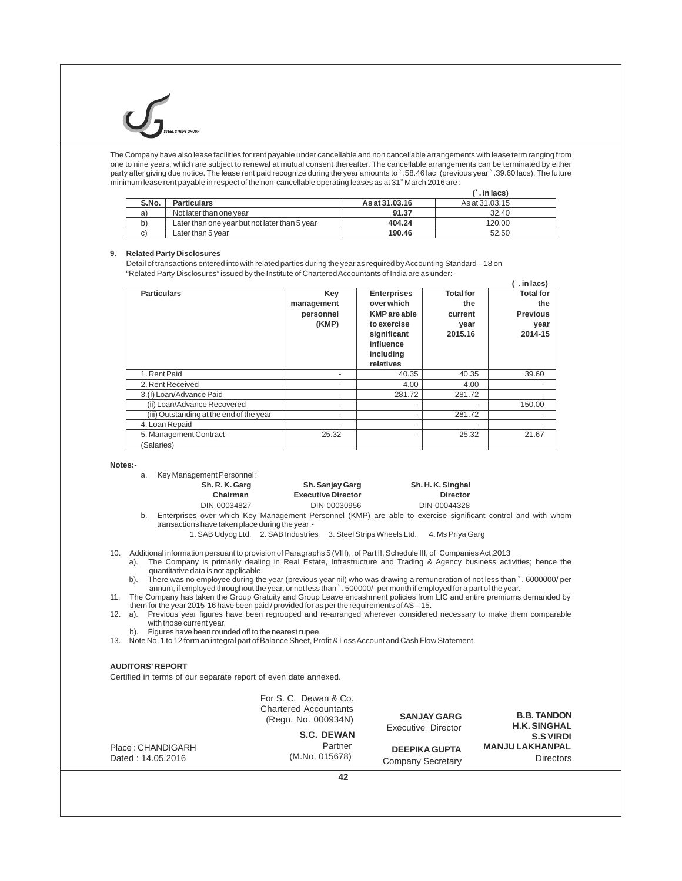The Company have also lease facilities for rent payable under cancellable and non cancellable arrangements with lease term ranging from one to nine years, which are subject to renewal at mutual consent thereafter. The cancellable arrangements can be terminated by either party after giving due notice. The lease rent paid recognize during the year amounts to `.58.46 lac (previous year `.39.60 lacs). The future minimum lease rent payable in respect of the non-cancellable operating leases as at 31<sup><sup>\*</sup></sup> March 2016 are :

|       |                                               |                | $(\hat{ } \cdot$ in lacs) |
|-------|-----------------------------------------------|----------------|---------------------------|
| S.No. | <b>Particulars</b>                            | As at 31,03,16 | As at 31.03.15            |
| a     | Not later than one year                       | 91.37          | 32.40                     |
| b)    | Later than one year but not later than 5 year | 404.24         | 120.00                    |
| C)    | Later than 5 year                             | 190.46         | 52.50                     |

#### **9. Related Party Disclosures**

Detail of transactions entered into with related parties during the year as required by Accounting Standard – 18 on "Related Party Disclosures" issued by the Institute of Chartered Accountants of India are as under: -

|                                          |                                         |                                                                                                                              |                                                       | $\hat{ }$ . in lacs)                                          |
|------------------------------------------|-----------------------------------------|------------------------------------------------------------------------------------------------------------------------------|-------------------------------------------------------|---------------------------------------------------------------|
| <b>Particulars</b>                       | Key<br>management<br>personnel<br>(KMP) | <b>Enterprises</b><br>over which<br><b>KMP</b> are able<br>to exercise<br>significant<br>influence<br>including<br>relatives | <b>Total for</b><br>the<br>current<br>year<br>2015.16 | <b>Total for</b><br>the<br><b>Previous</b><br>year<br>2014-15 |
| 1. Rent Paid                             | ۰                                       | 40.35                                                                                                                        | 40.35                                                 | 39.60                                                         |
| 2. Rent Received                         | ٠                                       | 4.00                                                                                                                         | 4.00                                                  |                                                               |
| 3.(I) Loan/Advance Paid                  |                                         | 281.72                                                                                                                       | 281.72                                                |                                                               |
| (ii) Loan/Advance Recovered              | ۰                                       |                                                                                                                              |                                                       | 150.00                                                        |
| (iii) Outstanding at the end of the year | ٠                                       |                                                                                                                              | 281.72                                                |                                                               |
| 4. Loan Repaid                           | ۰                                       |                                                                                                                              | ۰                                                     |                                                               |
| 5. Management Contract -<br>(Salaries)   | 25.32                                   |                                                                                                                              | 25.32                                                 | 21.67                                                         |

#### **Notes:-**

- a. Key Management Personnel:<br>**Sh. R. K. Garg** 
	- **Sh. R. K. Garg Sh. Sanjay Garg Sh. H. K. Singhal Chairman Executive Director Director Director Director Director Director Director Director Director Director** DIN-00030956

- b. Enterprises over which Key Management Personnel (KMP) are able to exercise significant control and with whom transactions have taken place during the year:-
	- 1. SAB Udyog Ltd. 2. SAB Industries 3. Steel Strips Wheels Ltd. 4. Ms Priya Garg

- 10. Additional information persuant to provision of Paragraphs 5 (VIII), of Part II, Schedule III, of Companies Act,2013<br>a). The Company is primarily dealing in Real Estate, Infrastructure and Trading & Agency business act
- quantitative data is not applicable.<br>b). There was no employee during the year (previous year nil) who was drawing a remuneration of not less than `. 6000000/ per<br>annum, if employed throughout the year, or not less than ` `
- them for the year 2015-16 have been paid / provided for as per the requirements of AS 15.

12. a). Previous year figures have been regrouped and re-arranged wherever considered necessary to make them comparable with those current year.

b). Figures have been rounded off to the nearest rupee.

13. Note No. 1 to 12 form an integral part of Balance Sheet, Profit & Loss Account and Cash Flow Statement.

#### **AUDITORS'REPORT**

Certified in terms of our separate report of even date annexed.

|                                        | For S. C. Dewan & Co.<br><b>Chartered Accountants</b><br>(Regn. No. 000934N) | <b>SANJAY GARG</b><br>Executive Director  | <b>B.B. TANDON</b><br><b>H.K. SINGHAL</b>                    |
|----------------------------------------|------------------------------------------------------------------------------|-------------------------------------------|--------------------------------------------------------------|
| Place: CHANDIGARH<br>Dated: 14.05.2016 | <b>S.C. DEWAN</b><br>Partner<br>(M.No. 015678)                               | <b>DEEPIKA GUPTA</b><br>Company Secretary | <b>S.SVIRDI</b><br><b>MANJULAKHANPAL</b><br><b>Directors</b> |
|                                        | ハつ                                                                           |                                           |                                                              |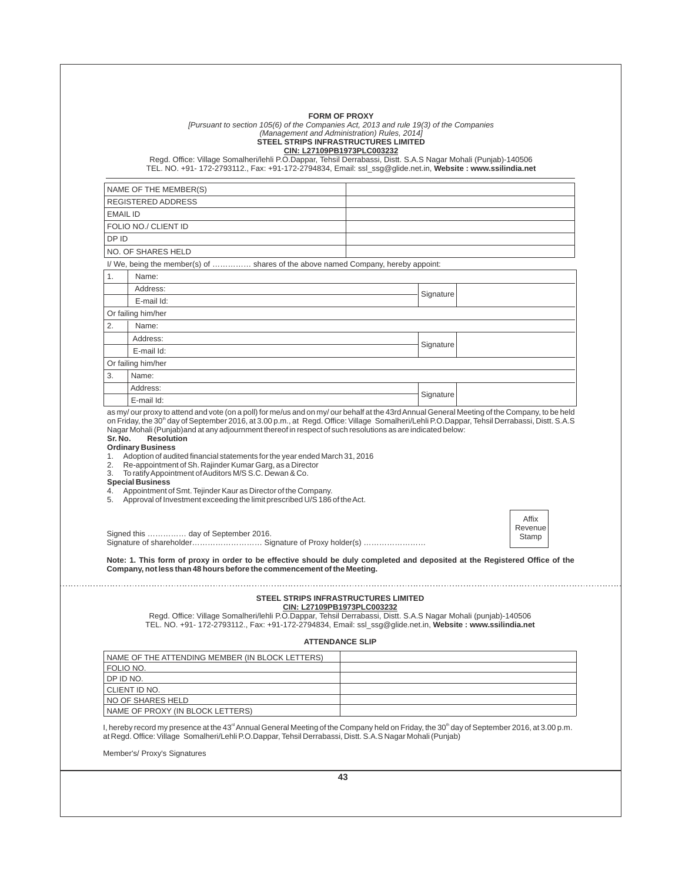|                                                          | [Pursuant to section 105(6) of the Companies Act, 2013 and rule 19(3) of the Companies<br>(Management and Administration) Rules, 2014]<br>STEEL STRIPS INFRASTRUCTURES LIMITED                                                                                                                                                                                                                                                                                                                           | <b>FORM OF PROXY</b><br>CIN: L27109PB1973PLC003232 |           |                           |
|----------------------------------------------------------|----------------------------------------------------------------------------------------------------------------------------------------------------------------------------------------------------------------------------------------------------------------------------------------------------------------------------------------------------------------------------------------------------------------------------------------------------------------------------------------------------------|----------------------------------------------------|-----------|---------------------------|
|                                                          | Regd. Office: Village Somalheri/lehli P.O.Dappar, Tehsil Derrabassi, Distt. S.A.S Nagar Mohali (Punjab)-140506<br>TEL. NO. +91- 172-2793112., Fax: +91-172-2794834, Email: ssl_ssg@glide.net.in, Website: www.ssilindia.net                                                                                                                                                                                                                                                                              |                                                    |           |                           |
| NAME OF THE MEMBER(S)                                    |                                                                                                                                                                                                                                                                                                                                                                                                                                                                                                          |                                                    |           |                           |
| <b>REGISTERED ADDRESS</b>                                |                                                                                                                                                                                                                                                                                                                                                                                                                                                                                                          |                                                    |           |                           |
| <b>EMAIL ID</b>                                          |                                                                                                                                                                                                                                                                                                                                                                                                                                                                                                          |                                                    |           |                           |
| FOLIO NO./ CLIENT ID                                     |                                                                                                                                                                                                                                                                                                                                                                                                                                                                                                          |                                                    |           |                           |
| DP ID                                                    |                                                                                                                                                                                                                                                                                                                                                                                                                                                                                                          |                                                    |           |                           |
| NO. OF SHARES HELD                                       |                                                                                                                                                                                                                                                                                                                                                                                                                                                                                                          |                                                    |           |                           |
|                                                          | I/We, being the member(s) of  shares of the above named Company, hereby appoint:                                                                                                                                                                                                                                                                                                                                                                                                                         |                                                    |           |                           |
| 1.<br>Name:                                              |                                                                                                                                                                                                                                                                                                                                                                                                                                                                                                          |                                                    |           |                           |
| Address:                                                 |                                                                                                                                                                                                                                                                                                                                                                                                                                                                                                          |                                                    | Signature |                           |
| E-mail Id:                                               |                                                                                                                                                                                                                                                                                                                                                                                                                                                                                                          |                                                    |           |                           |
| Or failing him/her                                       |                                                                                                                                                                                                                                                                                                                                                                                                                                                                                                          |                                                    |           |                           |
| 2.<br>Name:                                              |                                                                                                                                                                                                                                                                                                                                                                                                                                                                                                          |                                                    |           |                           |
| Address:                                                 |                                                                                                                                                                                                                                                                                                                                                                                                                                                                                                          |                                                    | Signature |                           |
| E-mail Id:                                               |                                                                                                                                                                                                                                                                                                                                                                                                                                                                                                          |                                                    |           |                           |
| Or failing him/her                                       |                                                                                                                                                                                                                                                                                                                                                                                                                                                                                                          |                                                    |           |                           |
| 3.<br>Name:                                              |                                                                                                                                                                                                                                                                                                                                                                                                                                                                                                          |                                                    |           |                           |
| Address:                                                 |                                                                                                                                                                                                                                                                                                                                                                                                                                                                                                          |                                                    | Signature |                           |
| E-mail Id:                                               |                                                                                                                                                                                                                                                                                                                                                                                                                                                                                                          |                                                    |           |                           |
| Sr. No.<br><b>Resolution</b><br><b>Ordinary Business</b> | as my/our proxy to attend and vote (on a poll) for me/us and on my/our behalf at the 43rd Annual General Meeting of the Company, to be held<br>on Friday, the 30 <sup>th</sup> day of September 2016, at 3.00 p.m., at Regd. Office: Village Somalheri/Lehli P.O.Dappar, Tehsil Derrabassi, Distt. S.A.S<br>Nagar Mohali (Punjab) and at any adjournment thereof in respect of such resolutions as are indicated below:<br>1. Adoption of audited financial statements for the year ended March 31, 2016 |                                                    |           |                           |
| <b>Special Business</b>                                  | 2. Re-appointment of Sh. Rajinder Kumar Garg, as a Director<br>3. To ratify Appointment of Auditors M/S S.C. Dewan & Co.<br>4. Appointment of Smt. Tejinder Kaur as Director of the Company.                                                                                                                                                                                                                                                                                                             |                                                    |           |                           |
|                                                          | 5. Approval of Investment exceeding the limit prescribed U/S 186 of the Act.<br>Signed this  day of September 2016.                                                                                                                                                                                                                                                                                                                                                                                      |                                                    |           | Affix<br>Revenue<br>Stamp |
|                                                          | Note: 1. This form of proxy in order to be effective should be duly completed and deposited at the Registered Office of the<br>Company, not less than 48 hours before the commencement of the Meeting.                                                                                                                                                                                                                                                                                                   |                                                    |           |                           |
|                                                          | <b>STEEL STRIPS INFRASTRUCTURES LIMITED</b><br>Regd. Office: Village Somalheri/lehli P.O.Dappar, Tehsil Derrabassi, Distt. S.A.S Nagar Mohali (punjab)-140506<br>TEL. NO. +91- 172-2793112., Fax: +91-172-2794834, Email: ssl ssq@qlide.net.in, Website: www.ssilindia.net                                                                                                                                                                                                                               | CIN: L27109PB1973PLC003232                         |           |                           |
|                                                          | <b>ATTENDANCE SLIP</b>                                                                                                                                                                                                                                                                                                                                                                                                                                                                                   |                                                    |           |                           |
|                                                          | NAME OF THE ATTENDING MEMBER (IN BLOCK LETTERS)                                                                                                                                                                                                                                                                                                                                                                                                                                                          |                                                    |           |                           |
|                                                          |                                                                                                                                                                                                                                                                                                                                                                                                                                                                                                          |                                                    |           |                           |
|                                                          |                                                                                                                                                                                                                                                                                                                                                                                                                                                                                                          |                                                    |           |                           |
| FOLIO NO.<br>DP ID NO.<br>CLIENT ID NO.                  |                                                                                                                                                                                                                                                                                                                                                                                                                                                                                                          |                                                    |           |                           |
| NO OF SHARES HELD                                        | NAME OF PROXY (IN BLOCK LETTERS)                                                                                                                                                                                                                                                                                                                                                                                                                                                                         |                                                    |           |                           |
|                                                          | I, hereby record my presence at the 43 <sup>rd</sup> Annual General Meeting of the Company held on Friday, the 30 <sup>th</sup> day of September 2016, at 3.00 p.m.<br>at Regd. Office: Village Somalheri/Lehli P.O.Dappar, Tehsil Derrabassi, Distt. S.A.S Nagar Mohali (Punjab)                                                                                                                                                                                                                        |                                                    |           |                           |